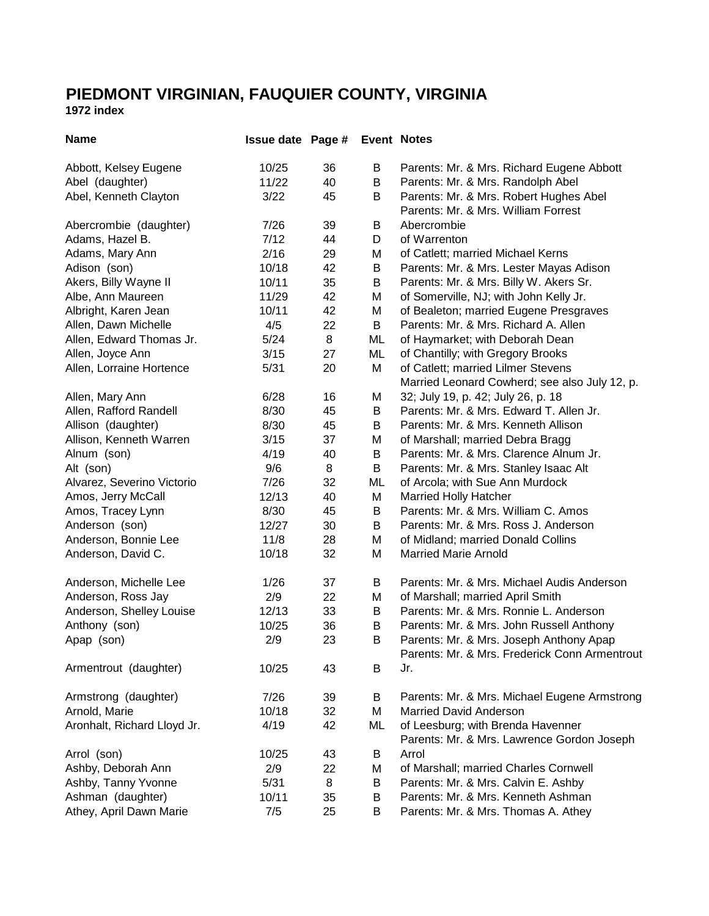## **PIEDMONT VIRGINIAN, FAUQUIER COUNTY, VIRGINIA**

**1972 index**

| <b>Name</b>                 | <b>Issue date Page #</b> |    |    | <b>Event Notes</b>                                                              |
|-----------------------------|--------------------------|----|----|---------------------------------------------------------------------------------|
| Abbott, Kelsey Eugene       | 10/25                    | 36 | B  | Parents: Mr. & Mrs. Richard Eugene Abbott                                       |
| Abel (daughter)             | 11/22                    | 40 | B  | Parents: Mr. & Mrs. Randolph Abel                                               |
| Abel, Kenneth Clayton       | 3/22                     | 45 | B  | Parents: Mr. & Mrs. Robert Hughes Abel                                          |
|                             |                          |    |    | Parents: Mr. & Mrs. William Forrest                                             |
| Abercrombie (daughter)      | 7/26                     | 39 | В  | Abercrombie                                                                     |
| Adams, Hazel B.             | 7/12                     | 44 | D  | of Warrenton                                                                    |
| Adams, Mary Ann             | 2/16                     | 29 | M  | of Catlett; married Michael Kerns                                               |
| Adison (son)                | 10/18                    | 42 | B  | Parents: Mr. & Mrs. Lester Mayas Adison                                         |
| Akers, Billy Wayne II       | 10/11                    | 35 | B  | Parents: Mr. & Mrs. Billy W. Akers Sr.                                          |
| Albe, Ann Maureen           | 11/29                    | 42 | Μ  | of Somerville, NJ; with John Kelly Jr.                                          |
| Albright, Karen Jean        | 10/11                    | 42 | Μ  | of Bealeton; married Eugene Presgraves                                          |
| Allen, Dawn Michelle        | 4/5                      | 22 | B  | Parents: Mr. & Mrs. Richard A. Allen                                            |
| Allen, Edward Thomas Jr.    | $5/24$                   | 8  | ML | of Haymarket; with Deborah Dean                                                 |
| Allen, Joyce Ann            | 3/15                     | 27 | ML | of Chantilly; with Gregory Brooks                                               |
| Allen, Lorraine Hortence    | 5/31                     | 20 | M  | of Catlett; married Lilmer Stevens                                              |
|                             |                          |    |    | Married Leonard Cowherd; see also July 12, p.                                   |
| Allen, Mary Ann             | 6/28                     | 16 | М  | 32; July 19, p. 42; July 26, p. 18                                              |
| Allen, Rafford Randell      | 8/30                     | 45 | В  | Parents: Mr. & Mrs. Edward T. Allen Jr.                                         |
| Allison (daughter)          | 8/30                     | 45 | В  | Parents: Mr. & Mrs. Kenneth Allison                                             |
| Allison, Kenneth Warren     | 3/15                     | 37 | M  | of Marshall; married Debra Bragg                                                |
| Alnum (son)                 | 4/19                     | 40 | В  | Parents: Mr. & Mrs. Clarence Alnum Jr.                                          |
| Alt (son)                   | 9/6                      | 8  | B  | Parents: Mr. & Mrs. Stanley Isaac Alt                                           |
| Alvarez, Severino Victorio  | 7/26                     | 32 | ML | of Arcola; with Sue Ann Murdock                                                 |
| Amos, Jerry McCall          | 12/13                    | 40 | M  | <b>Married Holly Hatcher</b>                                                    |
| Amos, Tracey Lynn           | 8/30                     | 45 | B  | Parents: Mr. & Mrs. William C. Amos                                             |
| Anderson (son)              | 12/27                    | 30 | В  | Parents: Mr. & Mrs. Ross J. Anderson                                            |
| Anderson, Bonnie Lee        | 11/8                     | 28 | M  | of Midland; married Donald Collins                                              |
| Anderson, David C.          | 10/18                    | 32 | M  | <b>Married Marie Arnold</b>                                                     |
| Anderson, Michelle Lee      | 1/26                     | 37 | В  | Parents: Mr. & Mrs. Michael Audis Anderson                                      |
| Anderson, Ross Jay          | 2/9                      | 22 | M  | of Marshall; married April Smith                                                |
| Anderson, Shelley Louise    | 12/13                    | 33 | B  | Parents: Mr. & Mrs. Ronnie L. Anderson                                          |
| Anthony (son)               | 10/25                    | 36 | В  | Parents: Mr. & Mrs. John Russell Anthony                                        |
| Apap (son)                  | 2/9                      | 23 | В  | Parents: Mr. & Mrs. Joseph Anthony Apap                                         |
|                             |                          |    |    | Parents: Mr. & Mrs. Frederick Conn Armentrout                                   |
| Armentrout (daughter)       | 10/25                    | 43 | В  | Jr.                                                                             |
| Armstrong (daughter)        | 7/26                     | 39 | B  | Parents: Mr. & Mrs. Michael Eugene Armstrong                                    |
| Arnold, Marie               | 10/18                    | 32 | M  | <b>Married David Anderson</b>                                                   |
| Aronhalt, Richard Lloyd Jr. | 4/19                     | 42 | ML | of Leesburg; with Brenda Havenner<br>Parents: Mr. & Mrs. Lawrence Gordon Joseph |
| Arrol (son)                 | 10/25                    | 43 | B  | Arrol                                                                           |
| Ashby, Deborah Ann          | 2/9                      | 22 | M  | of Marshall; married Charles Cornwell                                           |
| Ashby, Tanny Yvonne         | 5/31                     | 8  | B  | Parents: Mr. & Mrs. Calvin E. Ashby                                             |
| Ashman (daughter)           | 10/11                    | 35 | B  | Parents: Mr. & Mrs. Kenneth Ashman                                              |
| Athey, April Dawn Marie     | 7/5                      | 25 | B  | Parents: Mr. & Mrs. Thomas A. Athey                                             |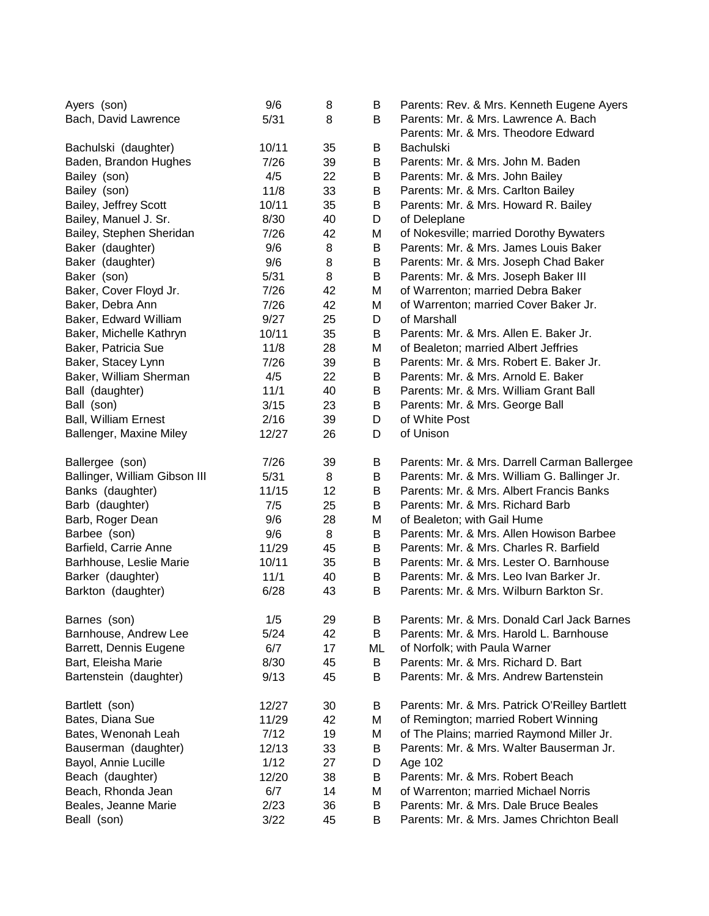| Ayers (son)                   | 9/6   | 8  | В  | Parents: Rev. & Mrs. Kenneth Eugene Ayers      |
|-------------------------------|-------|----|----|------------------------------------------------|
| Bach, David Lawrence          | 5/31  | 8  | В  | Parents: Mr. & Mrs. Lawrence A. Bach           |
|                               |       |    |    | Parents: Mr. & Mrs. Theodore Edward            |
| Bachulski (daughter)          | 10/11 | 35 | B  | <b>Bachulski</b>                               |
| Baden, Brandon Hughes         | 7/26  | 39 | B  | Parents: Mr. & Mrs. John M. Baden              |
| Bailey (son)                  | 4/5   | 22 | B  | Parents: Mr. & Mrs. John Bailey                |
| Bailey (son)                  | 11/8  | 33 | B  | Parents: Mr. & Mrs. Carlton Bailey             |
| Bailey, Jeffrey Scott         | 10/11 | 35 | B  | Parents: Mr. & Mrs. Howard R. Bailey           |
| Bailey, Manuel J. Sr.         | 8/30  | 40 | D  | of Deleplane                                   |
| Bailey, Stephen Sheridan      | 7/26  | 42 | Μ  | of Nokesville; married Dorothy Bywaters        |
| Baker (daughter)              | 9/6   | 8  | B  | Parents: Mr. & Mrs. James Louis Baker          |
| Baker (daughter)              | 9/6   | 8  | B  | Parents: Mr. & Mrs. Joseph Chad Baker          |
| Baker (son)                   | 5/31  | 8  | B  | Parents: Mr. & Mrs. Joseph Baker III           |
| Baker, Cover Floyd Jr.        | 7/26  | 42 | М  | of Warrenton; married Debra Baker              |
| Baker, Debra Ann              | 7/26  | 42 | М  | of Warrenton; married Cover Baker Jr.          |
| Baker, Edward William         | 9/27  | 25 | D  | of Marshall                                    |
| Baker, Michelle Kathryn       | 10/11 | 35 | B  | Parents: Mr. & Mrs. Allen E. Baker Jr.         |
| Baker, Patricia Sue           | 11/8  | 28 | М  | of Bealeton; married Albert Jeffries           |
| Baker, Stacey Lynn            | 7/26  | 39 | B  | Parents: Mr. & Mrs. Robert E. Baker Jr.        |
| Baker, William Sherman        | 4/5   | 22 | B  | Parents: Mr. & Mrs. Arnold E. Baker            |
| Ball (daughter)               | 11/1  | 40 | B  | Parents: Mr. & Mrs. William Grant Ball         |
| Ball (son)                    | 3/15  | 23 | B  | Parents: Mr. & Mrs. George Ball                |
| <b>Ball, William Ernest</b>   | 2/16  | 39 | D  | of White Post                                  |
| Ballenger, Maxine Miley       | 12/27 | 26 | D  | of Unison                                      |
|                               |       |    |    |                                                |
| Ballergee (son)               | 7/26  | 39 | B  | Parents: Mr. & Mrs. Darrell Carman Ballergee   |
| Ballinger, William Gibson III | 5/31  | 8  | B  | Parents: Mr. & Mrs. William G. Ballinger Jr.   |
| Banks (daughter)              | 11/15 | 12 | B  | Parents: Mr. & Mrs. Albert Francis Banks       |
| Barb (daughter)               | 7/5   | 25 | B  | Parents: Mr. & Mrs. Richard Barb               |
| Barb, Roger Dean              | 9/6   | 28 | М  | of Bealeton; with Gail Hume                    |
| Barbee (son)                  | 9/6   | 8  | B  | Parents: Mr. & Mrs. Allen Howison Barbee       |
| Barfield, Carrie Anne         | 11/29 | 45 | B  | Parents: Mr. & Mrs. Charles R. Barfield        |
| Barhhouse, Leslie Marie       | 10/11 | 35 | B  | Parents: Mr. & Mrs. Lester O. Barnhouse        |
| Barker (daughter)             | 11/1  | 40 | B  | Parents: Mr. & Mrs. Leo Ivan Barker Jr.        |
| Barkton (daughter)            | 6/28  | 43 | B  | Parents: Mr. & Mrs. Wilburn Barkton Sr.        |
|                               |       |    |    |                                                |
| Barnes (son)                  | 1/5   | 29 | B  | Parents: Mr. & Mrs. Donald Carl Jack Barnes    |
| Barnhouse, Andrew Lee         | 5/24  | 42 | B  | Parents: Mr. & Mrs. Harold L. Barnhouse        |
| Barrett, Dennis Eugene        | 6/7   | 17 | ML | of Norfolk; with Paula Warner                  |
| Bart, Eleisha Marie           | 8/30  | 45 | B  | Parents: Mr. & Mrs. Richard D. Bart            |
| Bartenstein (daughter)        | 9/13  | 45 | B  | Parents: Mr. & Mrs. Andrew Bartenstein         |
|                               |       |    |    |                                                |
| Bartlett (son)                | 12/27 | 30 | B  | Parents: Mr. & Mrs. Patrick O'Reilley Bartlett |
| Bates, Diana Sue              | 11/29 | 42 | М  | of Remington; married Robert Winning           |
| Bates, Wenonah Leah           | 7/12  | 19 | Μ  | of The Plains; married Raymond Miller Jr.      |
| Bauserman (daughter)          | 12/13 | 33 | B  | Parents: Mr. & Mrs. Walter Bauserman Jr.       |
| Bayol, Annie Lucille          | 1/12  | 27 | D  | Age 102                                        |
| Beach (daughter)              | 12/20 | 38 | B  | Parents: Mr. & Mrs. Robert Beach               |
| Beach, Rhonda Jean            | 6/7   | 14 | М  | of Warrenton; married Michael Norris           |
| Beales, Jeanne Marie          | 2/23  | 36 | В  | Parents: Mr. & Mrs. Dale Bruce Beales          |
| Beall (son)                   | 3/22  | 45 | B  | Parents: Mr. & Mrs. James Chrichton Beall      |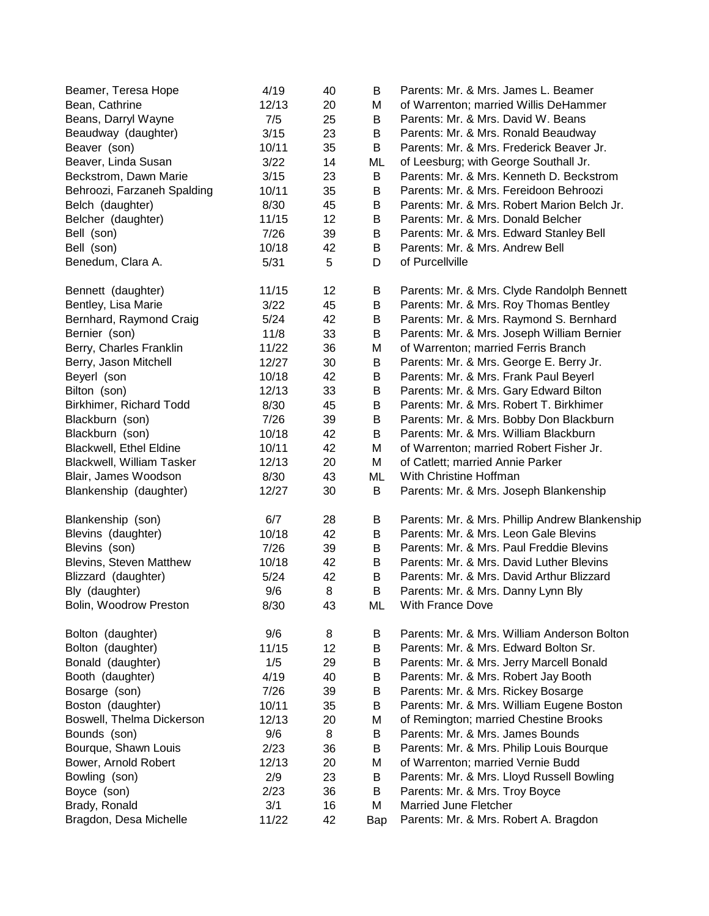| Beamer, Teresa Hope            | 4/19  | 40 | В   | Parents: Mr. & Mrs. James L. Beamer            |
|--------------------------------|-------|----|-----|------------------------------------------------|
| Bean, Cathrine                 | 12/13 | 20 | M   | of Warrenton; married Willis DeHammer          |
| Beans, Darryl Wayne            | 7/5   | 25 | B   | Parents: Mr. & Mrs. David W. Beans             |
| Beaudway (daughter)            | 3/15  | 23 | В   | Parents: Mr. & Mrs. Ronald Beaudway            |
| Beaver (son)                   | 10/11 | 35 | B   | Parents: Mr. & Mrs. Frederick Beaver Jr.       |
| Beaver, Linda Susan            | 3/22  | 14 | ML  | of Leesburg; with George Southall Jr.          |
| Beckstrom, Dawn Marie          | 3/15  | 23 | B   | Parents: Mr. & Mrs. Kenneth D. Beckstrom       |
| Behroozi, Farzaneh Spalding    | 10/11 | 35 | В   | Parents: Mr. & Mrs. Fereidoon Behroozi         |
| Belch (daughter)               | 8/30  | 45 | B   | Parents: Mr. & Mrs. Robert Marion Belch Jr.    |
| Belcher (daughter)             | 11/15 | 12 | В   | Parents: Mr. & Mrs. Donald Belcher             |
| Bell (son)                     | 7/26  | 39 | B   | Parents: Mr. & Mrs. Edward Stanley Bell        |
| Bell (son)                     | 10/18 | 42 | B   | Parents: Mr. & Mrs. Andrew Bell                |
| Benedum, Clara A.              | 5/31  | 5  | D   | of Purcellville                                |
| Bennett (daughter)             | 11/15 | 12 | B   | Parents: Mr. & Mrs. Clyde Randolph Bennett     |
| Bentley, Lisa Marie            | 3/22  | 45 | B   | Parents: Mr. & Mrs. Roy Thomas Bentley         |
| Bernhard, Raymond Craig        | 5/24  | 42 | B   | Parents: Mr. & Mrs. Raymond S. Bernhard        |
| Bernier (son)                  | 11/8  | 33 | B   | Parents: Mr. & Mrs. Joseph William Bernier     |
| Berry, Charles Franklin        | 11/22 | 36 | M   | of Warrenton; married Ferris Branch            |
| Berry, Jason Mitchell          | 12/27 | 30 | B   | Parents: Mr. & Mrs. George E. Berry Jr.        |
| Beyerl (son                    | 10/18 | 42 | В   | Parents: Mr. & Mrs. Frank Paul Beyerl          |
| Bilton (son)                   | 12/13 | 33 | B   | Parents: Mr. & Mrs. Gary Edward Bilton         |
| Birkhimer, Richard Todd        | 8/30  | 45 | B   | Parents: Mr. & Mrs. Robert T. Birkhimer        |
| Blackburn (son)                | 7/26  | 39 | B   | Parents: Mr. & Mrs. Bobby Don Blackburn        |
| Blackburn (son)                | 10/18 | 42 | B   | Parents: Mr. & Mrs. William Blackburn          |
| <b>Blackwell, Ethel Eldine</b> | 10/11 | 42 | M   | of Warrenton; married Robert Fisher Jr.        |
| Blackwell, William Tasker      | 12/13 | 20 | М   | of Catlett; married Annie Parker               |
| Blair, James Woodson           | 8/30  | 43 | ML  | With Christine Hoffman                         |
| Blankenship (daughter)         | 12/27 | 30 | B   | Parents: Mr. & Mrs. Joseph Blankenship         |
| Blankenship (son)              | 6/7   | 28 | B   | Parents: Mr. & Mrs. Phillip Andrew Blankenship |
| Blevins (daughter)             | 10/18 | 42 | В   | Parents: Mr. & Mrs. Leon Gale Blevins          |
| Blevins (son)                  | 7/26  | 39 | В   | Parents: Mr. & Mrs. Paul Freddie Blevins       |
| Blevins, Steven Matthew        | 10/18 | 42 | B   | Parents: Mr. & Mrs. David Luther Blevins       |
| Blizzard (daughter)            | 5/24  | 42 | B   | Parents: Mr. & Mrs. David Arthur Blizzard      |
| Bly (daughter)                 | 9/6   | 8  | B   | Parents: Mr. & Mrs. Danny Lynn Bly             |
| Bolin, Woodrow Preston         | 8/30  | 43 | ML  | With France Dove                               |
| Bolton (daughter)              | 9/6   | 8  | B   | Parents: Mr. & Mrs. William Anderson Bolton    |
| Bolton (daughter)              | 11/15 | 12 | B   | Parents: Mr. & Mrs. Edward Bolton Sr.          |
| Bonald (daughter)              | 1/5   | 29 | B   | Parents: Mr. & Mrs. Jerry Marcell Bonald       |
| Booth (daughter)               | 4/19  | 40 | B   | Parents: Mr. & Mrs. Robert Jay Booth           |
| Bosarge (son)                  | 7/26  | 39 | B   | Parents: Mr. & Mrs. Rickey Bosarge             |
| Boston (daughter)              | 10/11 | 35 | B   | Parents: Mr. & Mrs. William Eugene Boston      |
| Boswell, Thelma Dickerson      | 12/13 | 20 | Μ   | of Remington; married Chestine Brooks          |
| Bounds (son)                   | 9/6   | 8  | B   | Parents: Mr. & Mrs. James Bounds               |
| Bourque, Shawn Louis           | 2/23  | 36 | В   | Parents: Mr. & Mrs. Philip Louis Bourque       |
| Bower, Arnold Robert           | 12/13 | 20 | Μ   | of Warrenton; married Vernie Budd              |
| Bowling (son)                  | 2/9   | 23 | B   | Parents: Mr. & Mrs. Lloyd Russell Bowling      |
| Boyce (son)                    | 2/23  | 36 | B   | Parents: Mr. & Mrs. Troy Boyce                 |
| Brady, Ronald                  | 3/1   | 16 | M   | <b>Married June Fletcher</b>                   |
| Bragdon, Desa Michelle         | 11/22 | 42 | Bap | Parents: Mr. & Mrs. Robert A. Bragdon          |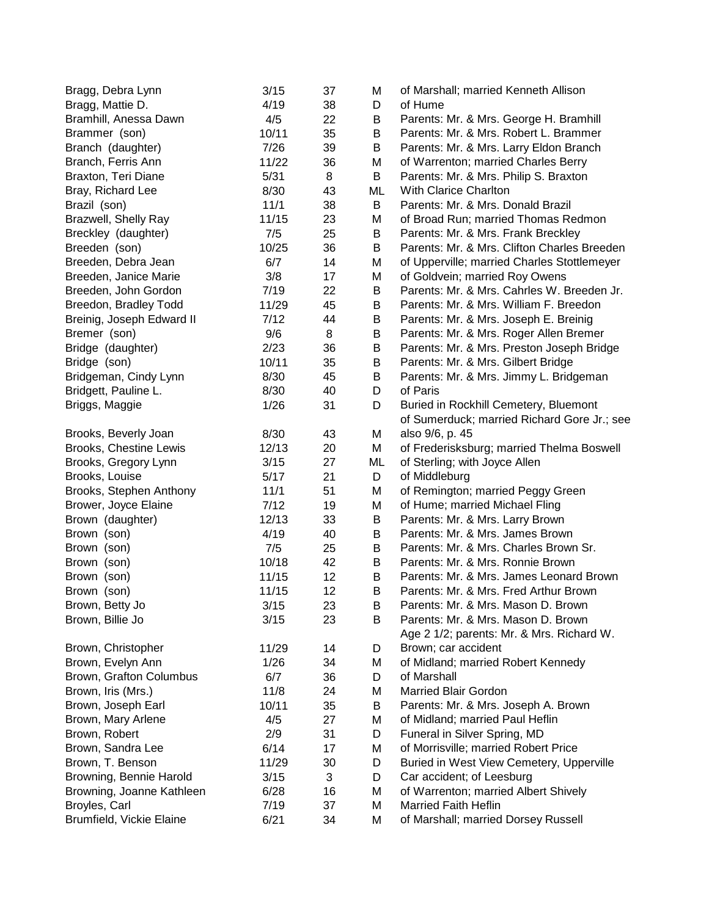| Bragg, Mattie D.<br>of Hume<br>4/19<br>38<br>D<br>Bramhill, Anessa Dawn<br>4/5<br>22<br>В<br>Parents: Mr. & Mrs. George H. Bramhill<br>Brammer (son)<br>10/11<br>35<br>B<br>Parents: Mr. & Mrs. Robert L. Brammer<br>7/26<br>Branch (daughter)<br>39<br>B<br>Parents: Mr. & Mrs. Larry Eldon Branch<br>11/22<br>Branch, Ferris Ann<br>36<br>of Warrenton; married Charles Berry<br>М<br>5/31<br>8<br>B<br>Parents: Mr. & Mrs. Philip S. Braxton<br>Braxton, Teri Diane<br>8/30<br>Bray, Richard Lee<br>43<br>ML<br>With Clarice Charlton<br>11/1<br>Brazil (son)<br>38<br>B<br>Parents: Mr. & Mrs. Donald Brazil<br>Brazwell, Shelly Ray<br>11/15<br>23<br>Μ<br>of Broad Run; married Thomas Redmon<br>7/5<br>25<br>Breckley (daughter)<br>Parents: Mr. & Mrs. Frank Breckley<br>В<br>36<br>Breeden (son)<br>10/25<br>В<br>Parents: Mr. & Mrs. Clifton Charles Breeden<br>Breeden, Debra Jean<br>6/7<br>of Upperville; married Charles Stottlemeyer<br>14<br>Μ<br>3/8<br>of Goldvein; married Roy Owens<br>Breeden, Janice Marie<br>17<br>М<br>22<br>Parents: Mr. & Mrs. Cahrles W. Breeden Jr.<br>Breeden, John Gordon<br>7/19<br>В<br>Breedon, Bradley Todd<br>45<br>Parents: Mr. & Mrs. William F. Breedon<br>11/29<br>В<br>Breinig, Joseph Edward II<br>7/12<br>44<br>B<br>Parents: Mr. & Mrs. Joseph E. Breinig<br>9/6<br>Bremer (son)<br>8<br>B<br>Parents: Mr. & Mrs. Roger Allen Bremer<br>Bridge (daughter)<br>2/23<br>Parents: Mr. & Mrs. Preston Joseph Bridge<br>36<br>B<br>Bridge (son)<br>10/11<br>Parents: Mr. & Mrs. Gilbert Bridge<br>35<br>B<br>Bridgeman, Cindy Lynn<br>8/30<br>Parents: Mr. & Mrs. Jimmy L. Bridgeman<br>45<br>B<br>of Paris<br>Bridgett, Pauline L.<br>8/30<br>D<br>40<br>Briggs, Maggie<br>1/26<br>31<br>Buried in Rockhill Cemetery, Bluemont<br>D<br>of Sumerduck; married Richard Gore Jr.; see<br>also 9/6, p. 45<br>8/30<br>Brooks, Beverly Joan<br>43<br>М<br>Brooks, Chestine Lewis<br>12/13<br>20<br>of Frederisksburg; married Thelma Boswell<br>Μ<br>Brooks, Gregory Lynn<br>3/15<br>27<br>of Sterling; with Joyce Allen<br>ML<br>of Middleburg<br>Brooks, Louise<br>21<br>D<br>5/17<br>Brooks, Stephen Anthony<br>11/1<br>51<br>of Remington; married Peggy Green<br>Μ<br>Brower, Joyce Elaine<br>7/12<br>of Hume; married Michael Fling<br>19<br>Μ<br>Parents: Mr. & Mrs. Larry Brown<br>Brown (daughter)<br>12/13<br>33<br>B<br>4/19<br>Parents: Mr. & Mrs. James Brown<br>Brown (son)<br>40<br>B<br>7/5<br>25<br>B<br>Parents: Mr. & Mrs. Charles Brown Sr.<br>Brown (son)<br>10/18<br>42<br>B<br>Parents: Mr. & Mrs. Ronnie Brown<br>Brown (son)<br>11/15<br>12<br>В<br>Parents: Mr. & Mrs. James Leonard Brown<br>Brown (son)<br>12<br>11/15<br>В<br>Parents: Mr. & Mrs. Fred Arthur Brown<br>Brown (son)<br>Brown, Betty Jo<br>3/15<br>23<br>Β<br>Parents: Mr. & Mrs. Mason D. Brown<br>23<br>3/15<br>Brown, Billie Jo<br>B<br>Parents: Mr. & Mrs. Mason D. Brown<br>Age 2 1/2; parents: Mr. & Mrs. Richard W.<br>11/29<br>Brown; car accident<br>Brown, Christopher<br>14<br>D<br>Brown, Evelyn Ann<br>1/26<br>of Midland; married Robert Kennedy<br>34<br>М<br>of Marshall<br>Brown, Grafton Columbus<br>6/7<br>36<br>D<br>Brown, Iris (Mrs.)<br>11/8<br><b>Married Blair Gordon</b><br>24<br>М<br>Brown, Joseph Earl<br>35<br>Parents: Mr. & Mrs. Joseph A. Brown<br>10/11<br>В<br>of Midland; married Paul Heflin<br>Brown, Mary Arlene<br>4/5<br>27<br>М<br>Brown, Robert<br>2/9<br>Funeral in Silver Spring, MD<br>31<br>D |
|-----------------------------------------------------------------------------------------------------------------------------------------------------------------------------------------------------------------------------------------------------------------------------------------------------------------------------------------------------------------------------------------------------------------------------------------------------------------------------------------------------------------------------------------------------------------------------------------------------------------------------------------------------------------------------------------------------------------------------------------------------------------------------------------------------------------------------------------------------------------------------------------------------------------------------------------------------------------------------------------------------------------------------------------------------------------------------------------------------------------------------------------------------------------------------------------------------------------------------------------------------------------------------------------------------------------------------------------------------------------------------------------------------------------------------------------------------------------------------------------------------------------------------------------------------------------------------------------------------------------------------------------------------------------------------------------------------------------------------------------------------------------------------------------------------------------------------------------------------------------------------------------------------------------------------------------------------------------------------------------------------------------------------------------------------------------------------------------------------------------------------------------------------------------------------------------------------------------------------------------------------------------------------------------------------------------------------------------------------------------------------------------------------------------------------------------------------------------------------------------------------------------------------------------------------------------------------------------------------------------------------------------------------------------------------------------------------------------------------------------------------------------------------------------------------------------------------------------------------------------------------------------------------------------------------------------------------------------------------------------------------------------------------------------------------------------------------------------------------------------------------------------------------------------------------------------------------------------------------------------------------------------------------------------------------------------------------------------------------------------------------------------------------------------------------------------------------------------------------------------|
|                                                                                                                                                                                                                                                                                                                                                                                                                                                                                                                                                                                                                                                                                                                                                                                                                                                                                                                                                                                                                                                                                                                                                                                                                                                                                                                                                                                                                                                                                                                                                                                                                                                                                                                                                                                                                                                                                                                                                                                                                                                                                                                                                                                                                                                                                                                                                                                                                                                                                                                                                                                                                                                                                                                                                                                                                                                                                                                                                                                                                                                                                                                                                                                                                                                                                                                                                                                                                                                                                         |
|                                                                                                                                                                                                                                                                                                                                                                                                                                                                                                                                                                                                                                                                                                                                                                                                                                                                                                                                                                                                                                                                                                                                                                                                                                                                                                                                                                                                                                                                                                                                                                                                                                                                                                                                                                                                                                                                                                                                                                                                                                                                                                                                                                                                                                                                                                                                                                                                                                                                                                                                                                                                                                                                                                                                                                                                                                                                                                                                                                                                                                                                                                                                                                                                                                                                                                                                                                                                                                                                                         |
|                                                                                                                                                                                                                                                                                                                                                                                                                                                                                                                                                                                                                                                                                                                                                                                                                                                                                                                                                                                                                                                                                                                                                                                                                                                                                                                                                                                                                                                                                                                                                                                                                                                                                                                                                                                                                                                                                                                                                                                                                                                                                                                                                                                                                                                                                                                                                                                                                                                                                                                                                                                                                                                                                                                                                                                                                                                                                                                                                                                                                                                                                                                                                                                                                                                                                                                                                                                                                                                                                         |
|                                                                                                                                                                                                                                                                                                                                                                                                                                                                                                                                                                                                                                                                                                                                                                                                                                                                                                                                                                                                                                                                                                                                                                                                                                                                                                                                                                                                                                                                                                                                                                                                                                                                                                                                                                                                                                                                                                                                                                                                                                                                                                                                                                                                                                                                                                                                                                                                                                                                                                                                                                                                                                                                                                                                                                                                                                                                                                                                                                                                                                                                                                                                                                                                                                                                                                                                                                                                                                                                                         |
|                                                                                                                                                                                                                                                                                                                                                                                                                                                                                                                                                                                                                                                                                                                                                                                                                                                                                                                                                                                                                                                                                                                                                                                                                                                                                                                                                                                                                                                                                                                                                                                                                                                                                                                                                                                                                                                                                                                                                                                                                                                                                                                                                                                                                                                                                                                                                                                                                                                                                                                                                                                                                                                                                                                                                                                                                                                                                                                                                                                                                                                                                                                                                                                                                                                                                                                                                                                                                                                                                         |
|                                                                                                                                                                                                                                                                                                                                                                                                                                                                                                                                                                                                                                                                                                                                                                                                                                                                                                                                                                                                                                                                                                                                                                                                                                                                                                                                                                                                                                                                                                                                                                                                                                                                                                                                                                                                                                                                                                                                                                                                                                                                                                                                                                                                                                                                                                                                                                                                                                                                                                                                                                                                                                                                                                                                                                                                                                                                                                                                                                                                                                                                                                                                                                                                                                                                                                                                                                                                                                                                                         |
|                                                                                                                                                                                                                                                                                                                                                                                                                                                                                                                                                                                                                                                                                                                                                                                                                                                                                                                                                                                                                                                                                                                                                                                                                                                                                                                                                                                                                                                                                                                                                                                                                                                                                                                                                                                                                                                                                                                                                                                                                                                                                                                                                                                                                                                                                                                                                                                                                                                                                                                                                                                                                                                                                                                                                                                                                                                                                                                                                                                                                                                                                                                                                                                                                                                                                                                                                                                                                                                                                         |
|                                                                                                                                                                                                                                                                                                                                                                                                                                                                                                                                                                                                                                                                                                                                                                                                                                                                                                                                                                                                                                                                                                                                                                                                                                                                                                                                                                                                                                                                                                                                                                                                                                                                                                                                                                                                                                                                                                                                                                                                                                                                                                                                                                                                                                                                                                                                                                                                                                                                                                                                                                                                                                                                                                                                                                                                                                                                                                                                                                                                                                                                                                                                                                                                                                                                                                                                                                                                                                                                                         |
|                                                                                                                                                                                                                                                                                                                                                                                                                                                                                                                                                                                                                                                                                                                                                                                                                                                                                                                                                                                                                                                                                                                                                                                                                                                                                                                                                                                                                                                                                                                                                                                                                                                                                                                                                                                                                                                                                                                                                                                                                                                                                                                                                                                                                                                                                                                                                                                                                                                                                                                                                                                                                                                                                                                                                                                                                                                                                                                                                                                                                                                                                                                                                                                                                                                                                                                                                                                                                                                                                         |
|                                                                                                                                                                                                                                                                                                                                                                                                                                                                                                                                                                                                                                                                                                                                                                                                                                                                                                                                                                                                                                                                                                                                                                                                                                                                                                                                                                                                                                                                                                                                                                                                                                                                                                                                                                                                                                                                                                                                                                                                                                                                                                                                                                                                                                                                                                                                                                                                                                                                                                                                                                                                                                                                                                                                                                                                                                                                                                                                                                                                                                                                                                                                                                                                                                                                                                                                                                                                                                                                                         |
|                                                                                                                                                                                                                                                                                                                                                                                                                                                                                                                                                                                                                                                                                                                                                                                                                                                                                                                                                                                                                                                                                                                                                                                                                                                                                                                                                                                                                                                                                                                                                                                                                                                                                                                                                                                                                                                                                                                                                                                                                                                                                                                                                                                                                                                                                                                                                                                                                                                                                                                                                                                                                                                                                                                                                                                                                                                                                                                                                                                                                                                                                                                                                                                                                                                                                                                                                                                                                                                                                         |
|                                                                                                                                                                                                                                                                                                                                                                                                                                                                                                                                                                                                                                                                                                                                                                                                                                                                                                                                                                                                                                                                                                                                                                                                                                                                                                                                                                                                                                                                                                                                                                                                                                                                                                                                                                                                                                                                                                                                                                                                                                                                                                                                                                                                                                                                                                                                                                                                                                                                                                                                                                                                                                                                                                                                                                                                                                                                                                                                                                                                                                                                                                                                                                                                                                                                                                                                                                                                                                                                                         |
|                                                                                                                                                                                                                                                                                                                                                                                                                                                                                                                                                                                                                                                                                                                                                                                                                                                                                                                                                                                                                                                                                                                                                                                                                                                                                                                                                                                                                                                                                                                                                                                                                                                                                                                                                                                                                                                                                                                                                                                                                                                                                                                                                                                                                                                                                                                                                                                                                                                                                                                                                                                                                                                                                                                                                                                                                                                                                                                                                                                                                                                                                                                                                                                                                                                                                                                                                                                                                                                                                         |
|                                                                                                                                                                                                                                                                                                                                                                                                                                                                                                                                                                                                                                                                                                                                                                                                                                                                                                                                                                                                                                                                                                                                                                                                                                                                                                                                                                                                                                                                                                                                                                                                                                                                                                                                                                                                                                                                                                                                                                                                                                                                                                                                                                                                                                                                                                                                                                                                                                                                                                                                                                                                                                                                                                                                                                                                                                                                                                                                                                                                                                                                                                                                                                                                                                                                                                                                                                                                                                                                                         |
|                                                                                                                                                                                                                                                                                                                                                                                                                                                                                                                                                                                                                                                                                                                                                                                                                                                                                                                                                                                                                                                                                                                                                                                                                                                                                                                                                                                                                                                                                                                                                                                                                                                                                                                                                                                                                                                                                                                                                                                                                                                                                                                                                                                                                                                                                                                                                                                                                                                                                                                                                                                                                                                                                                                                                                                                                                                                                                                                                                                                                                                                                                                                                                                                                                                                                                                                                                                                                                                                                         |
|                                                                                                                                                                                                                                                                                                                                                                                                                                                                                                                                                                                                                                                                                                                                                                                                                                                                                                                                                                                                                                                                                                                                                                                                                                                                                                                                                                                                                                                                                                                                                                                                                                                                                                                                                                                                                                                                                                                                                                                                                                                                                                                                                                                                                                                                                                                                                                                                                                                                                                                                                                                                                                                                                                                                                                                                                                                                                                                                                                                                                                                                                                                                                                                                                                                                                                                                                                                                                                                                                         |
|                                                                                                                                                                                                                                                                                                                                                                                                                                                                                                                                                                                                                                                                                                                                                                                                                                                                                                                                                                                                                                                                                                                                                                                                                                                                                                                                                                                                                                                                                                                                                                                                                                                                                                                                                                                                                                                                                                                                                                                                                                                                                                                                                                                                                                                                                                                                                                                                                                                                                                                                                                                                                                                                                                                                                                                                                                                                                                                                                                                                                                                                                                                                                                                                                                                                                                                                                                                                                                                                                         |
|                                                                                                                                                                                                                                                                                                                                                                                                                                                                                                                                                                                                                                                                                                                                                                                                                                                                                                                                                                                                                                                                                                                                                                                                                                                                                                                                                                                                                                                                                                                                                                                                                                                                                                                                                                                                                                                                                                                                                                                                                                                                                                                                                                                                                                                                                                                                                                                                                                                                                                                                                                                                                                                                                                                                                                                                                                                                                                                                                                                                                                                                                                                                                                                                                                                                                                                                                                                                                                                                                         |
|                                                                                                                                                                                                                                                                                                                                                                                                                                                                                                                                                                                                                                                                                                                                                                                                                                                                                                                                                                                                                                                                                                                                                                                                                                                                                                                                                                                                                                                                                                                                                                                                                                                                                                                                                                                                                                                                                                                                                                                                                                                                                                                                                                                                                                                                                                                                                                                                                                                                                                                                                                                                                                                                                                                                                                                                                                                                                                                                                                                                                                                                                                                                                                                                                                                                                                                                                                                                                                                                                         |
|                                                                                                                                                                                                                                                                                                                                                                                                                                                                                                                                                                                                                                                                                                                                                                                                                                                                                                                                                                                                                                                                                                                                                                                                                                                                                                                                                                                                                                                                                                                                                                                                                                                                                                                                                                                                                                                                                                                                                                                                                                                                                                                                                                                                                                                                                                                                                                                                                                                                                                                                                                                                                                                                                                                                                                                                                                                                                                                                                                                                                                                                                                                                                                                                                                                                                                                                                                                                                                                                                         |
|                                                                                                                                                                                                                                                                                                                                                                                                                                                                                                                                                                                                                                                                                                                                                                                                                                                                                                                                                                                                                                                                                                                                                                                                                                                                                                                                                                                                                                                                                                                                                                                                                                                                                                                                                                                                                                                                                                                                                                                                                                                                                                                                                                                                                                                                                                                                                                                                                                                                                                                                                                                                                                                                                                                                                                                                                                                                                                                                                                                                                                                                                                                                                                                                                                                                                                                                                                                                                                                                                         |
|                                                                                                                                                                                                                                                                                                                                                                                                                                                                                                                                                                                                                                                                                                                                                                                                                                                                                                                                                                                                                                                                                                                                                                                                                                                                                                                                                                                                                                                                                                                                                                                                                                                                                                                                                                                                                                                                                                                                                                                                                                                                                                                                                                                                                                                                                                                                                                                                                                                                                                                                                                                                                                                                                                                                                                                                                                                                                                                                                                                                                                                                                                                                                                                                                                                                                                                                                                                                                                                                                         |
|                                                                                                                                                                                                                                                                                                                                                                                                                                                                                                                                                                                                                                                                                                                                                                                                                                                                                                                                                                                                                                                                                                                                                                                                                                                                                                                                                                                                                                                                                                                                                                                                                                                                                                                                                                                                                                                                                                                                                                                                                                                                                                                                                                                                                                                                                                                                                                                                                                                                                                                                                                                                                                                                                                                                                                                                                                                                                                                                                                                                                                                                                                                                                                                                                                                                                                                                                                                                                                                                                         |
|                                                                                                                                                                                                                                                                                                                                                                                                                                                                                                                                                                                                                                                                                                                                                                                                                                                                                                                                                                                                                                                                                                                                                                                                                                                                                                                                                                                                                                                                                                                                                                                                                                                                                                                                                                                                                                                                                                                                                                                                                                                                                                                                                                                                                                                                                                                                                                                                                                                                                                                                                                                                                                                                                                                                                                                                                                                                                                                                                                                                                                                                                                                                                                                                                                                                                                                                                                                                                                                                                         |
|                                                                                                                                                                                                                                                                                                                                                                                                                                                                                                                                                                                                                                                                                                                                                                                                                                                                                                                                                                                                                                                                                                                                                                                                                                                                                                                                                                                                                                                                                                                                                                                                                                                                                                                                                                                                                                                                                                                                                                                                                                                                                                                                                                                                                                                                                                                                                                                                                                                                                                                                                                                                                                                                                                                                                                                                                                                                                                                                                                                                                                                                                                                                                                                                                                                                                                                                                                                                                                                                                         |
|                                                                                                                                                                                                                                                                                                                                                                                                                                                                                                                                                                                                                                                                                                                                                                                                                                                                                                                                                                                                                                                                                                                                                                                                                                                                                                                                                                                                                                                                                                                                                                                                                                                                                                                                                                                                                                                                                                                                                                                                                                                                                                                                                                                                                                                                                                                                                                                                                                                                                                                                                                                                                                                                                                                                                                                                                                                                                                                                                                                                                                                                                                                                                                                                                                                                                                                                                                                                                                                                                         |
|                                                                                                                                                                                                                                                                                                                                                                                                                                                                                                                                                                                                                                                                                                                                                                                                                                                                                                                                                                                                                                                                                                                                                                                                                                                                                                                                                                                                                                                                                                                                                                                                                                                                                                                                                                                                                                                                                                                                                                                                                                                                                                                                                                                                                                                                                                                                                                                                                                                                                                                                                                                                                                                                                                                                                                                                                                                                                                                                                                                                                                                                                                                                                                                                                                                                                                                                                                                                                                                                                         |
|                                                                                                                                                                                                                                                                                                                                                                                                                                                                                                                                                                                                                                                                                                                                                                                                                                                                                                                                                                                                                                                                                                                                                                                                                                                                                                                                                                                                                                                                                                                                                                                                                                                                                                                                                                                                                                                                                                                                                                                                                                                                                                                                                                                                                                                                                                                                                                                                                                                                                                                                                                                                                                                                                                                                                                                                                                                                                                                                                                                                                                                                                                                                                                                                                                                                                                                                                                                                                                                                                         |
|                                                                                                                                                                                                                                                                                                                                                                                                                                                                                                                                                                                                                                                                                                                                                                                                                                                                                                                                                                                                                                                                                                                                                                                                                                                                                                                                                                                                                                                                                                                                                                                                                                                                                                                                                                                                                                                                                                                                                                                                                                                                                                                                                                                                                                                                                                                                                                                                                                                                                                                                                                                                                                                                                                                                                                                                                                                                                                                                                                                                                                                                                                                                                                                                                                                                                                                                                                                                                                                                                         |
|                                                                                                                                                                                                                                                                                                                                                                                                                                                                                                                                                                                                                                                                                                                                                                                                                                                                                                                                                                                                                                                                                                                                                                                                                                                                                                                                                                                                                                                                                                                                                                                                                                                                                                                                                                                                                                                                                                                                                                                                                                                                                                                                                                                                                                                                                                                                                                                                                                                                                                                                                                                                                                                                                                                                                                                                                                                                                                                                                                                                                                                                                                                                                                                                                                                                                                                                                                                                                                                                                         |
|                                                                                                                                                                                                                                                                                                                                                                                                                                                                                                                                                                                                                                                                                                                                                                                                                                                                                                                                                                                                                                                                                                                                                                                                                                                                                                                                                                                                                                                                                                                                                                                                                                                                                                                                                                                                                                                                                                                                                                                                                                                                                                                                                                                                                                                                                                                                                                                                                                                                                                                                                                                                                                                                                                                                                                                                                                                                                                                                                                                                                                                                                                                                                                                                                                                                                                                                                                                                                                                                                         |
|                                                                                                                                                                                                                                                                                                                                                                                                                                                                                                                                                                                                                                                                                                                                                                                                                                                                                                                                                                                                                                                                                                                                                                                                                                                                                                                                                                                                                                                                                                                                                                                                                                                                                                                                                                                                                                                                                                                                                                                                                                                                                                                                                                                                                                                                                                                                                                                                                                                                                                                                                                                                                                                                                                                                                                                                                                                                                                                                                                                                                                                                                                                                                                                                                                                                                                                                                                                                                                                                                         |
|                                                                                                                                                                                                                                                                                                                                                                                                                                                                                                                                                                                                                                                                                                                                                                                                                                                                                                                                                                                                                                                                                                                                                                                                                                                                                                                                                                                                                                                                                                                                                                                                                                                                                                                                                                                                                                                                                                                                                                                                                                                                                                                                                                                                                                                                                                                                                                                                                                                                                                                                                                                                                                                                                                                                                                                                                                                                                                                                                                                                                                                                                                                                                                                                                                                                                                                                                                                                                                                                                         |
|                                                                                                                                                                                                                                                                                                                                                                                                                                                                                                                                                                                                                                                                                                                                                                                                                                                                                                                                                                                                                                                                                                                                                                                                                                                                                                                                                                                                                                                                                                                                                                                                                                                                                                                                                                                                                                                                                                                                                                                                                                                                                                                                                                                                                                                                                                                                                                                                                                                                                                                                                                                                                                                                                                                                                                                                                                                                                                                                                                                                                                                                                                                                                                                                                                                                                                                                                                                                                                                                                         |
|                                                                                                                                                                                                                                                                                                                                                                                                                                                                                                                                                                                                                                                                                                                                                                                                                                                                                                                                                                                                                                                                                                                                                                                                                                                                                                                                                                                                                                                                                                                                                                                                                                                                                                                                                                                                                                                                                                                                                                                                                                                                                                                                                                                                                                                                                                                                                                                                                                                                                                                                                                                                                                                                                                                                                                                                                                                                                                                                                                                                                                                                                                                                                                                                                                                                                                                                                                                                                                                                                         |
|                                                                                                                                                                                                                                                                                                                                                                                                                                                                                                                                                                                                                                                                                                                                                                                                                                                                                                                                                                                                                                                                                                                                                                                                                                                                                                                                                                                                                                                                                                                                                                                                                                                                                                                                                                                                                                                                                                                                                                                                                                                                                                                                                                                                                                                                                                                                                                                                                                                                                                                                                                                                                                                                                                                                                                                                                                                                                                                                                                                                                                                                                                                                                                                                                                                                                                                                                                                                                                                                                         |
|                                                                                                                                                                                                                                                                                                                                                                                                                                                                                                                                                                                                                                                                                                                                                                                                                                                                                                                                                                                                                                                                                                                                                                                                                                                                                                                                                                                                                                                                                                                                                                                                                                                                                                                                                                                                                                                                                                                                                                                                                                                                                                                                                                                                                                                                                                                                                                                                                                                                                                                                                                                                                                                                                                                                                                                                                                                                                                                                                                                                                                                                                                                                                                                                                                                                                                                                                                                                                                                                                         |
|                                                                                                                                                                                                                                                                                                                                                                                                                                                                                                                                                                                                                                                                                                                                                                                                                                                                                                                                                                                                                                                                                                                                                                                                                                                                                                                                                                                                                                                                                                                                                                                                                                                                                                                                                                                                                                                                                                                                                                                                                                                                                                                                                                                                                                                                                                                                                                                                                                                                                                                                                                                                                                                                                                                                                                                                                                                                                                                                                                                                                                                                                                                                                                                                                                                                                                                                                                                                                                                                                         |
|                                                                                                                                                                                                                                                                                                                                                                                                                                                                                                                                                                                                                                                                                                                                                                                                                                                                                                                                                                                                                                                                                                                                                                                                                                                                                                                                                                                                                                                                                                                                                                                                                                                                                                                                                                                                                                                                                                                                                                                                                                                                                                                                                                                                                                                                                                                                                                                                                                                                                                                                                                                                                                                                                                                                                                                                                                                                                                                                                                                                                                                                                                                                                                                                                                                                                                                                                                                                                                                                                         |
|                                                                                                                                                                                                                                                                                                                                                                                                                                                                                                                                                                                                                                                                                                                                                                                                                                                                                                                                                                                                                                                                                                                                                                                                                                                                                                                                                                                                                                                                                                                                                                                                                                                                                                                                                                                                                                                                                                                                                                                                                                                                                                                                                                                                                                                                                                                                                                                                                                                                                                                                                                                                                                                                                                                                                                                                                                                                                                                                                                                                                                                                                                                                                                                                                                                                                                                                                                                                                                                                                         |
|                                                                                                                                                                                                                                                                                                                                                                                                                                                                                                                                                                                                                                                                                                                                                                                                                                                                                                                                                                                                                                                                                                                                                                                                                                                                                                                                                                                                                                                                                                                                                                                                                                                                                                                                                                                                                                                                                                                                                                                                                                                                                                                                                                                                                                                                                                                                                                                                                                                                                                                                                                                                                                                                                                                                                                                                                                                                                                                                                                                                                                                                                                                                                                                                                                                                                                                                                                                                                                                                                         |
|                                                                                                                                                                                                                                                                                                                                                                                                                                                                                                                                                                                                                                                                                                                                                                                                                                                                                                                                                                                                                                                                                                                                                                                                                                                                                                                                                                                                                                                                                                                                                                                                                                                                                                                                                                                                                                                                                                                                                                                                                                                                                                                                                                                                                                                                                                                                                                                                                                                                                                                                                                                                                                                                                                                                                                                                                                                                                                                                                                                                                                                                                                                                                                                                                                                                                                                                                                                                                                                                                         |
|                                                                                                                                                                                                                                                                                                                                                                                                                                                                                                                                                                                                                                                                                                                                                                                                                                                                                                                                                                                                                                                                                                                                                                                                                                                                                                                                                                                                                                                                                                                                                                                                                                                                                                                                                                                                                                                                                                                                                                                                                                                                                                                                                                                                                                                                                                                                                                                                                                                                                                                                                                                                                                                                                                                                                                                                                                                                                                                                                                                                                                                                                                                                                                                                                                                                                                                                                                                                                                                                                         |
|                                                                                                                                                                                                                                                                                                                                                                                                                                                                                                                                                                                                                                                                                                                                                                                                                                                                                                                                                                                                                                                                                                                                                                                                                                                                                                                                                                                                                                                                                                                                                                                                                                                                                                                                                                                                                                                                                                                                                                                                                                                                                                                                                                                                                                                                                                                                                                                                                                                                                                                                                                                                                                                                                                                                                                                                                                                                                                                                                                                                                                                                                                                                                                                                                                                                                                                                                                                                                                                                                         |
|                                                                                                                                                                                                                                                                                                                                                                                                                                                                                                                                                                                                                                                                                                                                                                                                                                                                                                                                                                                                                                                                                                                                                                                                                                                                                                                                                                                                                                                                                                                                                                                                                                                                                                                                                                                                                                                                                                                                                                                                                                                                                                                                                                                                                                                                                                                                                                                                                                                                                                                                                                                                                                                                                                                                                                                                                                                                                                                                                                                                                                                                                                                                                                                                                                                                                                                                                                                                                                                                                         |
| Brown, Sandra Lee<br>6/14<br>of Morrisville; married Robert Price<br>17<br>М                                                                                                                                                                                                                                                                                                                                                                                                                                                                                                                                                                                                                                                                                                                                                                                                                                                                                                                                                                                                                                                                                                                                                                                                                                                                                                                                                                                                                                                                                                                                                                                                                                                                                                                                                                                                                                                                                                                                                                                                                                                                                                                                                                                                                                                                                                                                                                                                                                                                                                                                                                                                                                                                                                                                                                                                                                                                                                                                                                                                                                                                                                                                                                                                                                                                                                                                                                                                            |
| Buried in West View Cemetery, Upperville<br>Brown, T. Benson<br>11/29<br>30<br>D                                                                                                                                                                                                                                                                                                                                                                                                                                                                                                                                                                                                                                                                                                                                                                                                                                                                                                                                                                                                                                                                                                                                                                                                                                                                                                                                                                                                                                                                                                                                                                                                                                                                                                                                                                                                                                                                                                                                                                                                                                                                                                                                                                                                                                                                                                                                                                                                                                                                                                                                                                                                                                                                                                                                                                                                                                                                                                                                                                                                                                                                                                                                                                                                                                                                                                                                                                                                        |
| Browning, Bennie Harold<br>3/15<br>Car accident; of Leesburg<br>3<br>D                                                                                                                                                                                                                                                                                                                                                                                                                                                                                                                                                                                                                                                                                                                                                                                                                                                                                                                                                                                                                                                                                                                                                                                                                                                                                                                                                                                                                                                                                                                                                                                                                                                                                                                                                                                                                                                                                                                                                                                                                                                                                                                                                                                                                                                                                                                                                                                                                                                                                                                                                                                                                                                                                                                                                                                                                                                                                                                                                                                                                                                                                                                                                                                                                                                                                                                                                                                                                  |
|                                                                                                                                                                                                                                                                                                                                                                                                                                                                                                                                                                                                                                                                                                                                                                                                                                                                                                                                                                                                                                                                                                                                                                                                                                                                                                                                                                                                                                                                                                                                                                                                                                                                                                                                                                                                                                                                                                                                                                                                                                                                                                                                                                                                                                                                                                                                                                                                                                                                                                                                                                                                                                                                                                                                                                                                                                                                                                                                                                                                                                                                                                                                                                                                                                                                                                                                                                                                                                                                                         |
| 16<br>М                                                                                                                                                                                                                                                                                                                                                                                                                                                                                                                                                                                                                                                                                                                                                                                                                                                                                                                                                                                                                                                                                                                                                                                                                                                                                                                                                                                                                                                                                                                                                                                                                                                                                                                                                                                                                                                                                                                                                                                                                                                                                                                                                                                                                                                                                                                                                                                                                                                                                                                                                                                                                                                                                                                                                                                                                                                                                                                                                                                                                                                                                                                                                                                                                                                                                                                                                                                                                                                                                 |
| Browning, Joanne Kathleen<br>6/28<br>of Warrenton; married Albert Shively<br>Broyles, Carl<br><b>Married Faith Heflin</b><br>7/19<br>37<br>М                                                                                                                                                                                                                                                                                                                                                                                                                                                                                                                                                                                                                                                                                                                                                                                                                                                                                                                                                                                                                                                                                                                                                                                                                                                                                                                                                                                                                                                                                                                                                                                                                                                                                                                                                                                                                                                                                                                                                                                                                                                                                                                                                                                                                                                                                                                                                                                                                                                                                                                                                                                                                                                                                                                                                                                                                                                                                                                                                                                                                                                                                                                                                                                                                                                                                                                                            |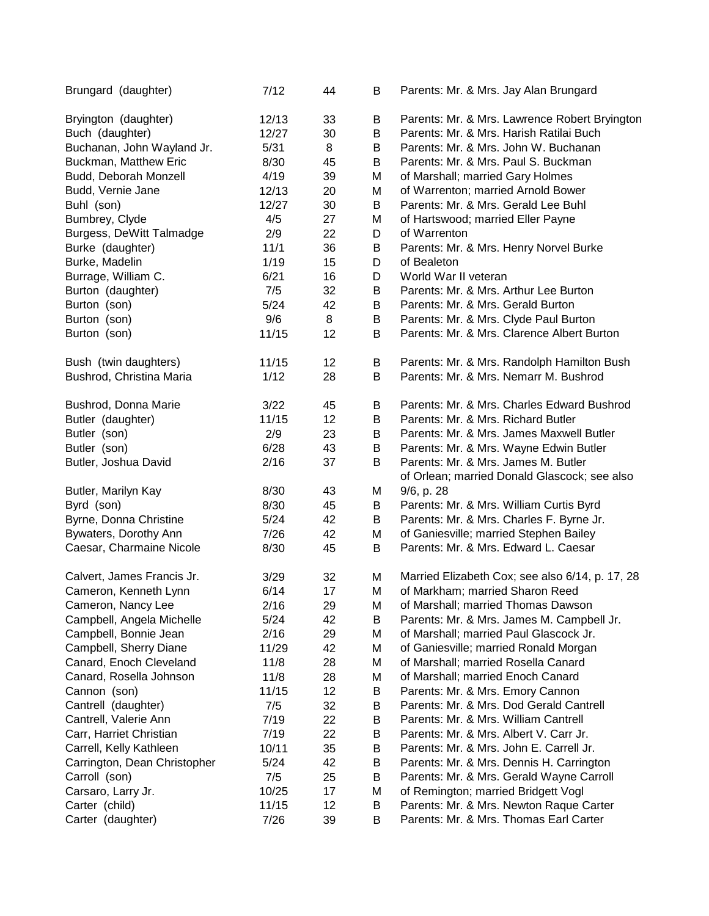| Brungard (daughter)          | 7/12  | 44 | B | Parents: Mr. & Mrs. Jay Alan Brungard                                               |
|------------------------------|-------|----|---|-------------------------------------------------------------------------------------|
| Bryington (daughter)         | 12/13 | 33 | В | Parents: Mr. & Mrs. Lawrence Robert Bryington                                       |
| Buch (daughter)              | 12/27 | 30 | B | Parents: Mr. & Mrs. Harish Ratilai Buch                                             |
| Buchanan, John Wayland Jr.   | 5/31  | 8  | В | Parents: Mr. & Mrs. John W. Buchanan                                                |
| Buckman, Matthew Eric        | 8/30  | 45 | В | Parents: Mr. & Mrs. Paul S. Buckman                                                 |
| Budd, Deborah Monzell        | 4/19  | 39 | М | of Marshall; married Gary Holmes                                                    |
| Budd, Vernie Jane            | 12/13 | 20 | M | of Warrenton; married Arnold Bower                                                  |
| Buhl (son)                   | 12/27 | 30 | B | Parents: Mr. & Mrs. Gerald Lee Buhl                                                 |
| Bumbrey, Clyde               | 4/5   | 27 | M | of Hartswood; married Eller Payne                                                   |
| Burgess, DeWitt Talmadge     | 2/9   | 22 | D | of Warrenton                                                                        |
| Burke (daughter)             | 11/1  | 36 | B | Parents: Mr. & Mrs. Henry Norvel Burke                                              |
| Burke, Madelin               | 1/19  | 15 | D | of Bealeton                                                                         |
| Burrage, William C.          | 6/21  | 16 | D | World War II veteran                                                                |
| Burton (daughter)            | 7/5   | 32 | В | Parents: Mr. & Mrs. Arthur Lee Burton                                               |
| Burton (son)                 | 5/24  | 42 | В | Parents: Mr. & Mrs. Gerald Burton                                                   |
| Burton (son)                 | 9/6   | 8  | В | Parents: Mr. & Mrs. Clyde Paul Burton                                               |
| Burton (son)                 | 11/15 | 12 | B | Parents: Mr. & Mrs. Clarence Albert Burton                                          |
|                              |       |    |   |                                                                                     |
| Bush (twin daughters)        | 11/15 | 12 | В | Parents: Mr. & Mrs. Randolph Hamilton Bush                                          |
| Bushrod, Christina Maria     | 1/12  | 28 | B | Parents: Mr. & Mrs. Nemarr M. Bushrod                                               |
| Bushrod, Donna Marie         | 3/22  | 45 | В | Parents: Mr. & Mrs. Charles Edward Bushrod                                          |
| Butler (daughter)            | 11/15 | 12 | B | Parents: Mr. & Mrs. Richard Butler                                                  |
| Butler (son)                 | 2/9   | 23 | B | Parents: Mr. & Mrs. James Maxwell Butler                                            |
| Butler (son)                 | 6/28  | 43 | B | Parents: Mr. & Mrs. Wayne Edwin Butler                                              |
| Butler, Joshua David         | 2/16  | 37 | B | Parents: Mr. & Mrs. James M. Butler<br>of Orlean; married Donald Glascock; see also |
| Butler, Marilyn Kay          | 8/30  | 43 | M | 9/6, p. 28                                                                          |
| Byrd (son)                   | 8/30  | 45 | B | Parents: Mr. & Mrs. William Curtis Byrd                                             |
| Byrne, Donna Christine       | 5/24  | 42 | B | Parents: Mr. & Mrs. Charles F. Byrne Jr.                                            |
| Bywaters, Dorothy Ann        | 7/26  | 42 | М | of Ganiesville; married Stephen Bailey                                              |
| Caesar, Charmaine Nicole     | 8/30  | 45 | B | Parents: Mr. & Mrs. Edward L. Caesar                                                |
| Calvert, James Francis Jr.   | 3/29  | 32 | М | Married Elizabeth Cox; see also 6/14, p. 17, 28                                     |
| Cameron, Kenneth Lynn        | 6/14  | 17 | M | of Markham; married Sharon Reed                                                     |
| Cameron, Nancy Lee           | 2/16  | 29 | M | of Marshall; married Thomas Dawson                                                  |
| Campbell, Angela Michelle    | 5/24  | 42 | Β | Parents: Mr. & Mrs. James M. Campbell Jr.                                           |
| Campbell, Bonnie Jean        | 2/16  | 29 | М | of Marshall; married Paul Glascock Jr.                                              |
| Campbell, Sherry Diane       | 11/29 | 42 | М | of Ganiesville; married Ronald Morgan                                               |
| Canard, Enoch Cleveland      | 11/8  | 28 | M | of Marshall; married Rosella Canard                                                 |
| Canard, Rosella Johnson      | 11/8  | 28 | М | of Marshall; married Enoch Canard                                                   |
| Cannon (son)                 | 11/15 | 12 | В | Parents: Mr. & Mrs. Emory Cannon                                                    |
| Cantrell (daughter)          | 7/5   | 32 | В | Parents: Mr. & Mrs. Dod Gerald Cantrell                                             |
| Cantrell, Valerie Ann        | 7/19  | 22 | B | Parents: Mr. & Mrs. William Cantrell                                                |
| Carr, Harriet Christian      | 7/19  | 22 | В | Parents: Mr. & Mrs. Albert V. Carr Jr.                                              |
| Carrell, Kelly Kathleen      | 10/11 | 35 | B | Parents: Mr. & Mrs. John E. Carrell Jr.                                             |
| Carrington, Dean Christopher | 5/24  | 42 | B | Parents: Mr. & Mrs. Dennis H. Carrington                                            |
| Carroll (son)                | 7/5   | 25 | B | Parents: Mr. & Mrs. Gerald Wayne Carroll                                            |
| Carsaro, Larry Jr.           | 10/25 | 17 | M | of Remington; married Bridgett Vogl                                                 |
| Carter (child)               | 11/15 | 12 | В | Parents: Mr. & Mrs. Newton Raque Carter                                             |
| Carter (daughter)            | 7/26  | 39 | В | Parents: Mr. & Mrs. Thomas Earl Carter                                              |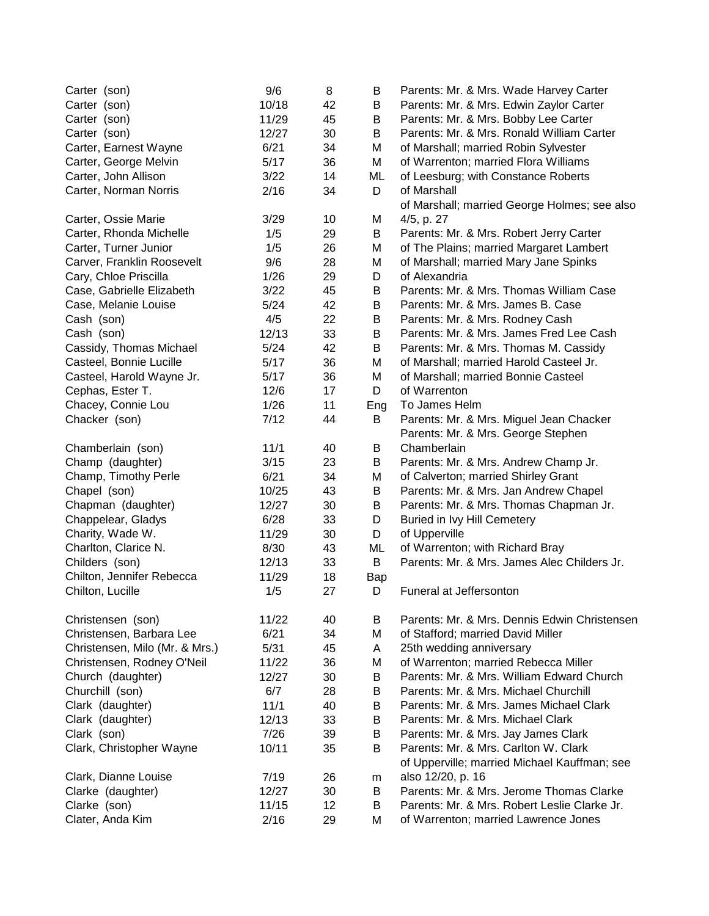| Carter (son)                   | 9/6   | 8  | B   | Parents: Mr. & Mrs. Wade Harvey Carter       |
|--------------------------------|-------|----|-----|----------------------------------------------|
| Carter (son)                   | 10/18 | 42 | B   | Parents: Mr. & Mrs. Edwin Zaylor Carter      |
| Carter (son)                   | 11/29 | 45 | B   | Parents: Mr. & Mrs. Bobby Lee Carter         |
| Carter (son)                   | 12/27 | 30 | B   | Parents: Mr. & Mrs. Ronald William Carter    |
| Carter, Earnest Wayne          | 6/21  | 34 | M   | of Marshall; married Robin Sylvester         |
| Carter, George Melvin          | 5/17  | 36 | М   | of Warrenton; married Flora Williams         |
| Carter, John Allison           | 3/22  | 14 | ML  | of Leesburg; with Constance Roberts          |
| Carter, Norman Norris          | 2/16  | 34 | D   | of Marshall                                  |
|                                |       |    |     | of Marshall; married George Holmes; see also |
| Carter, Ossie Marie            | 3/29  | 10 | M   | 4/5, p. 27                                   |
| Carter, Rhonda Michelle        | 1/5   | 29 | B   | Parents: Mr. & Mrs. Robert Jerry Carter      |
| Carter, Turner Junior          | 1/5   | 26 | M   | of The Plains; married Margaret Lambert      |
| Carver, Franklin Roosevelt     | 9/6   | 28 | M   | of Marshall; married Mary Jane Spinks        |
| Cary, Chloe Priscilla          | 1/26  | 29 | D   | of Alexandria                                |
| Case, Gabrielle Elizabeth      | 3/22  | 45 | B   | Parents: Mr. & Mrs. Thomas William Case      |
| Case, Melanie Louise           | 5/24  | 42 | B   | Parents: Mr. & Mrs. James B. Case            |
| Cash (son)                     | 4/5   | 22 | B   | Parents: Mr. & Mrs. Rodney Cash              |
| Cash (son)                     | 12/13 | 33 | B   | Parents: Mr. & Mrs. James Fred Lee Cash      |
| Cassidy, Thomas Michael        | 5/24  | 42 | B   | Parents: Mr. & Mrs. Thomas M. Cassidy        |
| Casteel, Bonnie Lucille        | 5/17  | 36 | M   | of Marshall; married Harold Casteel Jr.      |
| Casteel, Harold Wayne Jr.      | 5/17  | 36 | M   | of Marshall; married Bonnie Casteel          |
| Cephas, Ester T.               | 12/6  | 17 | D   | of Warrenton                                 |
| Chacey, Connie Lou             | 1/26  | 11 | Eng | To James Helm                                |
| Chacker (son)                  | 7/12  | 44 | B   | Parents: Mr. & Mrs. Miguel Jean Chacker      |
|                                |       |    |     | Parents: Mr. & Mrs. George Stephen           |
| Chamberlain (son)              | 11/1  | 40 | B   | Chamberlain                                  |
| Champ (daughter)               | 3/15  | 23 | B   | Parents: Mr. & Mrs. Andrew Champ Jr.         |
| Champ, Timothy Perle           | 6/21  | 34 | M   | of Calverton; married Shirley Grant          |
| Chapel (son)                   | 10/25 | 43 | B   | Parents: Mr. & Mrs. Jan Andrew Chapel        |
| Chapman (daughter)             | 12/27 | 30 | B   | Parents: Mr. & Mrs. Thomas Chapman Jr.       |
| Chappelear, Gladys             | 6/28  | 33 | D   | Buried in Ivy Hill Cemetery                  |
| Charity, Wade W.               | 11/29 | 30 | D   | of Upperville                                |
| Charlton, Clarice N.           | 8/30  | 43 | ML  | of Warrenton; with Richard Bray              |
| Childers (son)                 | 12/13 | 33 | B   | Parents: Mr. & Mrs. James Alec Childers Jr.  |
| Chilton, Jennifer Rebecca      | 11/29 | 18 | Bap |                                              |
| Chilton, Lucille               | 1/5   | 27 | D   | Funeral at Jeffersonton                      |
| Christensen (son)              | 11/22 | 40 | B   | Parents: Mr. & Mrs. Dennis Edwin Christensen |
| Christensen, Barbara Lee       | 6/21  | 34 | M   | of Stafford; married David Miller            |
| Christensen, Milo (Mr. & Mrs.) | 5/31  | 45 | A   | 25th wedding anniversary                     |
| Christensen, Rodney O'Neil     | 11/22 | 36 | M   | of Warrenton; married Rebecca Miller         |
| Church (daughter)              | 12/27 | 30 | В   | Parents: Mr. & Mrs. William Edward Church    |
| Churchill (son)                | 6/7   | 28 | В   | Parents: Mr. & Mrs. Michael Churchill        |
| Clark (daughter)               | 11/1  | 40 | В   | Parents: Mr. & Mrs. James Michael Clark      |
| Clark (daughter)               | 12/13 | 33 | В   | Parents: Mr. & Mrs. Michael Clark            |
| Clark (son)                    | 7/26  | 39 | В   | Parents: Mr. & Mrs. Jay James Clark          |
| Clark, Christopher Wayne       | 10/11 | 35 | B   | Parents: Mr. & Mrs. Carlton W. Clark         |
|                                |       |    |     | of Upperville; married Michael Kauffman; see |
| Clark, Dianne Louise           | 7/19  | 26 | m   | also 12/20, p. 16                            |
| Clarke (daughter)              | 12/27 | 30 | B   | Parents: Mr. & Mrs. Jerome Thomas Clarke     |
| Clarke (son)                   | 11/15 | 12 | B   | Parents: Mr. & Mrs. Robert Leslie Clarke Jr. |
| Clater, Anda Kim               | 2/16  | 29 | M   | of Warrenton; married Lawrence Jones         |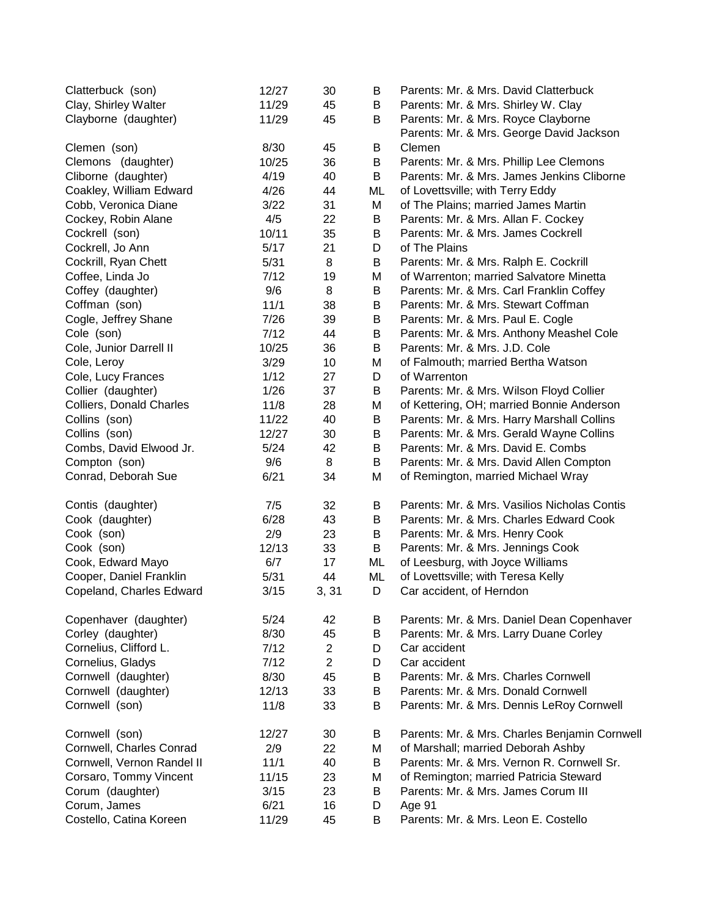| Clatterbuck (son)          | 12/27 | 30             | B  | Parents: Mr. & Mrs. David Clatterbuck         |
|----------------------------|-------|----------------|----|-----------------------------------------------|
| Clay, Shirley Walter       | 11/29 | 45             | В  | Parents: Mr. & Mrs. Shirley W. Clay           |
| Clayborne (daughter)       | 11/29 | 45             | В  | Parents: Mr. & Mrs. Royce Clayborne           |
|                            |       |                |    | Parents: Mr. & Mrs. George David Jackson      |
| Clemen (son)               | 8/30  | 45             | В  | Clemen                                        |
| Clemons (daughter)         | 10/25 | 36             | B  | Parents: Mr. & Mrs. Phillip Lee Clemons       |
| Cliborne (daughter)        | 4/19  | 40             | B  | Parents: Mr. & Mrs. James Jenkins Cliborne    |
| Coakley, William Edward    | 4/26  | 44             | ML | of Lovettsville; with Terry Eddy              |
| Cobb, Veronica Diane       | 3/22  | 31             | M  | of The Plains; married James Martin           |
| Cockey, Robin Alane        | 4/5   | 22             | B  | Parents: Mr. & Mrs. Allan F. Cockey           |
| Cockrell (son)             | 10/11 | 35             | B  | Parents: Mr. & Mrs. James Cockrell            |
| Cockrell, Jo Ann           | 5/17  | 21             | D  | of The Plains                                 |
| Cockrill, Ryan Chett       | 5/31  | 8              | B  | Parents: Mr. & Mrs. Ralph E. Cockrill         |
| Coffee, Linda Jo           | 7/12  | 19             | M  | of Warrenton; married Salvatore Minetta       |
| Coffey (daughter)          | 9/6   | 8              | B  | Parents: Mr. & Mrs. Carl Franklin Coffey      |
| Coffman (son)              | 11/1  | 38             | B  | Parents: Mr. & Mrs. Stewart Coffman           |
| Cogle, Jeffrey Shane       | 7/26  | 39             | B  | Parents: Mr. & Mrs. Paul E. Cogle             |
| Cole (son)                 | 7/12  | 44             | B  | Parents: Mr. & Mrs. Anthony Meashel Cole      |
| Cole, Junior Darrell II    | 10/25 | 36             | B  | Parents: Mr. & Mrs. J.D. Cole                 |
| Cole, Leroy                | 3/29  | 10             | M  | of Falmouth; married Bertha Watson            |
| Cole, Lucy Frances         | 1/12  | 27             | D  | of Warrenton                                  |
| Collier (daughter)         | 1/26  | 37             | В  | Parents: Mr. & Mrs. Wilson Floyd Collier      |
| Colliers, Donald Charles   | 11/8  | 28             | M  | of Kettering, OH; married Bonnie Anderson     |
| Collins (son)              | 11/22 | 40             | B  | Parents: Mr. & Mrs. Harry Marshall Collins    |
| Collins (son)              | 12/27 | 30             | B  | Parents: Mr. & Mrs. Gerald Wayne Collins      |
| Combs, David Elwood Jr.    | 5/24  | 42             | B  | Parents: Mr. & Mrs. David E. Combs            |
| Compton (son)              | 9/6   | 8              | B  | Parents: Mr. & Mrs. David Allen Compton       |
| Conrad, Deborah Sue        | 6/21  | 34             | M  | of Remington, married Michael Wray            |
| Contis (daughter)          | 7/5   | 32             | В  | Parents: Mr. & Mrs. Vasilios Nicholas Contis  |
| Cook (daughter)            | 6/28  | 43             | B  | Parents: Mr. & Mrs. Charles Edward Cook       |
| Cook (son)                 | 2/9   | 23             | B  | Parents: Mr. & Mrs. Henry Cook                |
| Cook (son)                 | 12/13 | 33             | B  | Parents: Mr. & Mrs. Jennings Cook             |
| Cook, Edward Mayo          | 6/7   | 17             | ML | of Leesburg, with Joyce Williams              |
| Cooper, Daniel Franklin    | 5/31  | 44             | ML | of Lovettsville; with Teresa Kelly            |
| Copeland, Charles Edward   | 3/15  | 3, 31          | D  | Car accident, of Herndon                      |
| Copenhaver (daughter)      | 5/24  | 42             | B  | Parents: Mr. & Mrs. Daniel Dean Copenhaver    |
| Corley (daughter)          | 8/30  | 45             | B  | Parents: Mr. & Mrs. Larry Duane Corley        |
| Cornelius, Clifford L.     | 7/12  | $\overline{2}$ | D  | Car accident                                  |
| Cornelius, Gladys          | 7/12  | $\overline{2}$ | D  | Car accident                                  |
| Cornwell (daughter)        | 8/30  | 45             | B  | Parents: Mr. & Mrs. Charles Cornwell          |
| Cornwell (daughter)        | 12/13 | 33             | В  | Parents: Mr. & Mrs. Donald Cornwell           |
| Cornwell (son)             | 11/8  | 33             | B  | Parents: Mr. & Mrs. Dennis LeRoy Cornwell     |
| Cornwell (son)             | 12/27 | 30             | B  | Parents: Mr. & Mrs. Charles Benjamin Cornwell |
| Cornwell, Charles Conrad   | 2/9   | 22             | Μ  | of Marshall; married Deborah Ashby            |
| Cornwell, Vernon Randel II | 11/1  | 40             | В  | Parents: Mr. & Mrs. Vernon R. Cornwell Sr.    |
| Corsaro, Tommy Vincent     | 11/15 | 23             | Μ  | of Remington; married Patricia Steward        |
| Corum (daughter)           | 3/15  | 23             | B  | Parents: Mr. & Mrs. James Corum III           |
| Corum, James               | 6/21  | 16             | D  | Age 91                                        |
| Costello, Catina Koreen    | 11/29 | 45             | В  | Parents: Mr. & Mrs. Leon E. Costello          |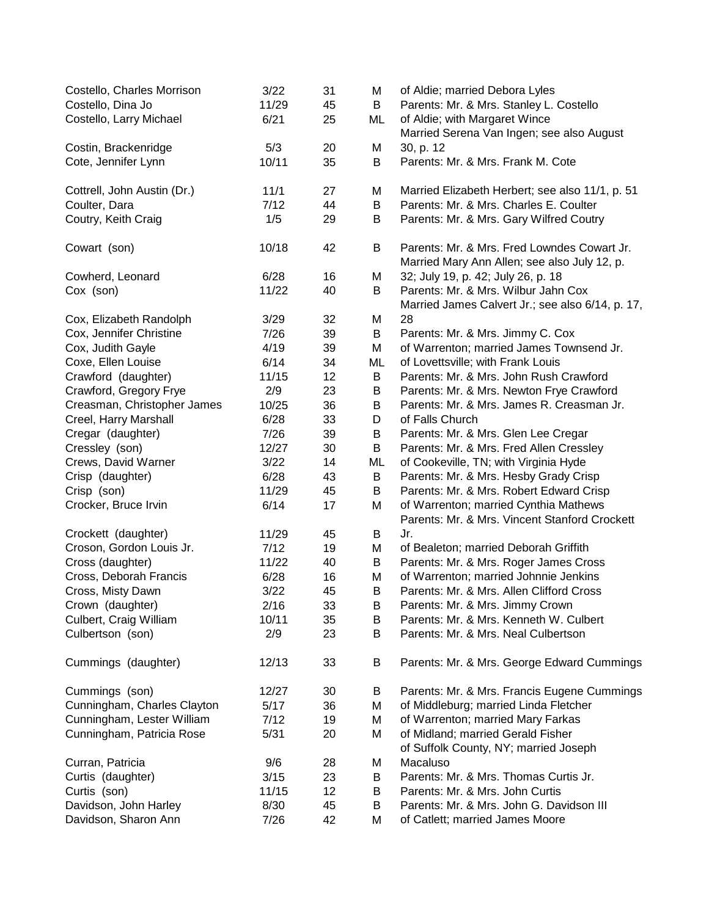| Costello, Charles Morrison  | 3/22  | 31 | M  | of Aldie; married Debora Lyles                                                              |
|-----------------------------|-------|----|----|---------------------------------------------------------------------------------------------|
| Costello, Dina Jo           | 11/29 | 45 | B  | Parents: Mr. & Mrs. Stanley L. Costello                                                     |
| Costello, Larry Michael     | 6/21  | 25 | ML | of Aldie; with Margaret Wince                                                               |
|                             |       |    |    | Married Serena Van Ingen; see also August                                                   |
| Costin, Brackenridge        | 5/3   | 20 | M  | 30, p. 12                                                                                   |
| Cote, Jennifer Lynn         | 10/11 | 35 | B  | Parents: Mr. & Mrs. Frank M. Cote                                                           |
| Cottrell, John Austin (Dr.) | 11/1  | 27 | M  | Married Elizabeth Herbert; see also 11/1, p. 51                                             |
| Coulter, Dara               | 7/12  | 44 | B  | Parents: Mr. & Mrs. Charles E. Coulter                                                      |
| Coutry, Keith Craig         | 1/5   | 29 | B  | Parents: Mr. & Mrs. Gary Wilfred Coutry                                                     |
| Cowart (son)                | 10/18 | 42 | B  | Parents: Mr. & Mrs. Fred Lowndes Cowart Jr.<br>Married Mary Ann Allen; see also July 12, p. |
| Cowherd, Leonard            | 6/28  | 16 | M  | 32; July 19, p. 42; July 26, p. 18                                                          |
| Cox (son)                   | 11/22 | 40 | B  | Parents: Mr. & Mrs. Wilbur Jahn Cox                                                         |
| Cox, Elizabeth Randolph     | 3/29  | 32 | M  | Married James Calvert Jr.; see also 6/14, p. 17,<br>28                                      |
| Cox, Jennifer Christine     | 7/26  | 39 | B  | Parents: Mr. & Mrs. Jimmy C. Cox                                                            |
| Cox, Judith Gayle           | 4/19  | 39 | M  | of Warrenton; married James Townsend Jr.                                                    |
| Coxe, Ellen Louise          | 6/14  | 34 | ML | of Lovettsville; with Frank Louis                                                           |
| Crawford (daughter)         | 11/15 | 12 | B  | Parents: Mr. & Mrs. John Rush Crawford                                                      |
| Crawford, Gregory Frye      | 2/9   | 23 | B  | Parents: Mr. & Mrs. Newton Frye Crawford                                                    |
| Creasman, Christopher James | 10/25 | 36 | B  | Parents: Mr. & Mrs. James R. Creasman Jr.                                                   |
| Creel, Harry Marshall       | 6/28  | 33 | D  | of Falls Church                                                                             |
| Cregar (daughter)           | 7/26  | 39 | B  | Parents: Mr. & Mrs. Glen Lee Cregar                                                         |
| Cressley (son)              | 12/27 | 30 | B  | Parents: Mr. & Mrs. Fred Allen Cressley                                                     |
| Crews, David Warner         | 3/22  | 14 | ML | of Cookeville, TN; with Virginia Hyde                                                       |
| Crisp (daughter)            | 6/28  | 43 | B  | Parents: Mr. & Mrs. Hesby Grady Crisp                                                       |
| Crisp (son)                 | 11/29 | 45 | B  | Parents: Mr. & Mrs. Robert Edward Crisp                                                     |
| Crocker, Bruce Irvin        | 6/14  | 17 | M  | of Warrenton; married Cynthia Mathews                                                       |
|                             |       |    |    | Parents: Mr. & Mrs. Vincent Stanford Crockett                                               |
| Crockett (daughter)         | 11/29 | 45 | B  | Jr.                                                                                         |
| Croson, Gordon Louis Jr.    | 7/12  | 19 | M  | of Bealeton; married Deborah Griffith                                                       |
| Cross (daughter)            | 11/22 | 40 | Β  | Parents: Mr. & Mrs. Roger James Cross                                                       |
| Cross, Deborah Francis      | 6/28  | 16 | M  | of Warrenton; married Johnnie Jenkins                                                       |
| Cross, Misty Dawn           | 3/22  | 45 | B  | Parents: Mr. & Mrs. Allen Clifford Cross                                                    |
| Crown (daughter)            | 2/16  | 33 | В  | Parents: Mr. & Mrs. Jimmy Crown                                                             |
| Culbert, Craig William      | 10/11 | 35 | B  | Parents: Mr. & Mrs. Kenneth W. Culbert                                                      |
| Culbertson (son)            | 2/9   | 23 | B  | Parents: Mr. & Mrs. Neal Culbertson                                                         |
| Cummings (daughter)         | 12/13 | 33 | B  | Parents: Mr. & Mrs. George Edward Cummings                                                  |
| Cummings (son)              | 12/27 | 30 | B  | Parents: Mr. & Mrs. Francis Eugene Cummings                                                 |
| Cunningham, Charles Clayton | 5/17  | 36 | M  | of Middleburg; married Linda Fletcher                                                       |
| Cunningham, Lester William  | 7/12  | 19 | M  | of Warrenton; married Mary Farkas                                                           |
| Cunningham, Patricia Rose   | 5/31  | 20 | M  | of Midland; married Gerald Fisher<br>of Suffolk County, NY; married Joseph                  |
| Curran, Patricia            | 9/6   | 28 | M  | Macaluso                                                                                    |
| Curtis (daughter)           | 3/15  | 23 | B  | Parents: Mr. & Mrs. Thomas Curtis Jr.                                                       |
| Curtis (son)                | 11/15 | 12 | B  | Parents: Mr. & Mrs. John Curtis                                                             |
| Davidson, John Harley       | 8/30  | 45 | B  | Parents: Mr. & Mrs. John G. Davidson III                                                    |
| Davidson, Sharon Ann        | 7/26  | 42 | M  | of Catlett; married James Moore                                                             |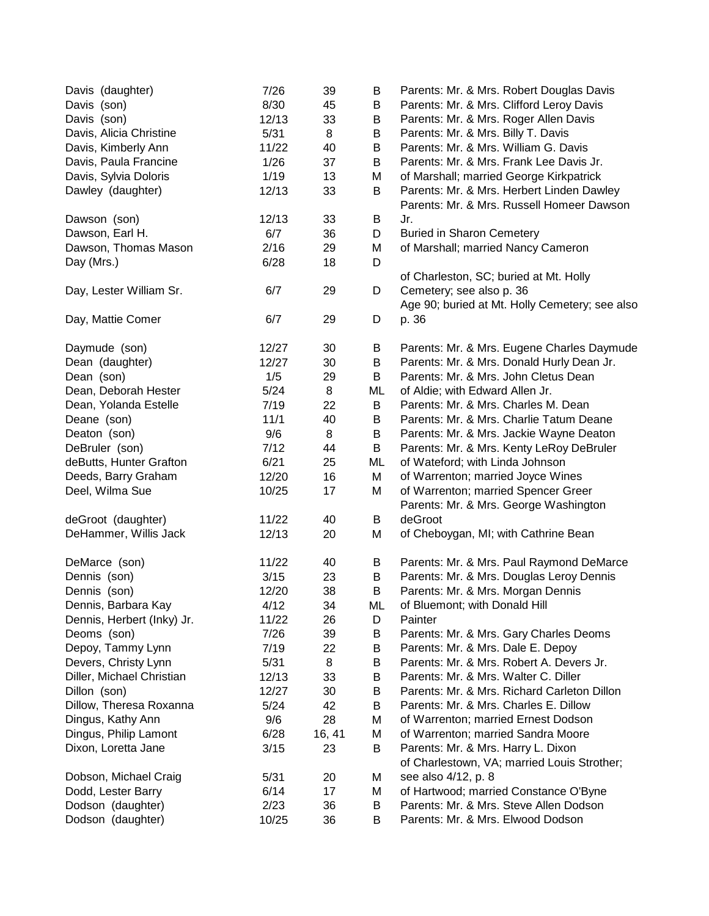| Davis (daughter)           | 7/26  | 39     | B  | Parents: Mr. & Mrs. Robert Douglas Davis       |
|----------------------------|-------|--------|----|------------------------------------------------|
| Davis (son)                | 8/30  | 45     | В  | Parents: Mr. & Mrs. Clifford Leroy Davis       |
| Davis (son)                | 12/13 | 33     | В  | Parents: Mr. & Mrs. Roger Allen Davis          |
| Davis, Alicia Christine    | 5/31  | 8      | В  | Parents: Mr. & Mrs. Billy T. Davis             |
| Davis, Kimberly Ann        | 11/22 | 40     | B  | Parents: Mr. & Mrs. William G. Davis           |
| Davis, Paula Francine      | 1/26  | 37     | B  | Parents: Mr. & Mrs. Frank Lee Davis Jr.        |
| Davis, Sylvia Doloris      | 1/19  | 13     | M  | of Marshall; married George Kirkpatrick        |
| Dawley (daughter)          | 12/13 | 33     | B  | Parents: Mr. & Mrs. Herbert Linden Dawley      |
|                            |       |        |    | Parents: Mr. & Mrs. Russell Homeer Dawson      |
| Dawson (son)               | 12/13 | 33     | B  | Jr.                                            |
| Dawson, Earl H.            | 6/7   | 36     | D  | <b>Buried in Sharon Cemetery</b>               |
| Dawson, Thomas Mason       | 2/16  | 29     | М  | of Marshall; married Nancy Cameron             |
| Day (Mrs.)                 | 6/28  | 18     | D  |                                                |
|                            |       |        |    | of Charleston, SC; buried at Mt. Holly         |
| Day, Lester William Sr.    | 6/7   | 29     | D  | Cemetery; see also p. 36                       |
|                            |       |        |    | Age 90; buried at Mt. Holly Cemetery; see also |
| Day, Mattie Comer          | 6/7   | 29     | D  | p. 36                                          |
|                            |       |        |    |                                                |
| Daymude (son)              | 12/27 | 30     | В  | Parents: Mr. & Mrs. Eugene Charles Daymude     |
| Dean (daughter)            | 12/27 | 30     | В  | Parents: Mr. & Mrs. Donald Hurly Dean Jr.      |
| Dean (son)                 | 1/5   | 29     | B  | Parents: Mr. & Mrs. John Cletus Dean           |
| Dean, Deborah Hester       | 5/24  | 8      | ML | of Aldie; with Edward Allen Jr.                |
| Dean, Yolanda Estelle      | 7/19  | 22     | B  | Parents: Mr. & Mrs. Charles M. Dean            |
| Deane (son)                | 11/1  | 40     | B  | Parents: Mr. & Mrs. Charlie Tatum Deane        |
| Deaton (son)               | 9/6   | 8      | B  | Parents: Mr. & Mrs. Jackie Wayne Deaton        |
| DeBruler (son)             | 7/12  | 44     | B  | Parents: Mr. & Mrs. Kenty LeRoy DeBruler       |
| deButts, Hunter Grafton    | 6/21  | 25     | ML | of Wateford; with Linda Johnson                |
| Deeds, Barry Graham        | 12/20 | 16     | М  | of Warrenton; married Joyce Wines              |
| Deel, Wilma Sue            | 10/25 | 17     | M  | of Warrenton; married Spencer Greer            |
|                            |       |        |    | Parents: Mr. & Mrs. George Washington          |
| deGroot (daughter)         | 11/22 | 40     | B  | deGroot                                        |
| DeHammer, Willis Jack      | 12/13 | 20     | M  | of Cheboygan, MI; with Cathrine Bean           |
|                            |       |        |    |                                                |
| DeMarce (son)              | 11/22 | 40     | В  | Parents: Mr. & Mrs. Paul Raymond DeMarce       |
| Dennis (son)               | 3/15  | 23     | B  | Parents: Mr. & Mrs. Douglas Leroy Dennis       |
| Dennis (son)               | 12/20 | 38     | B  | Parents: Mr. & Mrs. Morgan Dennis              |
| Dennis, Barbara Kay        | 4/12  | 34     | ML | of Bluemont; with Donald Hill                  |
| Dennis, Herbert (Inky) Jr. | 11/22 | 26     | D  | Painter                                        |
| Deoms (son)                | 7/26  | 39     | B  | Parents: Mr. & Mrs. Gary Charles Deoms         |
| Depoy, Tammy Lynn          | 7/19  | 22     | В  | Parents: Mr. & Mrs. Dale E. Depoy              |
| Devers, Christy Lynn       | 5/31  | 8      | В  | Parents: Mr. & Mrs. Robert A. Devers Jr.       |
| Diller, Michael Christian  | 12/13 | 33     | B  | Parents: Mr. & Mrs. Walter C. Diller           |
| Dillon (son)               | 12/27 | 30     | В  | Parents: Mr. & Mrs. Richard Carleton Dillon    |
| Dillow, Theresa Roxanna    | 5/24  | 42     | B  | Parents: Mr. & Mrs. Charles E. Dillow          |
| Dingus, Kathy Ann          | 9/6   | 28     | М  | of Warrenton; married Ernest Dodson            |
| Dingus, Philip Lamont      | 6/28  | 16, 41 | М  | of Warrenton; married Sandra Moore             |
| Dixon, Loretta Jane        | 3/15  | 23     | B  | Parents: Mr. & Mrs. Harry L. Dixon             |
|                            |       |        |    | of Charlestown, VA; married Louis Strother;    |
| Dobson, Michael Craig      | 5/31  | 20     | M  | see also 4/12, p. 8                            |
| Dodd, Lester Barry         | 6/14  | 17     | М  | of Hartwood; married Constance O'Byne          |
| Dodson (daughter)          | 2/23  | 36     | B  | Parents: Mr. & Mrs. Steve Allen Dodson         |
| Dodson (daughter)          | 10/25 | 36     | В  | Parents: Mr. & Mrs. Elwood Dodson              |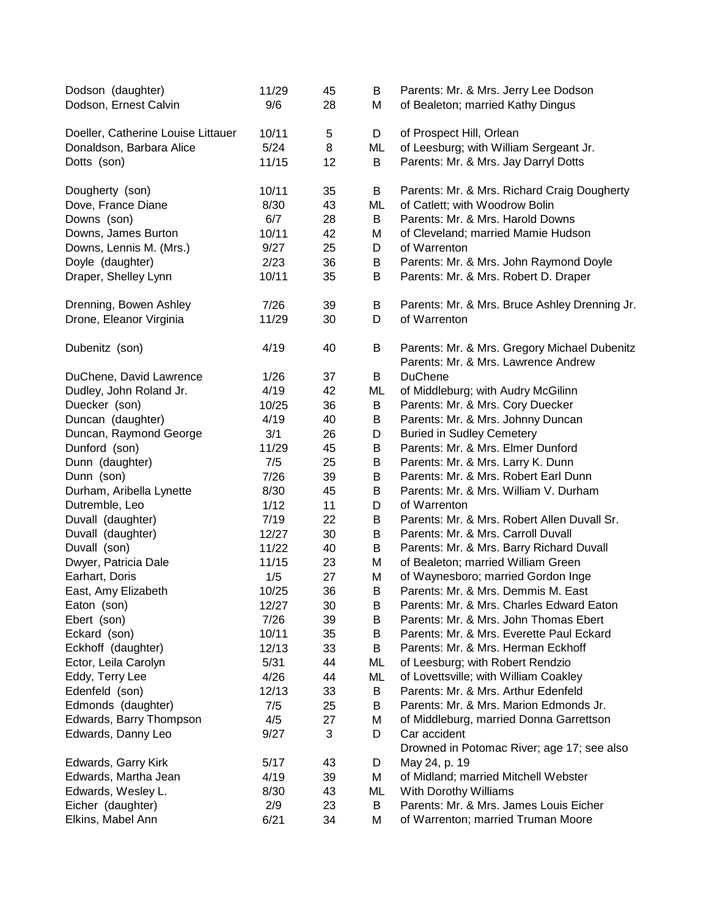| Dodson (daughter)<br>Dodson, Ernest Calvin | 11/29<br>9/6  | 45<br>28 | B<br>М | Parents: Mr. & Mrs. Jerry Lee Dodson<br>of Bealeton; married Kathy Dingus |
|--------------------------------------------|---------------|----------|--------|---------------------------------------------------------------------------|
| Doeller, Catherine Louise Littauer         | 10/11         | 5        | D      | of Prospect Hill, Orlean                                                  |
| Donaldson, Barbara Alice                   | $5/24$        | 8        | ML     | of Leesburg; with William Sergeant Jr.                                    |
| Dotts (son)                                | 11/15         | 12       | B      | Parents: Mr. & Mrs. Jay Darryl Dotts                                      |
| Dougherty (son)                            | 10/11         | 35       | B      | Parents: Mr. & Mrs. Richard Craig Dougherty                               |
| Dove, France Diane                         | 8/30          | 43       | ML     | of Catlett; with Woodrow Bolin                                            |
| Downs (son)                                | 6/7           | 28       | B      | Parents: Mr. & Mrs. Harold Downs                                          |
| Downs, James Burton                        | 10/11         | 42       | М      | of Cleveland; married Mamie Hudson                                        |
| Downs, Lennis M. (Mrs.)                    | 9/27          | 25       | D      | of Warrenton                                                              |
| Doyle (daughter)                           | 2/23          | 36       | B      | Parents: Mr. & Mrs. John Raymond Doyle                                    |
| Draper, Shelley Lynn                       | 10/11         | 35       | В      | Parents: Mr. & Mrs. Robert D. Draper                                      |
| Drenning, Bowen Ashley                     | 7/26          | 39       | B      | Parents: Mr. & Mrs. Bruce Ashley Drenning Jr.                             |
| Drone, Eleanor Virginia                    | 11/29         | 30       | D      | of Warrenton                                                              |
| Dubenitz (son)                             | 4/19          | 40       | B      | Parents: Mr. & Mrs. Gregory Michael Dubenitz                              |
|                                            |               |          |        | Parents: Mr. & Mrs. Lawrence Andrew                                       |
| DuChene, David Lawrence                    | 1/26          | 37       | B      | <b>DuChene</b>                                                            |
| Dudley, John Roland Jr.                    | 4/19          | 42       | ML     | of Middleburg; with Audry McGilinn                                        |
| Duecker (son)                              | 10/25         | 36       | B      | Parents: Mr. & Mrs. Cory Duecker                                          |
| Duncan (daughter)                          | 4/19          | 40       | B      | Parents: Mr. & Mrs. Johnny Duncan                                         |
| Duncan, Raymond George                     | 3/1           | 26       | D      | <b>Buried in Sudley Cemetery</b>                                          |
| Dunford (son)                              | 11/29         | 45       | B      | Parents: Mr. & Mrs. Elmer Dunford                                         |
| Dunn (daughter)                            | 7/5           | 25       | B      | Parents: Mr. & Mrs. Larry K. Dunn                                         |
| Dunn (son)                                 | 7/26          | 39       | B      | Parents: Mr. & Mrs. Robert Earl Dunn                                      |
| Durham, Aribella Lynette                   | 8/30          | 45       | B      | Parents: Mr. & Mrs. William V. Durham                                     |
| Dutremble, Leo                             | 1/12          | 11       | D      | of Warrenton<br>Parents: Mr. & Mrs. Robert Allen Duvall Sr.               |
| Duvall (daughter)                          | 7/19<br>12/27 | 22<br>30 | В<br>B | Parents: Mr. & Mrs. Carroll Duvall                                        |
| Duvall (daughter)<br>Duvall (son)          | 11/22         | 40       | B      | Parents: Mr. & Mrs. Barry Richard Duvall                                  |
| Dwyer, Patricia Dale                       | 11/15         | 23       | М      | of Bealeton; married William Green                                        |
| Earhart, Doris                             | 1/5           | 27       | М      | of Waynesboro; married Gordon Inge                                        |
| East, Amy Elizabeth                        | 10/25         | 36       | B      | Parents: Mr. & Mrs. Demmis M. East                                        |
| Eaton (son)                                | 12/27         | 30       | B      | Parents: Mr. & Mrs. Charles Edward Eaton                                  |
| Ebert (son)                                | 7/26          | 39       | B      | Parents: Mr. & Mrs. John Thomas Ebert                                     |
| Eckard (son)                               | 10/11         | 35       | В      | Parents: Mr. & Mrs. Everette Paul Eckard                                  |
| Eckhoff (daughter)                         | 12/13         | 33       | В      | Parents: Mr. & Mrs. Herman Eckhoff                                        |
| Ector, Leila Carolyn                       | 5/31          | 44       | ML     | of Leesburg; with Robert Rendzio                                          |
| Eddy, Terry Lee                            | 4/26          | 44       | ML     | of Lovettsville; with William Coakley                                     |
| Edenfeld (son)                             | 12/13         | 33       | B      | Parents: Mr. & Mrs. Arthur Edenfeld                                       |
| Edmonds (daughter)                         | 7/5           | 25       | B      | Parents: Mr. & Mrs. Marion Edmonds Jr.                                    |
| Edwards, Barry Thompson                    | 4/5           | 27       | Μ      | of Middleburg, married Donna Garrettson                                   |
| Edwards, Danny Leo                         | 9/27          | 3        | D      | Car accident                                                              |
| Edwards, Garry Kirk                        | 5/17          | 43       | D      | Drowned in Potomac River; age 17; see also<br>May 24, p. 19               |
| Edwards, Martha Jean                       | 4/19          | 39       | Μ      | of Midland; married Mitchell Webster                                      |
| Edwards, Wesley L.                         | 8/30          | 43       | ML     | With Dorothy Williams                                                     |
| Eicher (daughter)                          | 2/9           | 23       | B      | Parents: Mr. & Mrs. James Louis Eicher                                    |
| Elkins, Mabel Ann                          | 6/21          | 34       | М      | of Warrenton; married Truman Moore                                        |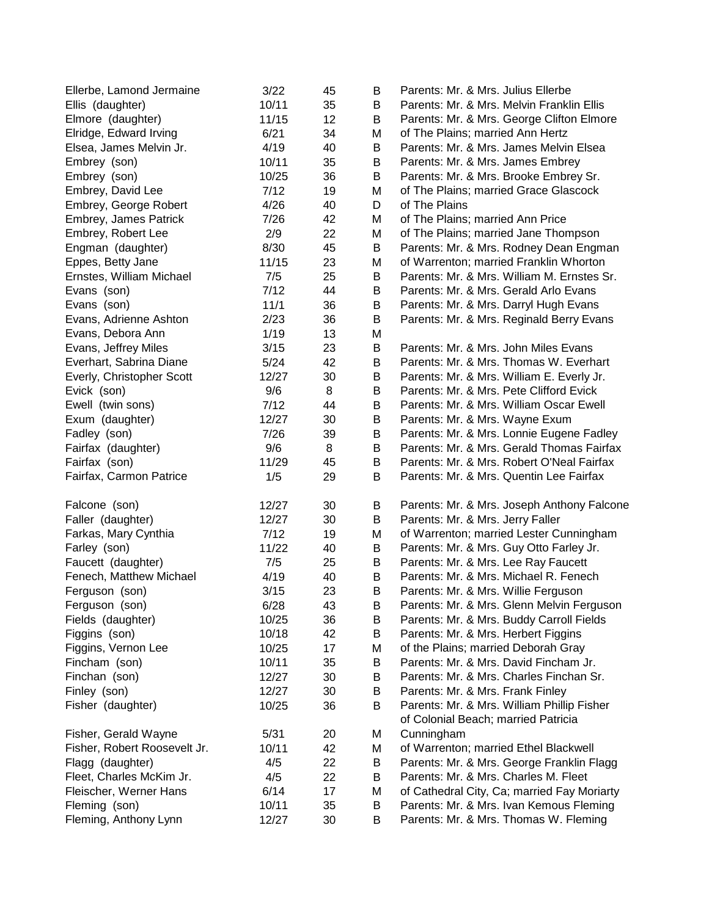| Ellerbe, Lamond Jermaine     | 3/22  | 45 | В | Parents: Mr. & Mrs. Julius Ellerbe          |
|------------------------------|-------|----|---|---------------------------------------------|
| Ellis (daughter)             | 10/11 | 35 | В | Parents: Mr. & Mrs. Melvin Franklin Ellis   |
| Elmore (daughter)            | 11/15 | 12 | B | Parents: Mr. & Mrs. George Clifton Elmore   |
| Elridge, Edward Irving       | 6/21  | 34 | М | of The Plains; married Ann Hertz            |
| Elsea, James Melvin Jr.      | 4/19  | 40 | В | Parents: Mr. & Mrs. James Melvin Elsea      |
| Embrey (son)                 | 10/11 | 35 | В | Parents: Mr. & Mrs. James Embrey            |
| Embrey (son)                 | 10/25 | 36 | B | Parents: Mr. & Mrs. Brooke Embrey Sr.       |
| Embrey, David Lee            | 7/12  | 19 | М | of The Plains; married Grace Glascock       |
| Embrey, George Robert        | 4/26  | 40 | D | of The Plains                               |
| Embrey, James Patrick        | 7/26  | 42 | М | of The Plains; married Ann Price            |
| Embrey, Robert Lee           | 2/9   | 22 | М | of The Plains; married Jane Thompson        |
| Engman (daughter)            | 8/30  | 45 | B | Parents: Mr. & Mrs. Rodney Dean Engman      |
| Eppes, Betty Jane            | 11/15 | 23 | М | of Warrenton; married Franklin Whorton      |
| Ernstes, William Michael     | 7/5   | 25 | В | Parents: Mr. & Mrs. William M. Ernstes Sr.  |
| Evans (son)                  | 7/12  | 44 | B | Parents: Mr. & Mrs. Gerald Arlo Evans       |
| Evans (son)                  | 11/1  | 36 | B | Parents: Mr. & Mrs. Darryl Hugh Evans       |
| Evans, Adrienne Ashton       | 2/23  | 36 | В | Parents: Mr. & Mrs. Reginald Berry Evans    |
| Evans, Debora Ann            | 1/19  | 13 | М |                                             |
| Evans, Jeffrey Miles         | 3/15  | 23 | В | Parents: Mr. & Mrs. John Miles Evans        |
| Everhart, Sabrina Diane      | 5/24  | 42 | B | Parents: Mr. & Mrs. Thomas W. Everhart      |
|                              | 12/27 | 30 | В | Parents: Mr. & Mrs. William E. Everly Jr.   |
| Everly, Christopher Scott    |       |    |   | Parents: Mr. & Mrs. Pete Clifford Evick     |
| Evick (son)                  | 9/6   | 8  | В |                                             |
| Ewell (twin sons)            | 7/12  | 44 | B | Parents: Mr. & Mrs. William Oscar Ewell     |
| Exum (daughter)              | 12/27 | 30 | B | Parents: Mr. & Mrs. Wayne Exum              |
| Fadley (son)                 | 7/26  | 39 | B | Parents: Mr. & Mrs. Lonnie Eugene Fadley    |
| Fairfax (daughter)           | 9/6   | 8  | B | Parents: Mr. & Mrs. Gerald Thomas Fairfax   |
| Fairfax (son)                | 11/29 | 45 | В | Parents: Mr. & Mrs. Robert O'Neal Fairfax   |
| Fairfax, Carmon Patrice      | 1/5   | 29 | В | Parents: Mr. & Mrs. Quentin Lee Fairfax     |
| Falcone (son)                | 12/27 | 30 | B | Parents: Mr. & Mrs. Joseph Anthony Falcone  |
| Faller (daughter)            | 12/27 | 30 | B | Parents: Mr. & Mrs. Jerry Faller            |
| Farkas, Mary Cynthia         | 7/12  | 19 | М | of Warrenton; married Lester Cunningham     |
| Farley (son)                 | 11/22 | 40 | B | Parents: Mr. & Mrs. Guy Otto Farley Jr.     |
| Faucett (daughter)           | 7/5   | 25 | B | Parents: Mr. & Mrs. Lee Ray Faucett         |
| Fenech, Matthew Michael      | 4/19  | 40 | B | Parents: Mr. & Mrs. Michael R. Fenech       |
| Ferguson (son)               | 3/15  | 23 | B | Parents: Mr. & Mrs. Willie Ferguson         |
| Ferguson (son)               | 6/28  | 43 | В | Parents: Mr. & Mrs. Glenn Melvin Ferguson   |
| Fields (daughter)            | 10/25 | 36 | В | Parents: Mr. & Mrs. Buddy Carroll Fields    |
| Figgins (son)                | 10/18 | 42 | B | Parents: Mr. & Mrs. Herbert Figgins         |
| Figgins, Vernon Lee          | 10/25 | 17 | М | of the Plains; married Deborah Gray         |
| Fincham (son)                | 10/11 | 35 | В | Parents: Mr. & Mrs. David Fincham Jr.       |
| Finchan (son)                | 12/27 | 30 | В | Parents: Mr. & Mrs. Charles Finchan Sr.     |
| Finley (son)                 | 12/27 | 30 | B | Parents: Mr. & Mrs. Frank Finley            |
| Fisher (daughter)            | 10/25 | 36 | В | Parents: Mr. & Mrs. William Phillip Fisher  |
|                              |       |    |   | of Colonial Beach; married Patricia         |
| Fisher, Gerald Wayne         | 5/31  | 20 | М | Cunningham                                  |
| Fisher, Robert Roosevelt Jr. | 10/11 | 42 | М | of Warrenton; married Ethel Blackwell       |
| Flagg (daughter)             | 4/5   | 22 | B | Parents: Mr. & Mrs. George Franklin Flagg   |
| Fleet, Charles McKim Jr.     | 4/5   | 22 | B | Parents: Mr. & Mrs. Charles M. Fleet        |
| Fleischer, Werner Hans       | 6/14  | 17 | М | of Cathedral City, Ca; married Fay Moriarty |
| Fleming (son)                | 10/11 | 35 | В | Parents: Mr. & Mrs. Ivan Kemous Fleming     |
| Fleming, Anthony Lynn        | 12/27 | 30 | В | Parents: Mr. & Mrs. Thomas W. Fleming       |
|                              |       |    |   |                                             |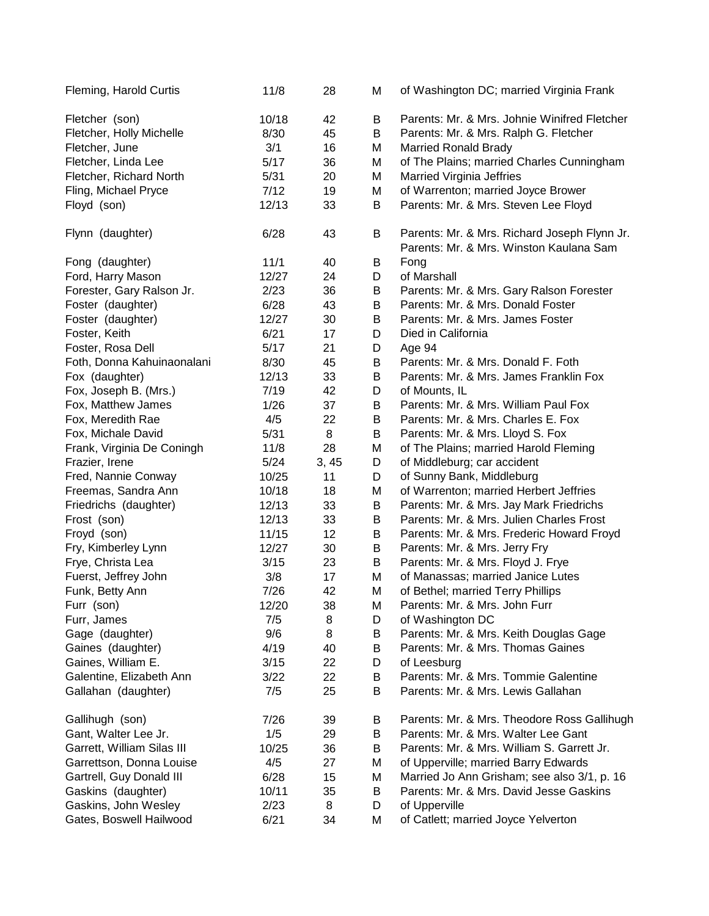| Fleming, Harold Curtis     | 11/8  | 28   | М | of Washington DC; married Virginia Frank                                                |
|----------------------------|-------|------|---|-----------------------------------------------------------------------------------------|
| Fletcher (son)             | 10/18 | 42   | В | Parents: Mr. & Mrs. Johnie Winifred Fletcher                                            |
| Fletcher, Holly Michelle   | 8/30  | 45   | В | Parents: Mr. & Mrs. Ralph G. Fletcher                                                   |
| Fletcher, June             | 3/1   | 16   | Μ | <b>Married Ronald Brady</b>                                                             |
| Fletcher, Linda Lee        | 5/17  | 36   | Μ | of The Plains; married Charles Cunningham                                               |
| Fletcher, Richard North    | 5/31  | 20   | Μ | Married Virginia Jeffries                                                               |
| Fling, Michael Pryce       | 7/12  | 19   | М | of Warrenton; married Joyce Brower                                                      |
| Floyd (son)                | 12/13 | 33   | В | Parents: Mr. & Mrs. Steven Lee Floyd                                                    |
|                            |       |      |   |                                                                                         |
| Flynn (daughter)           | 6/28  | 43   | В | Parents: Mr. & Mrs. Richard Joseph Flynn Jr.<br>Parents: Mr. & Mrs. Winston Kaulana Sam |
| Fong (daughter)            | 11/1  | 40   | B | Fong                                                                                    |
| Ford, Harry Mason          | 12/27 | 24   | D | of Marshall                                                                             |
| Forester, Gary Ralson Jr.  | 2/23  | 36   | B | Parents: Mr. & Mrs. Gary Ralson Forester                                                |
| Foster (daughter)          | 6/28  | 43   | В | Parents: Mr. & Mrs. Donald Foster                                                       |
| Foster (daughter)          | 12/27 | 30   | В | Parents: Mr. & Mrs. James Foster                                                        |
| Foster, Keith              | 6/21  | 17   | D | Died in California                                                                      |
| Foster, Rosa Dell          | 5/17  | 21   | D | Age 94                                                                                  |
| Foth, Donna Kahuinaonalani | 8/30  | 45   | B | Parents: Mr. & Mrs. Donald F. Foth                                                      |
| Fox (daughter)             | 12/13 | 33   | B | Parents: Mr. & Mrs. James Franklin Fox                                                  |
| Fox, Joseph B. (Mrs.)      | 7/19  | 42   | D | of Mounts, IL                                                                           |
| Fox, Matthew James         | 1/26  | 37   | B | Parents: Mr. & Mrs. William Paul Fox                                                    |
| Fox, Meredith Rae          | 4/5   | 22   | В | Parents: Mr. & Mrs. Charles E. Fox                                                      |
| Fox, Michale David         | 5/31  | 8    | В | Parents: Mr. & Mrs. Lloyd S. Fox                                                        |
| Frank, Virginia De Coningh | 11/8  | 28   | Μ | of The Plains; married Harold Fleming                                                   |
| Frazier, Irene             | 5/24  | 3,45 | D | of Middleburg; car accident                                                             |
| Fred, Nannie Conway        | 10/25 | 11   | D | of Sunny Bank, Middleburg                                                               |
| Freemas, Sandra Ann        | 10/18 | 18   | Μ | of Warrenton; married Herbert Jeffries                                                  |
| Friedrichs (daughter)      | 12/13 | 33   | B | Parents: Mr. & Mrs. Jay Mark Friedrichs                                                 |
| Frost (son)                | 12/13 | 33   | B | Parents: Mr. & Mrs. Julien Charles Frost                                                |
| Froyd (son)                | 11/15 | 12   | B | Parents: Mr. & Mrs. Frederic Howard Froyd                                               |
| Fry, Kimberley Lynn        | 12/27 | 30   | B | Parents: Mr. & Mrs. Jerry Fry                                                           |
| Frye, Christa Lea          | 3/15  | 23   | B | Parents: Mr. & Mrs. Floyd J. Frye                                                       |
| Fuerst, Jeffrey John       | 3/8   | 17   | Μ | of Manassas; married Janice Lutes                                                       |
| Funk, Betty Ann            | 7/26  | 42   | М | of Bethel; married Terry Phillips                                                       |
| Furr (son)                 | 12/20 | 38   | М | Parents: Mr. & Mrs. John Furr                                                           |
| Furr, James                | 7/5   | 8    | D | of Washington DC                                                                        |
| Gage (daughter)            | 9/6   | 8    | B | Parents: Mr. & Mrs. Keith Douglas Gage                                                  |
| Gaines (daughter)          | 4/19  | 40   | В | Parents: Mr. & Mrs. Thomas Gaines                                                       |
| Gaines, William E.         | 3/15  | 22   | D | of Leesburg                                                                             |
| Galentine, Elizabeth Ann   | 3/22  | 22   | B | Parents: Mr. & Mrs. Tommie Galentine                                                    |
| Gallahan (daughter)        | 7/5   | 25   | B | Parents: Mr. & Mrs. Lewis Gallahan                                                      |
| Gallihugh (son)            | 7/26  | 39   | B | Parents: Mr. & Mrs. Theodore Ross Gallihugh                                             |
| Gant, Walter Lee Jr.       | 1/5   | 29   | В | Parents: Mr. & Mrs. Walter Lee Gant                                                     |
| Garrett, William Silas III | 10/25 | 36   | В | Parents: Mr. & Mrs. William S. Garrett Jr.                                              |
| Garrettson, Donna Louise   | 4/5   | 27   | М | of Upperville; married Barry Edwards                                                    |
| Gartrell, Guy Donald III   | 6/28  | 15   | М | Married Jo Ann Grisham; see also 3/1, p. 16                                             |
| Gaskins (daughter)         | 10/11 | 35   | B | Parents: Mr. & Mrs. David Jesse Gaskins                                                 |
| Gaskins, John Wesley       | 2/23  | 8    | D | of Upperville                                                                           |
| Gates, Boswell Hailwood    | 6/21  | 34   | Μ | of Catlett; married Joyce Yelverton                                                     |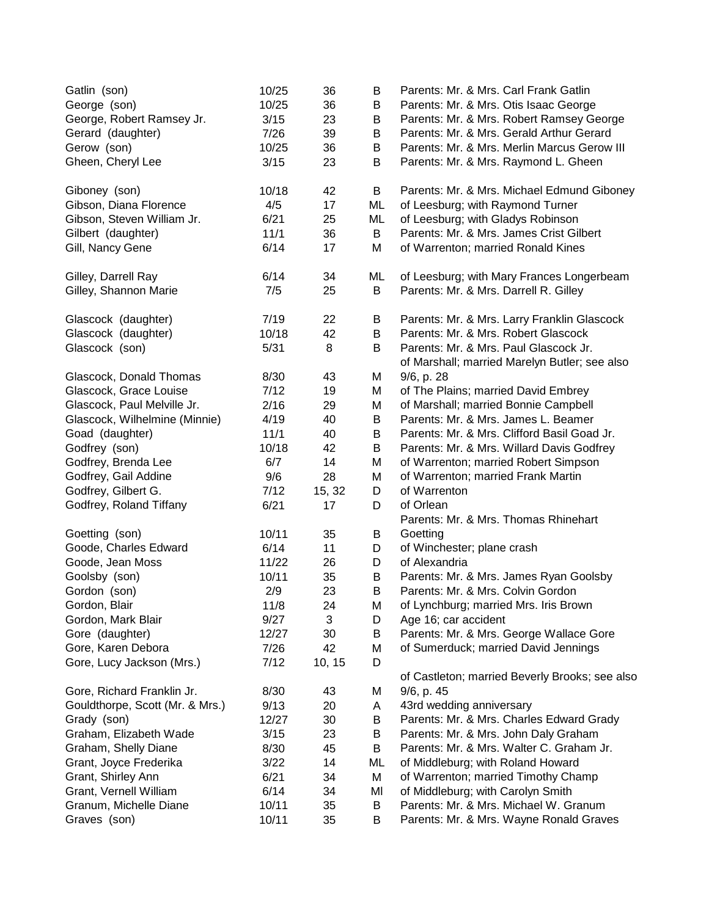| Gatlin (son)                    | 10/25 | 36     | B  | Parents: Mr. & Mrs. Carl Frank Gatlin             |
|---------------------------------|-------|--------|----|---------------------------------------------------|
| George (son)                    | 10/25 | 36     | В  | Parents: Mr. & Mrs. Otis Isaac George             |
| George, Robert Ramsey Jr.       | 3/15  | 23     | В  | Parents: Mr. & Mrs. Robert Ramsey George          |
| Gerard (daughter)               | 7/26  | 39     | В  | Parents: Mr. & Mrs. Gerald Arthur Gerard          |
| Gerow (son)                     | 10/25 | 36     | B  | Parents: Mr. & Mrs. Merlin Marcus Gerow III       |
| Gheen, Cheryl Lee               | 3/15  | 23     | В  | Parents: Mr. & Mrs. Raymond L. Gheen              |
| Giboney (son)                   | 10/18 | 42     | B  | Parents: Mr. & Mrs. Michael Edmund Giboney        |
| Gibson, Diana Florence          | 4/5   | 17     | ML | of Leesburg; with Raymond Turner                  |
| Gibson, Steven William Jr.      | 6/21  | 25     | ML | of Leesburg; with Gladys Robinson                 |
| Gilbert (daughter)              | 11/1  | 36     | B  | Parents: Mr. & Mrs. James Crist Gilbert           |
| Gill, Nancy Gene                | 6/14  | 17     | M  | of Warrenton; married Ronald Kines                |
| Gilley, Darrell Ray             | 6/14  | 34     | ML | of Leesburg; with Mary Frances Longerbeam         |
| Gilley, Shannon Marie           | 7/5   | 25     | B  | Parents: Mr. & Mrs. Darrell R. Gilley             |
| Glascock (daughter)             | 7/19  | 22     | B  | Parents: Mr. & Mrs. Larry Franklin Glascock       |
| Glascock (daughter)             | 10/18 | 42     | B  | Parents: Mr. & Mrs. Robert Glascock               |
| Glascock (son)                  | 5/31  | 8      | B  | Parents: Mr. & Mrs. Paul Glascock Jr.             |
|                                 |       |        |    | of Marshall; married Marelyn Butler; see also     |
| Glascock, Donald Thomas         | 8/30  | 43     | Μ  | 9/6, p. 28                                        |
| Glascock, Grace Louise          | 7/12  | 19     | Μ  | of The Plains; married David Embrey               |
| Glascock, Paul Melville Jr.     | 2/16  | 29     | M  | of Marshall; married Bonnie Campbell              |
| Glascock, Wilhelmine (Minnie)   | 4/19  | 40     | В  | Parents: Mr. & Mrs. James L. Beamer               |
| Goad (daughter)                 | 11/1  | 40     | B  | Parents: Mr. & Mrs. Clifford Basil Goad Jr.       |
| Godfrey (son)                   | 10/18 | 42     | B  | Parents: Mr. & Mrs. Willard Davis Godfrey         |
| Godfrey, Brenda Lee             | 6/7   | 14     | M  | of Warrenton; married Robert Simpson              |
| Godfrey, Gail Addine            | 9/6   | 28     | M  | of Warrenton; married Frank Martin                |
| Godfrey, Gilbert G.             | 7/12  | 15, 32 | D  | of Warrenton                                      |
| Godfrey, Roland Tiffany         | 6/21  | 17     | D  | of Orlean<br>Parents: Mr. & Mrs. Thomas Rhinehart |
| Goetting (son)                  | 10/11 | 35     | B  | Goetting                                          |
| Goode, Charles Edward           | 6/14  | 11     | D  | of Winchester; plane crash                        |
| Goode, Jean Moss                | 11/22 | 26     | D  | of Alexandria                                     |
| Goolsby (son)                   | 10/11 | 35     | B  | Parents: Mr. & Mrs. James Ryan Goolsby            |
| Gordon (son)                    | 2/9   | 23     | B  | Parents: Mr. & Mrs. Colvin Gordon                 |
| Gordon, Blair                   | 11/8  | 24     | M  | of Lynchburg; married Mrs. Iris Brown             |
| Gordon, Mark Blair              | 9/27  | 3      | D  | Age 16; car accident                              |
| Gore (daughter)                 | 12/27 | 30     | B  | Parents: Mr. & Mrs. George Wallace Gore           |
| Gore, Karen Debora              | 7/26  | 42     | М  | of Sumerduck; married David Jennings              |
| Gore, Lucy Jackson (Mrs.)       | 7/12  | 10, 15 | D  |                                                   |
|                                 |       |        |    | of Castleton; married Beverly Brooks; see also    |
| Gore, Richard Franklin Jr.      | 8/30  | 43     | M  | 9/6, p. 45                                        |
| Gouldthorpe, Scott (Mr. & Mrs.) | 9/13  | 20     | A  | 43rd wedding anniversary                          |
| Grady (son)                     | 12/27 | 30     | В  | Parents: Mr. & Mrs. Charles Edward Grady          |
| Graham, Elizabeth Wade          | 3/15  | 23     | В  | Parents: Mr. & Mrs. John Daly Graham              |
| Graham, Shelly Diane            | 8/30  | 45     | B  | Parents: Mr. & Mrs. Walter C. Graham Jr.          |
| Grant, Joyce Frederika          | 3/22  | 14     | ML | of Middleburg; with Roland Howard                 |
| Grant, Shirley Ann              | 6/21  | 34     | М  | of Warrenton; married Timothy Champ               |
| Grant, Vernell William          | 6/14  | 34     | MI | of Middleburg; with Carolyn Smith                 |
| Granum, Michelle Diane          | 10/11 | 35     | B  | Parents: Mr. & Mrs. Michael W. Granum             |
| Graves (son)                    | 10/11 | 35     | В  | Parents: Mr. & Mrs. Wayne Ronald Graves           |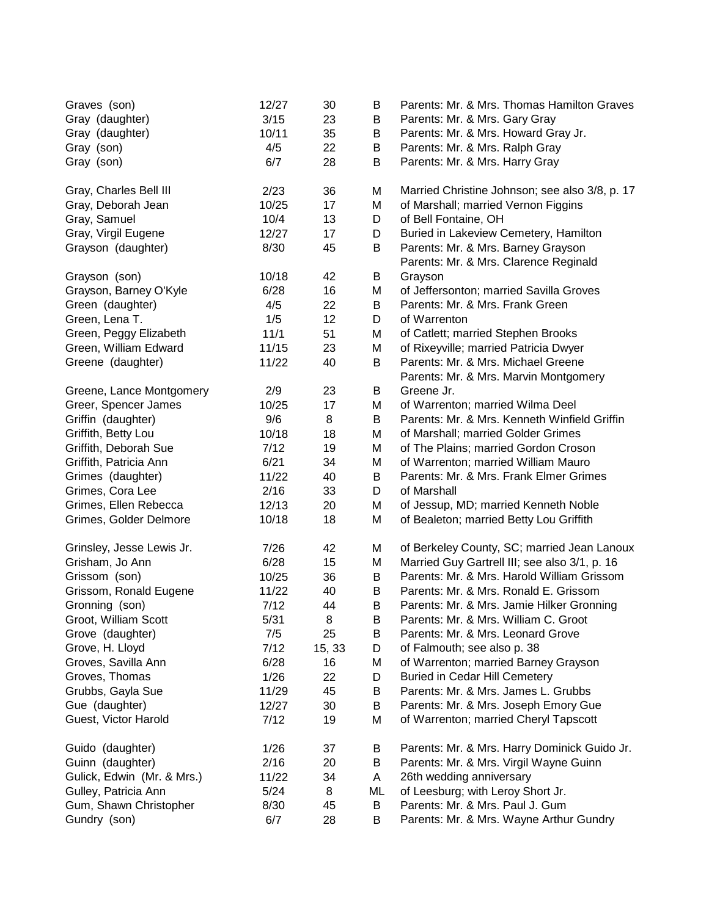| Graves (son)                  | 12/27<br>3/15 | 30<br>23 | B      | Parents: Mr. & Mrs. Thomas Hamilton Graves                           |
|-------------------------------|---------------|----------|--------|----------------------------------------------------------------------|
| Gray (daughter)               | 10/11         | 35       | B      | Parents: Mr. & Mrs. Gary Gray<br>Parents: Mr. & Mrs. Howard Gray Jr. |
| Gray (daughter)<br>Gray (son) | 4/5           | 22       | B<br>B | Parents: Mr. & Mrs. Ralph Gray                                       |
|                               | 6/7           | 28       | B      | Parents: Mr. & Mrs. Harry Gray                                       |
| Gray (son)                    |               |          |        |                                                                      |
| Gray, Charles Bell III        | 2/23          | 36       | Μ      | Married Christine Johnson; see also 3/8, p. 17                       |
| Gray, Deborah Jean            | 10/25         | 17       | Μ      | of Marshall; married Vernon Figgins                                  |
| Gray, Samuel                  | 10/4          | 13       | D      | of Bell Fontaine, OH                                                 |
| Gray, Virgil Eugene           | 12/27         | 17       | D      | Buried in Lakeview Cemetery, Hamilton                                |
| Grayson (daughter)            | 8/30          | 45       | B      | Parents: Mr. & Mrs. Barney Grayson                                   |
|                               |               |          |        | Parents: Mr. & Mrs. Clarence Reginald                                |
| Grayson (son)                 | 10/18         | 42       | B      | Grayson                                                              |
| Grayson, Barney O'Kyle        | 6/28          | 16       | Μ      | of Jeffersonton; married Savilla Groves                              |
| Green (daughter)              | 4/5           | 22       | B      | Parents: Mr. & Mrs. Frank Green                                      |
| Green, Lena T.                | 1/5           | 12       | D      | of Warrenton                                                         |
| Green, Peggy Elizabeth        | 11/1          | 51       | Μ      | of Catlett; married Stephen Brooks                                   |
| Green, William Edward         | 11/15         | 23       | Μ      | of Rixeyville; married Patricia Dwyer                                |
| Greene (daughter)             | 11/22         | 40       | В      | Parents: Mr. & Mrs. Michael Greene                                   |
|                               |               |          |        | Parents: Mr. & Mrs. Marvin Montgomery                                |
| Greene, Lance Montgomery      | 2/9           | 23       | B      | Greene Jr.                                                           |
| Greer, Spencer James          | 10/25         | 17       | Μ      | of Warrenton; married Wilma Deel                                     |
| Griffin (daughter)            | 9/6           | 8        | B      | Parents: Mr. & Mrs. Kenneth Winfield Griffin                         |
| Griffith, Betty Lou           | 10/18         | 18       | М      | of Marshall; married Golder Grimes                                   |
| Griffith, Deborah Sue         | 7/12          | 19       | Μ      | of The Plains; married Gordon Croson                                 |
| Griffith, Patricia Ann        | 6/21          | 34       | Μ      | of Warrenton; married William Mauro                                  |
| Grimes (daughter)             | 11/22         | 40       | В      | Parents: Mr. & Mrs. Frank Elmer Grimes                               |
| Grimes, Cora Lee              | 2/16          | 33       | D      | of Marshall                                                          |
| Grimes, Ellen Rebecca         | 12/13         | 20       | Μ      | of Jessup, MD; married Kenneth Noble                                 |
| Grimes, Golder Delmore        | 10/18         | 18       | Μ      | of Bealeton; married Betty Lou Griffith                              |
| Grinsley, Jesse Lewis Jr.     | 7/26          | 42       | М      | of Berkeley County, SC; married Jean Lanoux                          |
| Grisham, Jo Ann               | 6/28          | 15       | Μ      | Married Guy Gartrell III; see also 3/1, p. 16                        |
| Grissom (son)                 | 10/25         | 36       | B      | Parents: Mr. & Mrs. Harold William Grissom                           |
| Grissom, Ronald Eugene        | 11/22         | 40       | B      | Parents: Mr. & Mrs. Ronald E. Grissom                                |
| Gronning (son)                | 7/12          | 44       | B      | Parents: Mr. & Mrs. Jamie Hilker Gronning                            |
| Groot, William Scott          | 5/31          | 8        | B      | Parents: Mr. & Mrs. William C. Groot                                 |
| Grove (daughter)              | 7/5           | 25       | B      | Parents: Mr. & Mrs. Leonard Grove                                    |
| Grove, H. Lloyd               | 7/12          | 15, 33   | D      | of Falmouth; see also p. 38                                          |
| Groves, Savilla Ann           | 6/28          | 16       | М      | of Warrenton; married Barney Grayson                                 |
| Groves, Thomas                | 1/26          | 22       |        |                                                                      |
|                               |               |          | D      | <b>Buried in Cedar Hill Cemetery</b>                                 |
| Grubbs, Gayla Sue             | 11/29         | 45       | B      | Parents: Mr. & Mrs. James L. Grubbs                                  |
| Gue (daughter)                | 12/27         | 30       | В      | Parents: Mr. & Mrs. Joseph Emory Gue                                 |
| Guest, Victor Harold          | 7/12          | 19       | Μ      | of Warrenton; married Cheryl Tapscott                                |
| Guido (daughter)              | 1/26          | 37       | B      | Parents: Mr. & Mrs. Harry Dominick Guido Jr.                         |
| Guinn (daughter)              | 2/16          | 20       | В      | Parents: Mr. & Mrs. Virgil Wayne Guinn                               |
| Gulick, Edwin (Mr. & Mrs.)    | 11/22         | 34       | A      | 26th wedding anniversary                                             |
| Gulley, Patricia Ann          | 5/24          | 8        | ML     | of Leesburg; with Leroy Short Jr.                                    |
| Gum, Shawn Christopher        | 8/30          | 45       | B      | Parents: Mr. & Mrs. Paul J. Gum                                      |
| Gundry (son)                  | 6/7           | 28       | B      | Parents: Mr. & Mrs. Wayne Arthur Gundry                              |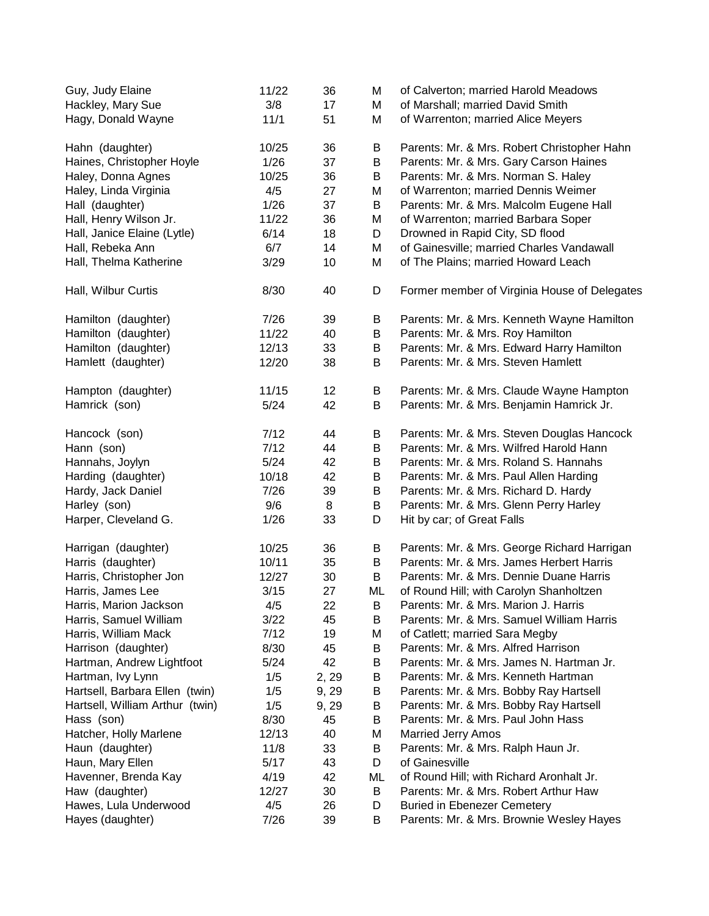| Guy, Judy Elaine                | 11/22  | 36    | М  | of Calverton; married Harold Meadows         |
|---------------------------------|--------|-------|----|----------------------------------------------|
| Hackley, Mary Sue               | 3/8    | 17    | M  | of Marshall; married David Smith             |
| Hagy, Donald Wayne              | 11/1   | 51    | Μ  | of Warrenton; married Alice Meyers           |
| Hahn (daughter)                 | 10/25  | 36    | B  | Parents: Mr. & Mrs. Robert Christopher Hahn  |
| Haines, Christopher Hoyle       | 1/26   | 37    | В  | Parents: Mr. & Mrs. Gary Carson Haines       |
| Haley, Donna Agnes              | 10/25  | 36    | B  | Parents: Mr. & Mrs. Norman S. Haley          |
| Haley, Linda Virginia           | 4/5    | 27    | M  | of Warrenton; married Dennis Weimer          |
| Hall (daughter)                 | 1/26   | 37    | B  | Parents: Mr. & Mrs. Malcolm Eugene Hall      |
| Hall, Henry Wilson Jr.          | 11/22  | 36    | M  | of Warrenton; married Barbara Soper          |
| Hall, Janice Elaine (Lytle)     | 6/14   | 18    | D  | Drowned in Rapid City, SD flood              |
| Hall, Rebeka Ann                | 6/7    | 14    | M  | of Gainesville; married Charles Vandawall    |
| Hall, Thelma Katherine          | 3/29   | 10    | M  | of The Plains; married Howard Leach          |
| Hall, Wilbur Curtis             | 8/30   | 40    | D  | Former member of Virginia House of Delegates |
| Hamilton (daughter)             | 7/26   | 39    | B  | Parents: Mr. & Mrs. Kenneth Wayne Hamilton   |
| Hamilton (daughter)             | 11/22  | 40    | B  | Parents: Mr. & Mrs. Roy Hamilton             |
| Hamilton (daughter)             | 12/13  | 33    | B  | Parents: Mr. & Mrs. Edward Harry Hamilton    |
| Hamlett (daughter)              | 12/20  | 38    | В  | Parents: Mr. & Mrs. Steven Hamlett           |
| Hampton (daughter)              | 11/15  | 12    | В  | Parents: Mr. & Mrs. Claude Wayne Hampton     |
| Hamrick (son)                   | 5/24   | 42    | B  | Parents: Mr. & Mrs. Benjamin Hamrick Jr.     |
| Hancock (son)                   | 7/12   | 44    | B  | Parents: Mr. & Mrs. Steven Douglas Hancock   |
| Hann (son)                      | 7/12   | 44    | B  | Parents: Mr. & Mrs. Wilfred Harold Hann      |
| Hannahs, Joylyn                 | $5/24$ | 42    | B  | Parents: Mr. & Mrs. Roland S. Hannahs        |
| Harding (daughter)              | 10/18  | 42    | B  | Parents: Mr. & Mrs. Paul Allen Harding       |
| Hardy, Jack Daniel              | 7/26   | 39    | B  | Parents: Mr. & Mrs. Richard D. Hardy         |
| Harley (son)                    | 9/6    | 8     | B  | Parents: Mr. & Mrs. Glenn Perry Harley       |
| Harper, Cleveland G.            | 1/26   | 33    | D  | Hit by car; of Great Falls                   |
| Harrigan (daughter)             | 10/25  | 36    | В  | Parents: Mr. & Mrs. George Richard Harrigan  |
| Harris (daughter)               | 10/11  | 35    | B  | Parents: Mr. & Mrs. James Herbert Harris     |
| Harris, Christopher Jon         | 12/27  | 30    | B  | Parents: Mr. & Mrs. Dennie Duane Harris      |
| Harris, James Lee               | 3/15   | 27    | ML | of Round Hill; with Carolyn Shanholtzen      |
| Harris, Marion Jackson          | 4/5    | 22    | B  | Parents: Mr. & Mrs. Marion J. Harris         |
| Harris, Samuel William          | 3/22   | 45    | В  | Parents: Mr. & Mrs. Samuel William Harris    |
| Harris, William Mack            | 7/12   | 19    | Μ  | of Catlett; married Sara Megby               |
| Harrison (daughter)             | 8/30   | 45    | В  | Parents: Mr. & Mrs. Alfred Harrison          |
| Hartman, Andrew Lightfoot       | 5/24   | 42    | В  | Parents: Mr. & Mrs. James N. Hartman Jr.     |
| Hartman, Ivy Lynn               | 1/5    | 2, 29 | В  | Parents: Mr. & Mrs. Kenneth Hartman          |
| Hartsell, Barbara Ellen (twin)  | 1/5    | 9, 29 | B  | Parents: Mr. & Mrs. Bobby Ray Hartsell       |
| Hartsell, William Arthur (twin) | 1/5    | 9, 29 | B  | Parents: Mr. & Mrs. Bobby Ray Hartsell       |
| Hass (son)                      | 8/30   | 45    | В  | Parents: Mr. & Mrs. Paul John Hass           |
| Hatcher, Holly Marlene          | 12/13  | 40    | Μ  | <b>Married Jerry Amos</b>                    |
| Haun (daughter)                 | 11/8   | 33    | В  | Parents: Mr. & Mrs. Ralph Haun Jr.           |
| Haun, Mary Ellen                | 5/17   | 43    | D  | of Gainesville                               |
| Havenner, Brenda Kay            | 4/19   | 42    | ML | of Round Hill; with Richard Aronhalt Jr.     |
| Haw (daughter)                  | 12/27  | 30    | B  | Parents: Mr. & Mrs. Robert Arthur Haw        |
| Hawes, Lula Underwood           | 4/5    | 26    | D  | <b>Buried in Ebenezer Cemetery</b>           |
| Hayes (daughter)                | 7/26   | 39    | B  | Parents: Mr. & Mrs. Brownie Wesley Hayes     |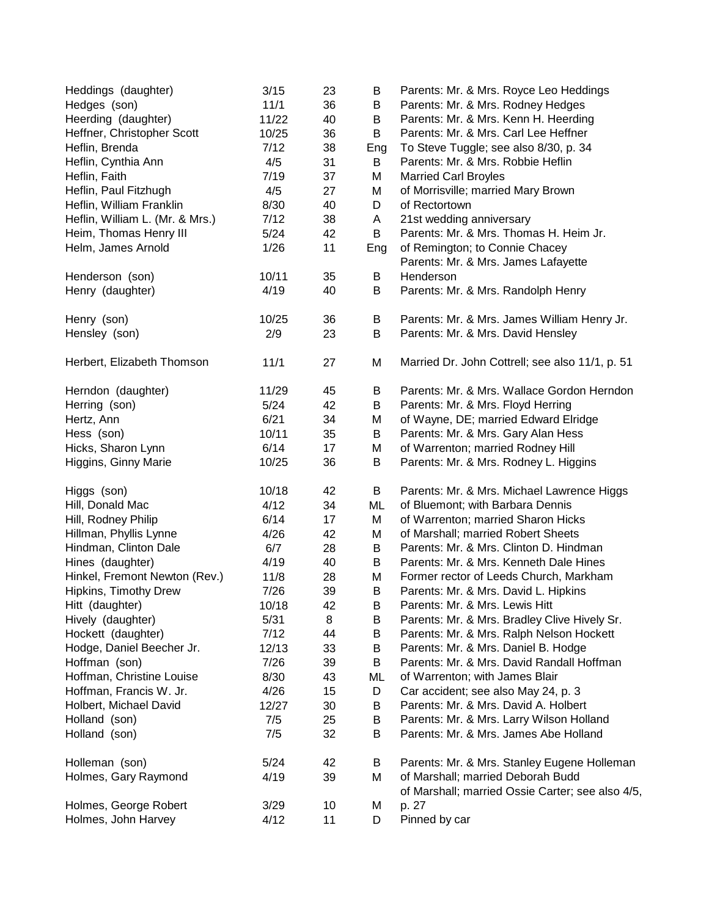| Heddings (daughter)             | 3/15   | 23 | В   | Parents: Mr. & Mrs. Royce Leo Heddings                                                |
|---------------------------------|--------|----|-----|---------------------------------------------------------------------------------------|
| Hedges (son)                    | 11/1   | 36 | В   | Parents: Mr. & Mrs. Rodney Hedges                                                     |
| Heerding (daughter)             | 11/22  | 40 | В   | Parents: Mr. & Mrs. Kenn H. Heerding                                                  |
| Heffner, Christopher Scott      | 10/25  | 36 | B   | Parents: Mr. & Mrs. Carl Lee Heffner                                                  |
| Heflin, Brenda                  | 7/12   | 38 | Eng | To Steve Tuggle; see also 8/30, p. 34                                                 |
| Heflin, Cynthia Ann             | 4/5    | 31 | B   | Parents: Mr. & Mrs. Robbie Heflin                                                     |
| Heflin, Faith                   | 7/19   | 37 | M   | <b>Married Carl Broyles</b>                                                           |
| Heflin, Paul Fitzhugh           | 4/5    | 27 | M   | of Morrisville; married Mary Brown                                                    |
| Heflin, William Franklin        | 8/30   | 40 | D   | of Rectortown                                                                         |
| Heflin, William L. (Mr. & Mrs.) | 7/12   | 38 | Α   | 21st wedding anniversary                                                              |
| Heim, Thomas Henry III          | 5/24   | 42 | B   | Parents: Mr. & Mrs. Thomas H. Heim Jr.                                                |
| Helm, James Arnold              | 1/26   | 11 | Eng | of Remington; to Connie Chacey                                                        |
|                                 |        |    |     | Parents: Mr. & Mrs. James Lafayette                                                   |
| Henderson (son)                 | 10/11  | 35 | B   | Henderson                                                                             |
| Henry (daughter)                | 4/19   | 40 | B   | Parents: Mr. & Mrs. Randolph Henry                                                    |
| Henry (son)                     | 10/25  | 36 | Β   | Parents: Mr. & Mrs. James William Henry Jr.                                           |
| Hensley (son)                   | 2/9    | 23 | B   | Parents: Mr. & Mrs. David Hensley                                                     |
| Herbert, Elizabeth Thomson      | 11/1   | 27 | M   | Married Dr. John Cottrell; see also 11/1, p. 51                                       |
| Herndon (daughter)              | 11/29  | 45 | B   | Parents: Mr. & Mrs. Wallace Gordon Herndon                                            |
| Herring (son)                   | $5/24$ | 42 | B   | Parents: Mr. & Mrs. Floyd Herring                                                     |
| Hertz, Ann                      | 6/21   | 34 | M   | of Wayne, DE; married Edward Elridge                                                  |
| Hess (son)                      | 10/11  | 35 | B   | Parents: Mr. & Mrs. Gary Alan Hess                                                    |
| Hicks, Sharon Lynn              | 6/14   | 17 | M   | of Warrenton; married Rodney Hill                                                     |
| Higgins, Ginny Marie            | 10/25  | 36 | B   | Parents: Mr. & Mrs. Rodney L. Higgins                                                 |
| Higgs (son)                     | 10/18  | 42 | B   | Parents: Mr. & Mrs. Michael Lawrence Higgs                                            |
| Hill, Donald Mac                | 4/12   | 34 | ML  | of Bluemont; with Barbara Dennis                                                      |
| Hill, Rodney Philip             | 6/14   | 17 | M   | of Warrenton; married Sharon Hicks                                                    |
| Hillman, Phyllis Lynne          | 4/26   | 42 | M   | of Marshall; married Robert Sheets                                                    |
| Hindman, Clinton Dale           | 6/7    | 28 | B   | Parents: Mr. & Mrs. Clinton D. Hindman                                                |
| Hines (daughter)                | 4/19   | 40 | B   | Parents: Mr. & Mrs. Kenneth Dale Hines                                                |
| Hinkel, Fremont Newton (Rev.)   | 11/8   | 28 | M   | Former rector of Leeds Church, Markham                                                |
| Hipkins, Timothy Drew           | 7/26   | 39 | B   | Parents: Mr. & Mrs. David L. Hipkins                                                  |
| Hitt (daughter)                 | 10/18  | 42 | Β   | Parents: Mr. & Mrs. Lewis Hitt                                                        |
| Hively (daughter)               | 5/31   | 8  | Β   | Parents: Mr. & Mrs. Bradley Clive Hively Sr.                                          |
| Hockett (daughter)              | 7/12   | 44 | B   | Parents: Mr. & Mrs. Ralph Nelson Hockett                                              |
| Hodge, Daniel Beecher Jr.       | 12/13  | 33 | B   | Parents: Mr. & Mrs. Daniel B. Hodge                                                   |
| Hoffman (son)                   | 7/26   | 39 | B   | Parents: Mr. & Mrs. David Randall Hoffman                                             |
| Hoffman, Christine Louise       | 8/30   | 43 | ML  | of Warrenton; with James Blair                                                        |
| Hoffman, Francis W. Jr.         | 4/26   | 15 | D   | Car accident; see also May 24, p. 3                                                   |
| Holbert, Michael David          | 12/27  | 30 | Β   | Parents: Mr. & Mrs. David A. Holbert                                                  |
| Holland (son)                   | 7/5    | 25 | B   | Parents: Mr. & Mrs. Larry Wilson Holland                                              |
| Holland (son)                   | 7/5    | 32 | B   | Parents: Mr. & Mrs. James Abe Holland                                                 |
| Holleman (son)                  | 5/24   | 42 | B   | Parents: Mr. & Mrs. Stanley Eugene Holleman                                           |
| Holmes, Gary Raymond            | 4/19   | 39 | M   | of Marshall; married Deborah Budd<br>of Marshall; married Ossie Carter; see also 4/5, |
| Holmes, George Robert           | 3/29   | 10 | M   | p. 27                                                                                 |
| Holmes, John Harvey             | 4/12   | 11 | D   | Pinned by car                                                                         |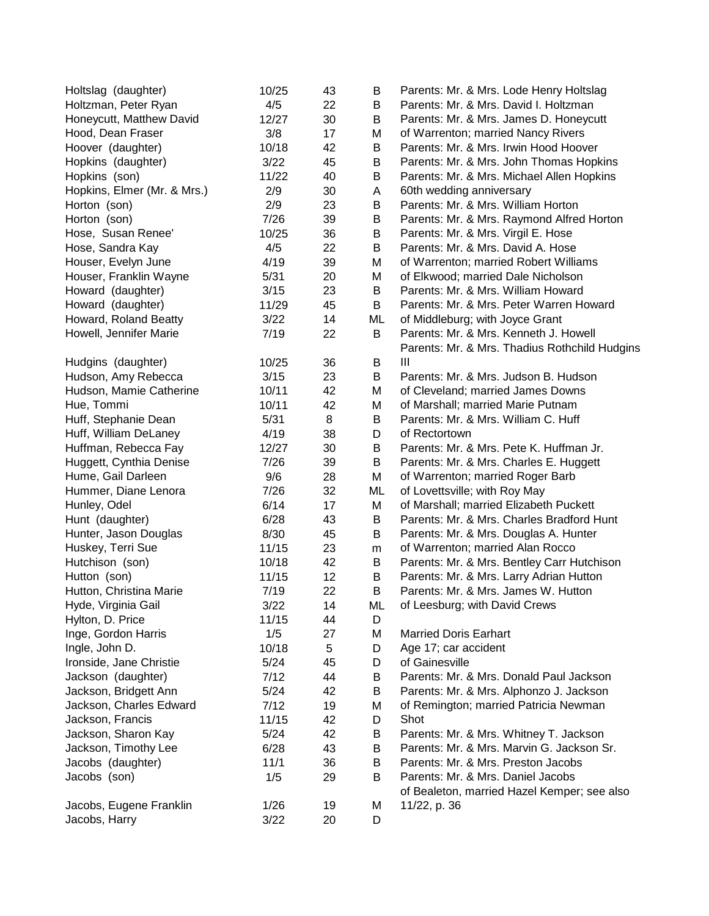| 4/5<br>22<br>Parents: Mr. & Mrs. David I. Holtzman<br>B<br>12/27<br>30<br>B<br>Parents: Mr. & Mrs. James D. Honeycutt<br>3/8<br>17<br>Μ<br>of Warrenton; married Nancy Rivers<br>10/18<br>Hoover (daughter)<br>42<br>B<br>Parents: Mr. & Mrs. Irwin Hood Hoover<br>3/22<br>45<br>Hopkins (daughter)<br>B<br>Parents: Mr. & Mrs. John Thomas Hopkins<br>11/22<br>40<br>Hopkins (son)<br>B<br>Parents: Mr. & Mrs. Michael Allen Hopkins<br>2/9<br>Hopkins, Elmer (Mr. & Mrs.)<br>30<br>A<br>60th wedding anniversary<br>2/9<br>B<br>Parents: Mr. & Mrs. William Horton<br>Horton (son)<br>23<br>7/26<br>39<br>B<br>Horton (son)<br>Parents: Mr. & Mrs. Raymond Alfred Horton<br>10/25<br>36<br>B<br>Parents: Mr. & Mrs. Virgil E. Hose<br>4/5<br>22<br>Hose, Sandra Kay<br>B<br>Parents: Mr. & Mrs. David A. Hose<br>Houser, Evelyn June<br>4/19<br>of Warrenton; married Robert Williams<br>39<br>M<br>Houser, Franklin Wayne<br>20<br>of Elkwood; married Dale Nicholson<br>5/31<br>M<br>Howard (daughter)<br>3/15<br>23<br>B<br>Parents: Mr. & Mrs. William Howard<br>Howard (daughter)<br>11/29<br>45<br>B<br>Parents: Mr. & Mrs. Peter Warren Howard<br>Howard, Roland Beatty<br>3/22<br>14<br>of Middleburg; with Joyce Grant<br>ML<br>B<br>Howell, Jennifer Marie<br>7/19<br>22<br>Parents: Mr. & Mrs. Kenneth J. Howell<br>Parents: Mr. & Mrs. Thadius Rothchild Hudgins<br>Hudgins (daughter)<br>36<br>10/25<br>Ш<br>B<br>Parents: Mr. & Mrs. Judson B. Hudson<br>Hudson, Amy Rebecca<br>23<br>B<br>3/15<br>Hudson, Mamie Catherine<br>42<br>M<br>of Cleveland; married James Downs<br>10/11<br>Hue, Tommi<br>10/11<br>42<br>M<br>of Marshall; married Marie Putnam<br>Parents: Mr. & Mrs. William C. Huff<br>Huff, Stephanie Dean<br>5/31<br>8<br>B<br>Huff, William DeLaney<br>4/19<br>D<br>of Rectortown<br>38<br>Huffman, Rebecca Fay<br>30<br>B<br>Parents: Mr. & Mrs. Pete K. Huffman Jr.<br>12/27<br>B<br>Huggett, Cynthia Denise<br>7/26<br>39<br>Parents: Mr. & Mrs. Charles E. Huggett<br>M<br>Hume, Gail Darleen<br>9/6<br>of Warrenton; married Roger Barb<br>28<br>Hummer, Diane Lenora<br>32<br>of Lovettsville; with Roy May<br>7/26<br>ML<br>of Marshall; married Elizabeth Puckett<br>Hunley, Odel<br>6/14<br>M<br>17<br>Hunt (daughter)<br>6/28<br>Parents: Mr. & Mrs. Charles Bradford Hunt<br>43<br>B<br>Hunter, Jason Douglas<br>8/30<br>B<br>Parents: Mr. & Mrs. Douglas A. Hunter<br>45<br>Huskey, Terri Sue<br>11/15<br>23<br>of Warrenton; married Alan Rocco<br>m<br>Hutchison (son)<br>10/18<br>42<br>B<br>Parents: Mr. & Mrs. Bentley Carr Hutchison<br>12<br>Hutton (son)<br>11/15<br>B<br>Parents: Mr. & Mrs. Larry Adrian Hutton<br>7/19<br>22<br>B<br>Hutton, Christina Marie<br>Parents: Mr. & Mrs. James W. Hutton<br>Hyde, Virginia Gail<br>3/22<br>14<br>ML<br>of Leesburg; with David Crews<br>11/15<br>44<br>D<br>Hylton, D. Price<br>1/5<br>27<br>M<br>Inge, Gordon Harris<br><b>Married Doris Earhart</b><br>10/18<br>5<br>Ingle, John D.<br>D<br>Age 17; car accident<br>5/24<br>Ironside, Jane Christie<br>45<br>D<br>of Gainesville<br>7/12<br>Jackson (daughter)<br>44<br>B<br>Parents: Mr. & Mrs. Donald Paul Jackson<br>Jackson, Bridgett Ann<br>5/24<br>42<br>B<br>Parents: Mr. & Mrs. Alphonzo J. Jackson<br>Jackson, Charles Edward<br>7/12<br>19<br>M<br>of Remington; married Patricia Newman<br>Shot<br>Jackson, Francis<br>11/15<br>42<br>D<br>Jackson, Sharon Kay<br>5/24<br>42<br>B<br>Parents: Mr. & Mrs. Whitney T. Jackson<br>Jackson, Timothy Lee<br>Parents: Mr. & Mrs. Marvin G. Jackson Sr.<br>6/28<br>43<br>B<br>Jacobs (daughter)<br>11/1<br>Parents: Mr. & Mrs. Preston Jacobs<br>36<br>B<br>Jacobs (son)<br>Parents: Mr. & Mrs. Daniel Jacobs<br>1/5<br>B<br>29<br>of Bealeton, married Hazel Kemper; see also<br>Jacobs, Eugene Franklin<br>1/26<br>19<br>11/22, p. 36<br>Μ | Holtslag (daughter)      | 10/25 | 43 | B | Parents: Mr. & Mrs. Lode Henry Holtslag |
|-------------------------------------------------------------------------------------------------------------------------------------------------------------------------------------------------------------------------------------------------------------------------------------------------------------------------------------------------------------------------------------------------------------------------------------------------------------------------------------------------------------------------------------------------------------------------------------------------------------------------------------------------------------------------------------------------------------------------------------------------------------------------------------------------------------------------------------------------------------------------------------------------------------------------------------------------------------------------------------------------------------------------------------------------------------------------------------------------------------------------------------------------------------------------------------------------------------------------------------------------------------------------------------------------------------------------------------------------------------------------------------------------------------------------------------------------------------------------------------------------------------------------------------------------------------------------------------------------------------------------------------------------------------------------------------------------------------------------------------------------------------------------------------------------------------------------------------------------------------------------------------------------------------------------------------------------------------------------------------------------------------------------------------------------------------------------------------------------------------------------------------------------------------------------------------------------------------------------------------------------------------------------------------------------------------------------------------------------------------------------------------------------------------------------------------------------------------------------------------------------------------------------------------------------------------------------------------------------------------------------------------------------------------------------------------------------------------------------------------------------------------------------------------------------------------------------------------------------------------------------------------------------------------------------------------------------------------------------------------------------------------------------------------------------------------------------------------------------------------------------------------------------------------------------------------------------------------------------------------------------------------------------------------------------------------------------------------------------------------------------------------------------------------------------------------------------------------------------------------------------------------------------------------------------------------------------------------------------------------------------------------------------------------------------------------------------------------------------------------------------------------------------------------------------------------------------------------------------------|--------------------------|-------|----|---|-----------------------------------------|
|                                                                                                                                                                                                                                                                                                                                                                                                                                                                                                                                                                                                                                                                                                                                                                                                                                                                                                                                                                                                                                                                                                                                                                                                                                                                                                                                                                                                                                                                                                                                                                                                                                                                                                                                                                                                                                                                                                                                                                                                                                                                                                                                                                                                                                                                                                                                                                                                                                                                                                                                                                                                                                                                                                                                                                                                                                                                                                                                                                                                                                                                                                                                                                                                                                                                                                                                                                                                                                                                                                                                                                                                                                                                                                                                                                                                                                                       | Holtzman, Peter Ryan     |       |    |   |                                         |
|                                                                                                                                                                                                                                                                                                                                                                                                                                                                                                                                                                                                                                                                                                                                                                                                                                                                                                                                                                                                                                                                                                                                                                                                                                                                                                                                                                                                                                                                                                                                                                                                                                                                                                                                                                                                                                                                                                                                                                                                                                                                                                                                                                                                                                                                                                                                                                                                                                                                                                                                                                                                                                                                                                                                                                                                                                                                                                                                                                                                                                                                                                                                                                                                                                                                                                                                                                                                                                                                                                                                                                                                                                                                                                                                                                                                                                                       | Honeycutt, Matthew David |       |    |   |                                         |
|                                                                                                                                                                                                                                                                                                                                                                                                                                                                                                                                                                                                                                                                                                                                                                                                                                                                                                                                                                                                                                                                                                                                                                                                                                                                                                                                                                                                                                                                                                                                                                                                                                                                                                                                                                                                                                                                                                                                                                                                                                                                                                                                                                                                                                                                                                                                                                                                                                                                                                                                                                                                                                                                                                                                                                                                                                                                                                                                                                                                                                                                                                                                                                                                                                                                                                                                                                                                                                                                                                                                                                                                                                                                                                                                                                                                                                                       | Hood, Dean Fraser        |       |    |   |                                         |
|                                                                                                                                                                                                                                                                                                                                                                                                                                                                                                                                                                                                                                                                                                                                                                                                                                                                                                                                                                                                                                                                                                                                                                                                                                                                                                                                                                                                                                                                                                                                                                                                                                                                                                                                                                                                                                                                                                                                                                                                                                                                                                                                                                                                                                                                                                                                                                                                                                                                                                                                                                                                                                                                                                                                                                                                                                                                                                                                                                                                                                                                                                                                                                                                                                                                                                                                                                                                                                                                                                                                                                                                                                                                                                                                                                                                                                                       |                          |       |    |   |                                         |
|                                                                                                                                                                                                                                                                                                                                                                                                                                                                                                                                                                                                                                                                                                                                                                                                                                                                                                                                                                                                                                                                                                                                                                                                                                                                                                                                                                                                                                                                                                                                                                                                                                                                                                                                                                                                                                                                                                                                                                                                                                                                                                                                                                                                                                                                                                                                                                                                                                                                                                                                                                                                                                                                                                                                                                                                                                                                                                                                                                                                                                                                                                                                                                                                                                                                                                                                                                                                                                                                                                                                                                                                                                                                                                                                                                                                                                                       |                          |       |    |   |                                         |
|                                                                                                                                                                                                                                                                                                                                                                                                                                                                                                                                                                                                                                                                                                                                                                                                                                                                                                                                                                                                                                                                                                                                                                                                                                                                                                                                                                                                                                                                                                                                                                                                                                                                                                                                                                                                                                                                                                                                                                                                                                                                                                                                                                                                                                                                                                                                                                                                                                                                                                                                                                                                                                                                                                                                                                                                                                                                                                                                                                                                                                                                                                                                                                                                                                                                                                                                                                                                                                                                                                                                                                                                                                                                                                                                                                                                                                                       |                          |       |    |   |                                         |
|                                                                                                                                                                                                                                                                                                                                                                                                                                                                                                                                                                                                                                                                                                                                                                                                                                                                                                                                                                                                                                                                                                                                                                                                                                                                                                                                                                                                                                                                                                                                                                                                                                                                                                                                                                                                                                                                                                                                                                                                                                                                                                                                                                                                                                                                                                                                                                                                                                                                                                                                                                                                                                                                                                                                                                                                                                                                                                                                                                                                                                                                                                                                                                                                                                                                                                                                                                                                                                                                                                                                                                                                                                                                                                                                                                                                                                                       |                          |       |    |   |                                         |
|                                                                                                                                                                                                                                                                                                                                                                                                                                                                                                                                                                                                                                                                                                                                                                                                                                                                                                                                                                                                                                                                                                                                                                                                                                                                                                                                                                                                                                                                                                                                                                                                                                                                                                                                                                                                                                                                                                                                                                                                                                                                                                                                                                                                                                                                                                                                                                                                                                                                                                                                                                                                                                                                                                                                                                                                                                                                                                                                                                                                                                                                                                                                                                                                                                                                                                                                                                                                                                                                                                                                                                                                                                                                                                                                                                                                                                                       |                          |       |    |   |                                         |
|                                                                                                                                                                                                                                                                                                                                                                                                                                                                                                                                                                                                                                                                                                                                                                                                                                                                                                                                                                                                                                                                                                                                                                                                                                                                                                                                                                                                                                                                                                                                                                                                                                                                                                                                                                                                                                                                                                                                                                                                                                                                                                                                                                                                                                                                                                                                                                                                                                                                                                                                                                                                                                                                                                                                                                                                                                                                                                                                                                                                                                                                                                                                                                                                                                                                                                                                                                                                                                                                                                                                                                                                                                                                                                                                                                                                                                                       |                          |       |    |   |                                         |
|                                                                                                                                                                                                                                                                                                                                                                                                                                                                                                                                                                                                                                                                                                                                                                                                                                                                                                                                                                                                                                                                                                                                                                                                                                                                                                                                                                                                                                                                                                                                                                                                                                                                                                                                                                                                                                                                                                                                                                                                                                                                                                                                                                                                                                                                                                                                                                                                                                                                                                                                                                                                                                                                                                                                                                                                                                                                                                                                                                                                                                                                                                                                                                                                                                                                                                                                                                                                                                                                                                                                                                                                                                                                                                                                                                                                                                                       | Hose, Susan Renee'       |       |    |   |                                         |
|                                                                                                                                                                                                                                                                                                                                                                                                                                                                                                                                                                                                                                                                                                                                                                                                                                                                                                                                                                                                                                                                                                                                                                                                                                                                                                                                                                                                                                                                                                                                                                                                                                                                                                                                                                                                                                                                                                                                                                                                                                                                                                                                                                                                                                                                                                                                                                                                                                                                                                                                                                                                                                                                                                                                                                                                                                                                                                                                                                                                                                                                                                                                                                                                                                                                                                                                                                                                                                                                                                                                                                                                                                                                                                                                                                                                                                                       |                          |       |    |   |                                         |
|                                                                                                                                                                                                                                                                                                                                                                                                                                                                                                                                                                                                                                                                                                                                                                                                                                                                                                                                                                                                                                                                                                                                                                                                                                                                                                                                                                                                                                                                                                                                                                                                                                                                                                                                                                                                                                                                                                                                                                                                                                                                                                                                                                                                                                                                                                                                                                                                                                                                                                                                                                                                                                                                                                                                                                                                                                                                                                                                                                                                                                                                                                                                                                                                                                                                                                                                                                                                                                                                                                                                                                                                                                                                                                                                                                                                                                                       |                          |       |    |   |                                         |
|                                                                                                                                                                                                                                                                                                                                                                                                                                                                                                                                                                                                                                                                                                                                                                                                                                                                                                                                                                                                                                                                                                                                                                                                                                                                                                                                                                                                                                                                                                                                                                                                                                                                                                                                                                                                                                                                                                                                                                                                                                                                                                                                                                                                                                                                                                                                                                                                                                                                                                                                                                                                                                                                                                                                                                                                                                                                                                                                                                                                                                                                                                                                                                                                                                                                                                                                                                                                                                                                                                                                                                                                                                                                                                                                                                                                                                                       |                          |       |    |   |                                         |
|                                                                                                                                                                                                                                                                                                                                                                                                                                                                                                                                                                                                                                                                                                                                                                                                                                                                                                                                                                                                                                                                                                                                                                                                                                                                                                                                                                                                                                                                                                                                                                                                                                                                                                                                                                                                                                                                                                                                                                                                                                                                                                                                                                                                                                                                                                                                                                                                                                                                                                                                                                                                                                                                                                                                                                                                                                                                                                                                                                                                                                                                                                                                                                                                                                                                                                                                                                                                                                                                                                                                                                                                                                                                                                                                                                                                                                                       |                          |       |    |   |                                         |
|                                                                                                                                                                                                                                                                                                                                                                                                                                                                                                                                                                                                                                                                                                                                                                                                                                                                                                                                                                                                                                                                                                                                                                                                                                                                                                                                                                                                                                                                                                                                                                                                                                                                                                                                                                                                                                                                                                                                                                                                                                                                                                                                                                                                                                                                                                                                                                                                                                                                                                                                                                                                                                                                                                                                                                                                                                                                                                                                                                                                                                                                                                                                                                                                                                                                                                                                                                                                                                                                                                                                                                                                                                                                                                                                                                                                                                                       |                          |       |    |   |                                         |
|                                                                                                                                                                                                                                                                                                                                                                                                                                                                                                                                                                                                                                                                                                                                                                                                                                                                                                                                                                                                                                                                                                                                                                                                                                                                                                                                                                                                                                                                                                                                                                                                                                                                                                                                                                                                                                                                                                                                                                                                                                                                                                                                                                                                                                                                                                                                                                                                                                                                                                                                                                                                                                                                                                                                                                                                                                                                                                                                                                                                                                                                                                                                                                                                                                                                                                                                                                                                                                                                                                                                                                                                                                                                                                                                                                                                                                                       |                          |       |    |   |                                         |
|                                                                                                                                                                                                                                                                                                                                                                                                                                                                                                                                                                                                                                                                                                                                                                                                                                                                                                                                                                                                                                                                                                                                                                                                                                                                                                                                                                                                                                                                                                                                                                                                                                                                                                                                                                                                                                                                                                                                                                                                                                                                                                                                                                                                                                                                                                                                                                                                                                                                                                                                                                                                                                                                                                                                                                                                                                                                                                                                                                                                                                                                                                                                                                                                                                                                                                                                                                                                                                                                                                                                                                                                                                                                                                                                                                                                                                                       |                          |       |    |   |                                         |
|                                                                                                                                                                                                                                                                                                                                                                                                                                                                                                                                                                                                                                                                                                                                                                                                                                                                                                                                                                                                                                                                                                                                                                                                                                                                                                                                                                                                                                                                                                                                                                                                                                                                                                                                                                                                                                                                                                                                                                                                                                                                                                                                                                                                                                                                                                                                                                                                                                                                                                                                                                                                                                                                                                                                                                                                                                                                                                                                                                                                                                                                                                                                                                                                                                                                                                                                                                                                                                                                                                                                                                                                                                                                                                                                                                                                                                                       |                          |       |    |   |                                         |
|                                                                                                                                                                                                                                                                                                                                                                                                                                                                                                                                                                                                                                                                                                                                                                                                                                                                                                                                                                                                                                                                                                                                                                                                                                                                                                                                                                                                                                                                                                                                                                                                                                                                                                                                                                                                                                                                                                                                                                                                                                                                                                                                                                                                                                                                                                                                                                                                                                                                                                                                                                                                                                                                                                                                                                                                                                                                                                                                                                                                                                                                                                                                                                                                                                                                                                                                                                                                                                                                                                                                                                                                                                                                                                                                                                                                                                                       |                          |       |    |   |                                         |
|                                                                                                                                                                                                                                                                                                                                                                                                                                                                                                                                                                                                                                                                                                                                                                                                                                                                                                                                                                                                                                                                                                                                                                                                                                                                                                                                                                                                                                                                                                                                                                                                                                                                                                                                                                                                                                                                                                                                                                                                                                                                                                                                                                                                                                                                                                                                                                                                                                                                                                                                                                                                                                                                                                                                                                                                                                                                                                                                                                                                                                                                                                                                                                                                                                                                                                                                                                                                                                                                                                                                                                                                                                                                                                                                                                                                                                                       |                          |       |    |   |                                         |
|                                                                                                                                                                                                                                                                                                                                                                                                                                                                                                                                                                                                                                                                                                                                                                                                                                                                                                                                                                                                                                                                                                                                                                                                                                                                                                                                                                                                                                                                                                                                                                                                                                                                                                                                                                                                                                                                                                                                                                                                                                                                                                                                                                                                                                                                                                                                                                                                                                                                                                                                                                                                                                                                                                                                                                                                                                                                                                                                                                                                                                                                                                                                                                                                                                                                                                                                                                                                                                                                                                                                                                                                                                                                                                                                                                                                                                                       |                          |       |    |   |                                         |
|                                                                                                                                                                                                                                                                                                                                                                                                                                                                                                                                                                                                                                                                                                                                                                                                                                                                                                                                                                                                                                                                                                                                                                                                                                                                                                                                                                                                                                                                                                                                                                                                                                                                                                                                                                                                                                                                                                                                                                                                                                                                                                                                                                                                                                                                                                                                                                                                                                                                                                                                                                                                                                                                                                                                                                                                                                                                                                                                                                                                                                                                                                                                                                                                                                                                                                                                                                                                                                                                                                                                                                                                                                                                                                                                                                                                                                                       |                          |       |    |   |                                         |
|                                                                                                                                                                                                                                                                                                                                                                                                                                                                                                                                                                                                                                                                                                                                                                                                                                                                                                                                                                                                                                                                                                                                                                                                                                                                                                                                                                                                                                                                                                                                                                                                                                                                                                                                                                                                                                                                                                                                                                                                                                                                                                                                                                                                                                                                                                                                                                                                                                                                                                                                                                                                                                                                                                                                                                                                                                                                                                                                                                                                                                                                                                                                                                                                                                                                                                                                                                                                                                                                                                                                                                                                                                                                                                                                                                                                                                                       |                          |       |    |   |                                         |
|                                                                                                                                                                                                                                                                                                                                                                                                                                                                                                                                                                                                                                                                                                                                                                                                                                                                                                                                                                                                                                                                                                                                                                                                                                                                                                                                                                                                                                                                                                                                                                                                                                                                                                                                                                                                                                                                                                                                                                                                                                                                                                                                                                                                                                                                                                                                                                                                                                                                                                                                                                                                                                                                                                                                                                                                                                                                                                                                                                                                                                                                                                                                                                                                                                                                                                                                                                                                                                                                                                                                                                                                                                                                                                                                                                                                                                                       |                          |       |    |   |                                         |
|                                                                                                                                                                                                                                                                                                                                                                                                                                                                                                                                                                                                                                                                                                                                                                                                                                                                                                                                                                                                                                                                                                                                                                                                                                                                                                                                                                                                                                                                                                                                                                                                                                                                                                                                                                                                                                                                                                                                                                                                                                                                                                                                                                                                                                                                                                                                                                                                                                                                                                                                                                                                                                                                                                                                                                                                                                                                                                                                                                                                                                                                                                                                                                                                                                                                                                                                                                                                                                                                                                                                                                                                                                                                                                                                                                                                                                                       |                          |       |    |   |                                         |
|                                                                                                                                                                                                                                                                                                                                                                                                                                                                                                                                                                                                                                                                                                                                                                                                                                                                                                                                                                                                                                                                                                                                                                                                                                                                                                                                                                                                                                                                                                                                                                                                                                                                                                                                                                                                                                                                                                                                                                                                                                                                                                                                                                                                                                                                                                                                                                                                                                                                                                                                                                                                                                                                                                                                                                                                                                                                                                                                                                                                                                                                                                                                                                                                                                                                                                                                                                                                                                                                                                                                                                                                                                                                                                                                                                                                                                                       |                          |       |    |   |                                         |
|                                                                                                                                                                                                                                                                                                                                                                                                                                                                                                                                                                                                                                                                                                                                                                                                                                                                                                                                                                                                                                                                                                                                                                                                                                                                                                                                                                                                                                                                                                                                                                                                                                                                                                                                                                                                                                                                                                                                                                                                                                                                                                                                                                                                                                                                                                                                                                                                                                                                                                                                                                                                                                                                                                                                                                                                                                                                                                                                                                                                                                                                                                                                                                                                                                                                                                                                                                                                                                                                                                                                                                                                                                                                                                                                                                                                                                                       |                          |       |    |   |                                         |
|                                                                                                                                                                                                                                                                                                                                                                                                                                                                                                                                                                                                                                                                                                                                                                                                                                                                                                                                                                                                                                                                                                                                                                                                                                                                                                                                                                                                                                                                                                                                                                                                                                                                                                                                                                                                                                                                                                                                                                                                                                                                                                                                                                                                                                                                                                                                                                                                                                                                                                                                                                                                                                                                                                                                                                                                                                                                                                                                                                                                                                                                                                                                                                                                                                                                                                                                                                                                                                                                                                                                                                                                                                                                                                                                                                                                                                                       |                          |       |    |   |                                         |
|                                                                                                                                                                                                                                                                                                                                                                                                                                                                                                                                                                                                                                                                                                                                                                                                                                                                                                                                                                                                                                                                                                                                                                                                                                                                                                                                                                                                                                                                                                                                                                                                                                                                                                                                                                                                                                                                                                                                                                                                                                                                                                                                                                                                                                                                                                                                                                                                                                                                                                                                                                                                                                                                                                                                                                                                                                                                                                                                                                                                                                                                                                                                                                                                                                                                                                                                                                                                                                                                                                                                                                                                                                                                                                                                                                                                                                                       |                          |       |    |   |                                         |
|                                                                                                                                                                                                                                                                                                                                                                                                                                                                                                                                                                                                                                                                                                                                                                                                                                                                                                                                                                                                                                                                                                                                                                                                                                                                                                                                                                                                                                                                                                                                                                                                                                                                                                                                                                                                                                                                                                                                                                                                                                                                                                                                                                                                                                                                                                                                                                                                                                                                                                                                                                                                                                                                                                                                                                                                                                                                                                                                                                                                                                                                                                                                                                                                                                                                                                                                                                                                                                                                                                                                                                                                                                                                                                                                                                                                                                                       |                          |       |    |   |                                         |
|                                                                                                                                                                                                                                                                                                                                                                                                                                                                                                                                                                                                                                                                                                                                                                                                                                                                                                                                                                                                                                                                                                                                                                                                                                                                                                                                                                                                                                                                                                                                                                                                                                                                                                                                                                                                                                                                                                                                                                                                                                                                                                                                                                                                                                                                                                                                                                                                                                                                                                                                                                                                                                                                                                                                                                                                                                                                                                                                                                                                                                                                                                                                                                                                                                                                                                                                                                                                                                                                                                                                                                                                                                                                                                                                                                                                                                                       |                          |       |    |   |                                         |
|                                                                                                                                                                                                                                                                                                                                                                                                                                                                                                                                                                                                                                                                                                                                                                                                                                                                                                                                                                                                                                                                                                                                                                                                                                                                                                                                                                                                                                                                                                                                                                                                                                                                                                                                                                                                                                                                                                                                                                                                                                                                                                                                                                                                                                                                                                                                                                                                                                                                                                                                                                                                                                                                                                                                                                                                                                                                                                                                                                                                                                                                                                                                                                                                                                                                                                                                                                                                                                                                                                                                                                                                                                                                                                                                                                                                                                                       |                          |       |    |   |                                         |
|                                                                                                                                                                                                                                                                                                                                                                                                                                                                                                                                                                                                                                                                                                                                                                                                                                                                                                                                                                                                                                                                                                                                                                                                                                                                                                                                                                                                                                                                                                                                                                                                                                                                                                                                                                                                                                                                                                                                                                                                                                                                                                                                                                                                                                                                                                                                                                                                                                                                                                                                                                                                                                                                                                                                                                                                                                                                                                                                                                                                                                                                                                                                                                                                                                                                                                                                                                                                                                                                                                                                                                                                                                                                                                                                                                                                                                                       |                          |       |    |   |                                         |
|                                                                                                                                                                                                                                                                                                                                                                                                                                                                                                                                                                                                                                                                                                                                                                                                                                                                                                                                                                                                                                                                                                                                                                                                                                                                                                                                                                                                                                                                                                                                                                                                                                                                                                                                                                                                                                                                                                                                                                                                                                                                                                                                                                                                                                                                                                                                                                                                                                                                                                                                                                                                                                                                                                                                                                                                                                                                                                                                                                                                                                                                                                                                                                                                                                                                                                                                                                                                                                                                                                                                                                                                                                                                                                                                                                                                                                                       |                          |       |    |   |                                         |
|                                                                                                                                                                                                                                                                                                                                                                                                                                                                                                                                                                                                                                                                                                                                                                                                                                                                                                                                                                                                                                                                                                                                                                                                                                                                                                                                                                                                                                                                                                                                                                                                                                                                                                                                                                                                                                                                                                                                                                                                                                                                                                                                                                                                                                                                                                                                                                                                                                                                                                                                                                                                                                                                                                                                                                                                                                                                                                                                                                                                                                                                                                                                                                                                                                                                                                                                                                                                                                                                                                                                                                                                                                                                                                                                                                                                                                                       |                          |       |    |   |                                         |
|                                                                                                                                                                                                                                                                                                                                                                                                                                                                                                                                                                                                                                                                                                                                                                                                                                                                                                                                                                                                                                                                                                                                                                                                                                                                                                                                                                                                                                                                                                                                                                                                                                                                                                                                                                                                                                                                                                                                                                                                                                                                                                                                                                                                                                                                                                                                                                                                                                                                                                                                                                                                                                                                                                                                                                                                                                                                                                                                                                                                                                                                                                                                                                                                                                                                                                                                                                                                                                                                                                                                                                                                                                                                                                                                                                                                                                                       |                          |       |    |   |                                         |
|                                                                                                                                                                                                                                                                                                                                                                                                                                                                                                                                                                                                                                                                                                                                                                                                                                                                                                                                                                                                                                                                                                                                                                                                                                                                                                                                                                                                                                                                                                                                                                                                                                                                                                                                                                                                                                                                                                                                                                                                                                                                                                                                                                                                                                                                                                                                                                                                                                                                                                                                                                                                                                                                                                                                                                                                                                                                                                                                                                                                                                                                                                                                                                                                                                                                                                                                                                                                                                                                                                                                                                                                                                                                                                                                                                                                                                                       |                          |       |    |   |                                         |
|                                                                                                                                                                                                                                                                                                                                                                                                                                                                                                                                                                                                                                                                                                                                                                                                                                                                                                                                                                                                                                                                                                                                                                                                                                                                                                                                                                                                                                                                                                                                                                                                                                                                                                                                                                                                                                                                                                                                                                                                                                                                                                                                                                                                                                                                                                                                                                                                                                                                                                                                                                                                                                                                                                                                                                                                                                                                                                                                                                                                                                                                                                                                                                                                                                                                                                                                                                                                                                                                                                                                                                                                                                                                                                                                                                                                                                                       |                          |       |    |   |                                         |
|                                                                                                                                                                                                                                                                                                                                                                                                                                                                                                                                                                                                                                                                                                                                                                                                                                                                                                                                                                                                                                                                                                                                                                                                                                                                                                                                                                                                                                                                                                                                                                                                                                                                                                                                                                                                                                                                                                                                                                                                                                                                                                                                                                                                                                                                                                                                                                                                                                                                                                                                                                                                                                                                                                                                                                                                                                                                                                                                                                                                                                                                                                                                                                                                                                                                                                                                                                                                                                                                                                                                                                                                                                                                                                                                                                                                                                                       |                          |       |    |   |                                         |
|                                                                                                                                                                                                                                                                                                                                                                                                                                                                                                                                                                                                                                                                                                                                                                                                                                                                                                                                                                                                                                                                                                                                                                                                                                                                                                                                                                                                                                                                                                                                                                                                                                                                                                                                                                                                                                                                                                                                                                                                                                                                                                                                                                                                                                                                                                                                                                                                                                                                                                                                                                                                                                                                                                                                                                                                                                                                                                                                                                                                                                                                                                                                                                                                                                                                                                                                                                                                                                                                                                                                                                                                                                                                                                                                                                                                                                                       |                          |       |    |   |                                         |
|                                                                                                                                                                                                                                                                                                                                                                                                                                                                                                                                                                                                                                                                                                                                                                                                                                                                                                                                                                                                                                                                                                                                                                                                                                                                                                                                                                                                                                                                                                                                                                                                                                                                                                                                                                                                                                                                                                                                                                                                                                                                                                                                                                                                                                                                                                                                                                                                                                                                                                                                                                                                                                                                                                                                                                                                                                                                                                                                                                                                                                                                                                                                                                                                                                                                                                                                                                                                                                                                                                                                                                                                                                                                                                                                                                                                                                                       |                          |       |    |   |                                         |
|                                                                                                                                                                                                                                                                                                                                                                                                                                                                                                                                                                                                                                                                                                                                                                                                                                                                                                                                                                                                                                                                                                                                                                                                                                                                                                                                                                                                                                                                                                                                                                                                                                                                                                                                                                                                                                                                                                                                                                                                                                                                                                                                                                                                                                                                                                                                                                                                                                                                                                                                                                                                                                                                                                                                                                                                                                                                                                                                                                                                                                                                                                                                                                                                                                                                                                                                                                                                                                                                                                                                                                                                                                                                                                                                                                                                                                                       |                          |       |    |   |                                         |
|                                                                                                                                                                                                                                                                                                                                                                                                                                                                                                                                                                                                                                                                                                                                                                                                                                                                                                                                                                                                                                                                                                                                                                                                                                                                                                                                                                                                                                                                                                                                                                                                                                                                                                                                                                                                                                                                                                                                                                                                                                                                                                                                                                                                                                                                                                                                                                                                                                                                                                                                                                                                                                                                                                                                                                                                                                                                                                                                                                                                                                                                                                                                                                                                                                                                                                                                                                                                                                                                                                                                                                                                                                                                                                                                                                                                                                                       |                          |       |    |   |                                         |
|                                                                                                                                                                                                                                                                                                                                                                                                                                                                                                                                                                                                                                                                                                                                                                                                                                                                                                                                                                                                                                                                                                                                                                                                                                                                                                                                                                                                                                                                                                                                                                                                                                                                                                                                                                                                                                                                                                                                                                                                                                                                                                                                                                                                                                                                                                                                                                                                                                                                                                                                                                                                                                                                                                                                                                                                                                                                                                                                                                                                                                                                                                                                                                                                                                                                                                                                                                                                                                                                                                                                                                                                                                                                                                                                                                                                                                                       |                          |       |    |   |                                         |
|                                                                                                                                                                                                                                                                                                                                                                                                                                                                                                                                                                                                                                                                                                                                                                                                                                                                                                                                                                                                                                                                                                                                                                                                                                                                                                                                                                                                                                                                                                                                                                                                                                                                                                                                                                                                                                                                                                                                                                                                                                                                                                                                                                                                                                                                                                                                                                                                                                                                                                                                                                                                                                                                                                                                                                                                                                                                                                                                                                                                                                                                                                                                                                                                                                                                                                                                                                                                                                                                                                                                                                                                                                                                                                                                                                                                                                                       |                          |       |    |   |                                         |
|                                                                                                                                                                                                                                                                                                                                                                                                                                                                                                                                                                                                                                                                                                                                                                                                                                                                                                                                                                                                                                                                                                                                                                                                                                                                                                                                                                                                                                                                                                                                                                                                                                                                                                                                                                                                                                                                                                                                                                                                                                                                                                                                                                                                                                                                                                                                                                                                                                                                                                                                                                                                                                                                                                                                                                                                                                                                                                                                                                                                                                                                                                                                                                                                                                                                                                                                                                                                                                                                                                                                                                                                                                                                                                                                                                                                                                                       |                          |       |    |   |                                         |
|                                                                                                                                                                                                                                                                                                                                                                                                                                                                                                                                                                                                                                                                                                                                                                                                                                                                                                                                                                                                                                                                                                                                                                                                                                                                                                                                                                                                                                                                                                                                                                                                                                                                                                                                                                                                                                                                                                                                                                                                                                                                                                                                                                                                                                                                                                                                                                                                                                                                                                                                                                                                                                                                                                                                                                                                                                                                                                                                                                                                                                                                                                                                                                                                                                                                                                                                                                                                                                                                                                                                                                                                                                                                                                                                                                                                                                                       |                          |       |    |   |                                         |
|                                                                                                                                                                                                                                                                                                                                                                                                                                                                                                                                                                                                                                                                                                                                                                                                                                                                                                                                                                                                                                                                                                                                                                                                                                                                                                                                                                                                                                                                                                                                                                                                                                                                                                                                                                                                                                                                                                                                                                                                                                                                                                                                                                                                                                                                                                                                                                                                                                                                                                                                                                                                                                                                                                                                                                                                                                                                                                                                                                                                                                                                                                                                                                                                                                                                                                                                                                                                                                                                                                                                                                                                                                                                                                                                                                                                                                                       |                          |       |    |   |                                         |
|                                                                                                                                                                                                                                                                                                                                                                                                                                                                                                                                                                                                                                                                                                                                                                                                                                                                                                                                                                                                                                                                                                                                                                                                                                                                                                                                                                                                                                                                                                                                                                                                                                                                                                                                                                                                                                                                                                                                                                                                                                                                                                                                                                                                                                                                                                                                                                                                                                                                                                                                                                                                                                                                                                                                                                                                                                                                                                                                                                                                                                                                                                                                                                                                                                                                                                                                                                                                                                                                                                                                                                                                                                                                                                                                                                                                                                                       |                          |       |    |   |                                         |
|                                                                                                                                                                                                                                                                                                                                                                                                                                                                                                                                                                                                                                                                                                                                                                                                                                                                                                                                                                                                                                                                                                                                                                                                                                                                                                                                                                                                                                                                                                                                                                                                                                                                                                                                                                                                                                                                                                                                                                                                                                                                                                                                                                                                                                                                                                                                                                                                                                                                                                                                                                                                                                                                                                                                                                                                                                                                                                                                                                                                                                                                                                                                                                                                                                                                                                                                                                                                                                                                                                                                                                                                                                                                                                                                                                                                                                                       |                          |       |    |   |                                         |
|                                                                                                                                                                                                                                                                                                                                                                                                                                                                                                                                                                                                                                                                                                                                                                                                                                                                                                                                                                                                                                                                                                                                                                                                                                                                                                                                                                                                                                                                                                                                                                                                                                                                                                                                                                                                                                                                                                                                                                                                                                                                                                                                                                                                                                                                                                                                                                                                                                                                                                                                                                                                                                                                                                                                                                                                                                                                                                                                                                                                                                                                                                                                                                                                                                                                                                                                                                                                                                                                                                                                                                                                                                                                                                                                                                                                                                                       | Jacobs, Harry            | 3/22  | 20 | D |                                         |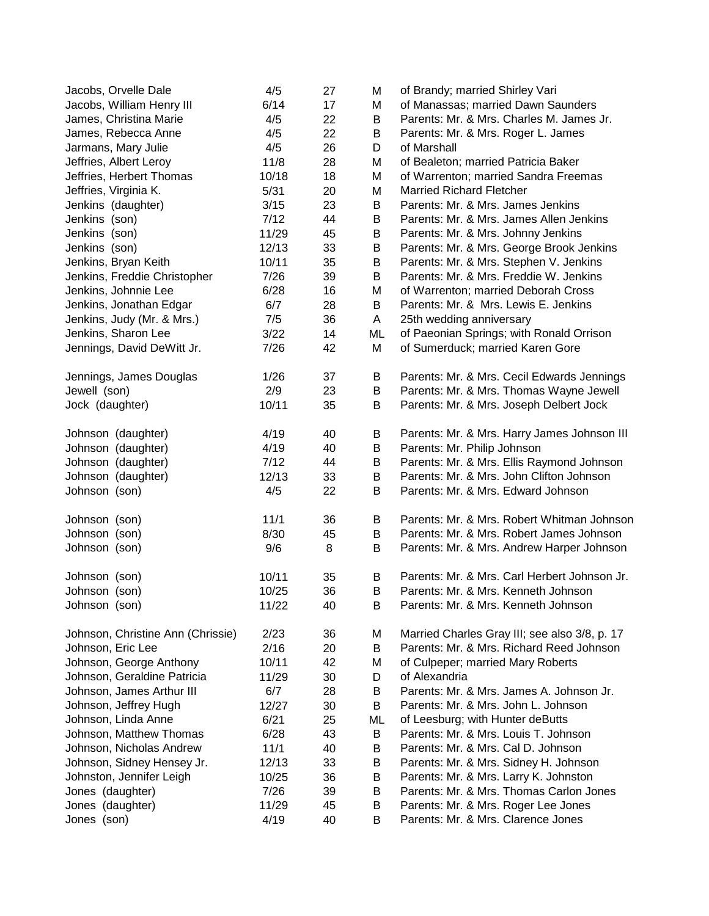| Jacobs, Orvelle Dale              | 4/5   | 27 | М       | of Brandy; married Shirley Vari               |
|-----------------------------------|-------|----|---------|-----------------------------------------------|
| Jacobs, William Henry III         | 6/14  | 17 | М       | of Manassas; married Dawn Saunders            |
| James, Christina Marie            | 4/5   | 22 | В       | Parents: Mr. & Mrs. Charles M. James Jr.      |
| James, Rebecca Anne               | 4/5   | 22 | В       | Parents: Mr. & Mrs. Roger L. James            |
| Jarmans, Mary Julie               | 4/5   | 26 | D       | of Marshall                                   |
| Jeffries, Albert Leroy            | 11/8  | 28 | Μ       | of Bealeton; married Patricia Baker           |
| Jeffries, Herbert Thomas          | 10/18 | 18 | Μ       | of Warrenton; married Sandra Freemas          |
| Jeffries, Virginia K.             | 5/31  | 20 | Μ       | <b>Married Richard Fletcher</b>               |
| Jenkins (daughter)                | 3/15  | 23 | B       | Parents: Mr. & Mrs. James Jenkins             |
| Jenkins (son)                     | 7/12  | 44 | B       | Parents: Mr. & Mrs. James Allen Jenkins       |
| Jenkins (son)                     | 11/29 | 45 | B       | Parents: Mr. & Mrs. Johnny Jenkins            |
| Jenkins (son)                     | 12/13 | 33 | B       | Parents: Mr. & Mrs. George Brook Jenkins      |
| Jenkins, Bryan Keith              | 10/11 | 35 | B       | Parents: Mr. & Mrs. Stephen V. Jenkins        |
| Jenkins, Freddie Christopher      | 7/26  | 39 | B       | Parents: Mr. & Mrs. Freddie W. Jenkins        |
| Jenkins, Johnnie Lee              | 6/28  | 16 | M       | of Warrenton; married Deborah Cross           |
| Jenkins, Jonathan Edgar           | 6/7   | 28 | В       | Parents: Mr. & Mrs. Lewis E. Jenkins          |
| Jenkins, Judy (Mr. & Mrs.)        | 7/5   | 36 | A       | 25th wedding anniversary                      |
| Jenkins, Sharon Lee               | 3/22  | 14 | ML      | of Paeonian Springs; with Ronald Orrison      |
| Jennings, David DeWitt Jr.        | 7/26  | 42 | М       | of Sumerduck; married Karen Gore              |
|                                   |       |    |         |                                               |
| Jennings, James Douglas           | 1/26  | 37 | В       | Parents: Mr. & Mrs. Cecil Edwards Jennings    |
| Jewell (son)                      | 2/9   | 23 | B       | Parents: Mr. & Mrs. Thomas Wayne Jewell       |
| Jock (daughter)                   | 10/11 | 35 | B       | Parents: Mr. & Mrs. Joseph Delbert Jock       |
|                                   |       |    |         |                                               |
| Johnson (daughter)                | 4/19  | 40 | В       | Parents: Mr. & Mrs. Harry James Johnson III   |
| Johnson (daughter)                | 4/19  | 40 | B       | Parents: Mr. Philip Johnson                   |
| Johnson (daughter)                | 7/12  | 44 | B       | Parents: Mr. & Mrs. Ellis Raymond Johnson     |
| Johnson (daughter)                | 12/13 | 33 | B       | Parents: Mr. & Mrs. John Clifton Johnson      |
| Johnson (son)                     | 4/5   | 22 | B       | Parents: Mr. & Mrs. Edward Johnson            |
|                                   |       |    |         |                                               |
| Johnson (son)                     | 11/1  | 36 | B       | Parents: Mr. & Mrs. Robert Whitman Johnson    |
| Johnson (son)                     | 8/30  | 45 | B       | Parents: Mr. & Mrs. Robert James Johnson      |
| Johnson (son)                     | 9/6   | 8  | В       | Parents: Mr. & Mrs. Andrew Harper Johnson     |
|                                   |       |    |         |                                               |
| Johnson (son)                     | 10/11 | 35 | B       | Parents: Mr. & Mrs. Carl Herbert Johnson Jr.  |
| Johnson (son)                     | 10/25 | 36 | В       | Parents: Mr. & Mrs. Kenneth Johnson           |
| Johnson (son)                     | 11/22 | 40 | $\sf B$ | Parents: Mr. & Mrs. Kenneth Johnson           |
|                                   |       |    |         |                                               |
| Johnson, Christine Ann (Chrissie) | 2/23  | 36 | М       | Married Charles Gray III; see also 3/8, p. 17 |
| Johnson, Eric Lee                 | 2/16  | 20 | В       | Parents: Mr. & Mrs. Richard Reed Johnson      |
| Johnson, George Anthony           | 10/11 | 42 | Μ       | of Culpeper; married Mary Roberts             |
| Johnson, Geraldine Patricia       | 11/29 | 30 | D       | of Alexandria                                 |
| Johnson, James Arthur III         | 6/7   | 28 | B       | Parents: Mr. & Mrs. James A. Johnson Jr.      |
| Johnson, Jeffrey Hugh             | 12/27 | 30 | В       | Parents: Mr. & Mrs. John L. Johnson           |
| Johnson, Linda Anne               | 6/21  | 25 | ML      | of Leesburg; with Hunter deButts              |
| Johnson, Matthew Thomas           | 6/28  | 43 | B       | Parents: Mr. & Mrs. Louis T. Johnson          |
| Johnson, Nicholas Andrew          | 11/1  | 40 | В       | Parents: Mr. & Mrs. Cal D. Johnson            |
| Johnson, Sidney Hensey Jr.        | 12/13 | 33 | B       | Parents: Mr. & Mrs. Sidney H. Johnson         |
| Johnston, Jennifer Leigh          | 10/25 | 36 | B       | Parents: Mr. & Mrs. Larry K. Johnston         |
| Jones (daughter)                  | 7/26  | 39 | В       | Parents: Mr. & Mrs. Thomas Carlon Jones       |
| Jones (daughter)                  | 11/29 | 45 | В       | Parents: Mr. & Mrs. Roger Lee Jones           |
| Jones (son)                       | 4/19  | 40 | В       | Parents: Mr. & Mrs. Clarence Jones            |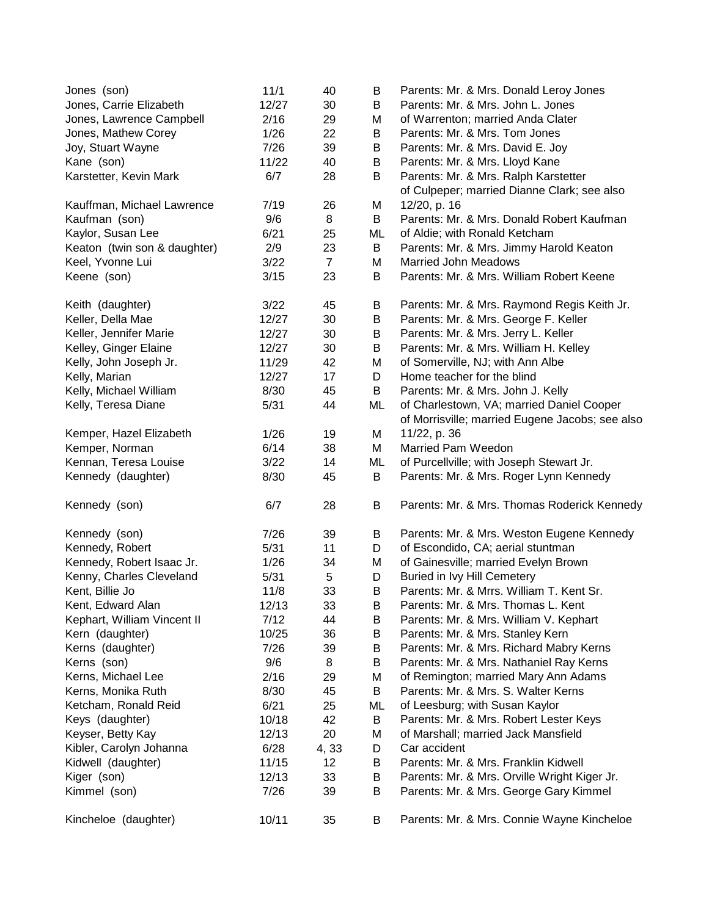| Jones (son)                  | 11/1  | 40             | B  | Parents: Mr. & Mrs. Donald Leroy Jones          |
|------------------------------|-------|----------------|----|-------------------------------------------------|
| Jones, Carrie Elizabeth      | 12/27 | 30             | B  | Parents: Mr. & Mrs. John L. Jones               |
| Jones, Lawrence Campbell     | 2/16  | 29             | M  | of Warrenton; married Anda Clater               |
| Jones, Mathew Corey          | 1/26  | 22             | B  | Parents: Mr. & Mrs. Tom Jones                   |
| Joy, Stuart Wayne            | 7/26  | 39             | B  | Parents: Mr. & Mrs. David E. Joy                |
| Kane (son)                   | 11/22 | 40             | B  | Parents: Mr. & Mrs. Lloyd Kane                  |
| Karstetter, Kevin Mark       | 6/7   | 28             | B  | Parents: Mr. & Mrs. Ralph Karstetter            |
|                              |       |                |    | of Culpeper; married Dianne Clark; see also     |
| Kauffman, Michael Lawrence   | 7/19  | 26             | M  | 12/20, p. 16                                    |
| Kaufman (son)                | 9/6   | 8              | B  | Parents: Mr. & Mrs. Donald Robert Kaufman       |
| Kaylor, Susan Lee            | 6/21  | 25             | ML | of Aldie; with Ronald Ketcham                   |
| Keaton (twin son & daughter) | 2/9   | 23             | B  | Parents: Mr. & Mrs. Jimmy Harold Keaton         |
| Keel, Yvonne Lui             | 3/22  | $\overline{7}$ | M  | <b>Married John Meadows</b>                     |
| Keene (son)                  | 3/15  | 23             | В  | Parents: Mr. & Mrs. William Robert Keene        |
|                              |       |                |    |                                                 |
| Keith (daughter)             | 3/22  | 45             | Β  | Parents: Mr. & Mrs. Raymond Regis Keith Jr.     |
| Keller, Della Mae            | 12/27 | 30             | B  | Parents: Mr. & Mrs. George F. Keller            |
| Keller, Jennifer Marie       | 12/27 | 30             | B  | Parents: Mr. & Mrs. Jerry L. Keller             |
| Kelley, Ginger Elaine        | 12/27 | 30             | B  | Parents: Mr. & Mrs. William H. Kelley           |
| Kelly, John Joseph Jr.       | 11/29 | 42             | M  | of Somerville, NJ; with Ann Albe                |
| Kelly, Marian                | 12/27 | 17             | D  | Home teacher for the blind                      |
| Kelly, Michael William       | 8/30  | 45             | B  | Parents: Mr. & Mrs. John J. Kelly               |
| Kelly, Teresa Diane          | 5/31  | 44             | ML | of Charlestown, VA; married Daniel Cooper       |
|                              |       |                |    | of Morrisville; married Eugene Jacobs; see also |
| Kemper, Hazel Elizabeth      | 1/26  | 19             | M  | 11/22, p. 36                                    |
|                              | 6/14  | 38             | M  | Married Pam Weedon                              |
| Kemper, Norman               |       |                |    |                                                 |
| Kennan, Teresa Louise        | 3/22  | 14             | ML | of Purcellville; with Joseph Stewart Jr.        |
| Kennedy (daughter)           | 8/30  | 45             | B  | Parents: Mr. & Mrs. Roger Lynn Kennedy          |
| Kennedy (son)                | 6/7   | 28             | B  | Parents: Mr. & Mrs. Thomas Roderick Kennedy     |
| Kennedy (son)                | 7/26  | 39             | B  | Parents: Mr. & Mrs. Weston Eugene Kennedy       |
| Kennedy, Robert              | 5/31  | 11             | D  | of Escondido, CA; aerial stuntman               |
| Kennedy, Robert Isaac Jr.    | 1/26  | 34             | M  | of Gainesville; married Evelyn Brown            |
| Kenny, Charles Cleveland     | 5/31  | 5              | D  | Buried in Ivy Hill Cemetery                     |
| Kent, Billie Jo              | 11/8  | 33             | B  | Parents: Mr. & Mrrs. William T. Kent Sr.        |
| Kent, Edward Alan            | 12/13 | 33             | B  | Parents: Mr. & Mrs. Thomas L. Kent              |
| Kephart, William Vincent II  | 7/12  | 44             | В  | Parents: Mr. & Mrs. William V. Kephart          |
| Kern (daughter)              | 10/25 | 36             | B  | Parents: Mr. & Mrs. Stanley Kern                |
| Kerns (daughter)             | 7/26  | 39             | B  | Parents: Mr. & Mrs. Richard Mabry Kerns         |
| Kerns (son)                  | 9/6   | 8              | B  | Parents: Mr. & Mrs. Nathaniel Ray Kerns         |
| Kerns, Michael Lee           | 2/16  | 29             | M  | of Remington; married Mary Ann Adams            |
| Kerns, Monika Ruth           | 8/30  | 45             | B  | Parents: Mr. & Mrs. S. Walter Kerns             |
|                              |       |                |    |                                                 |
| Ketcham, Ronald Reid         | 6/21  | 25             | ML | of Leesburg; with Susan Kaylor                  |
| Keys (daughter)              | 10/18 | 42             | B  | Parents: Mr. & Mrs. Robert Lester Keys          |
| Keyser, Betty Kay            | 12/13 | 20             | M  | of Marshall; married Jack Mansfield             |
| Kibler, Carolyn Johanna      | 6/28  | 4, 33          | D  | Car accident                                    |
| Kidwell (daughter)           | 11/15 | 12             | B  | Parents: Mr. & Mrs. Franklin Kidwell            |
| Kiger (son)                  | 12/13 | 33             | B  | Parents: Mr. & Mrs. Orville Wright Kiger Jr.    |
| Kimmel (son)                 | 7/26  | 39             | B  | Parents: Mr. & Mrs. George Gary Kimmel          |
| Kincheloe (daughter)         | 10/11 | 35             | B  | Parents: Mr. & Mrs. Connie Wayne Kincheloe      |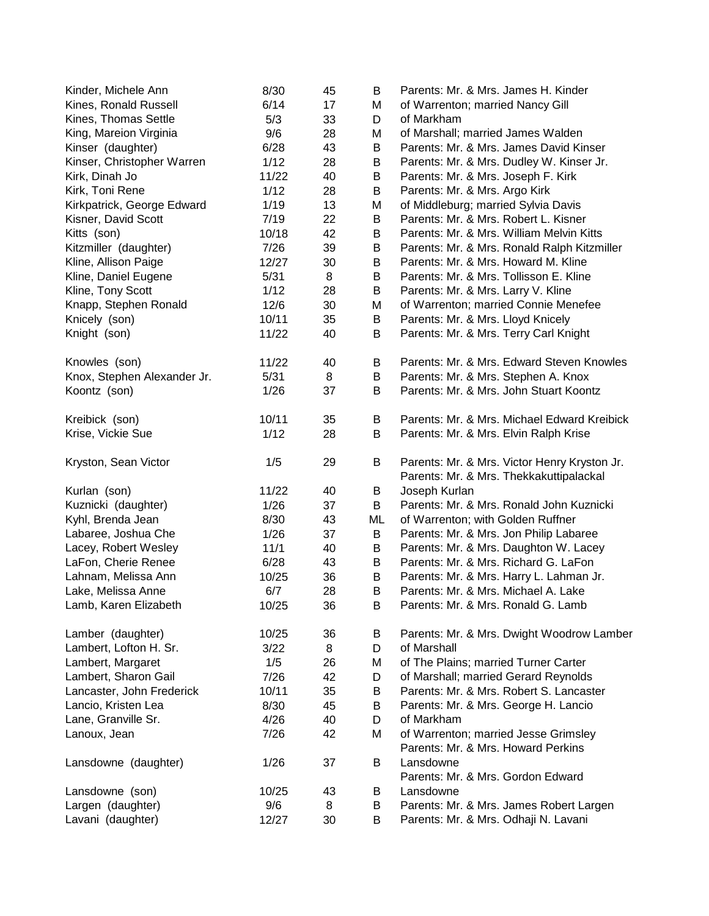| Kinder, Michele Ann         | 8/30  | 45 | В  | Parents: Mr. & Mrs. James H. Kinder          |
|-----------------------------|-------|----|----|----------------------------------------------|
| Kines, Ronald Russell       | 6/14  | 17 | Μ  | of Warrenton; married Nancy Gill             |
| Kines, Thomas Settle        | 5/3   | 33 | D  | of Markham                                   |
| King, Mareion Virginia      | 9/6   | 28 | Μ  | of Marshall; married James Walden            |
| Kinser (daughter)           | 6/28  | 43 | B  | Parents: Mr. & Mrs. James David Kinser       |
| Kinser, Christopher Warren  | 1/12  | 28 | B  | Parents: Mr. & Mrs. Dudley W. Kinser Jr.     |
| Kirk, Dinah Jo              | 11/22 | 40 | B  | Parents: Mr. & Mrs. Joseph F. Kirk           |
| Kirk, Toni Rene             | 1/12  | 28 | В  | Parents: Mr. & Mrs. Argo Kirk                |
| Kirkpatrick, George Edward  | 1/19  | 13 | Μ  | of Middleburg; married Sylvia Davis          |
| Kisner, David Scott         | 7/19  | 22 | В  | Parents: Mr. & Mrs. Robert L. Kisner         |
| Kitts (son)                 | 10/18 | 42 | B  | Parents: Mr. & Mrs. William Melvin Kitts     |
| Kitzmiller (daughter)       | 7/26  | 39 | B  | Parents: Mr. & Mrs. Ronald Ralph Kitzmiller  |
| Kline, Allison Paige        | 12/27 | 30 | B  | Parents: Mr. & Mrs. Howard M. Kline          |
| Kline, Daniel Eugene        | 5/31  | 8  | B  | Parents: Mr. & Mrs. Tollisson E. Kline       |
| Kline, Tony Scott           | 1/12  | 28 | B  | Parents: Mr. & Mrs. Larry V. Kline           |
| Knapp, Stephen Ronald       | 12/6  | 30 | М  | of Warrenton; married Connie Menefee         |
| Knicely (son)               | 10/11 | 35 | B  | Parents: Mr. & Mrs. Lloyd Knicely            |
| Knight (son)                | 11/22 | 40 | B  | Parents: Mr. & Mrs. Terry Carl Knight        |
|                             |       |    |    |                                              |
| Knowles (son)               | 11/22 | 40 | B  | Parents: Mr. & Mrs. Edward Steven Knowles    |
| Knox, Stephen Alexander Jr. | 5/31  | 8  | В  | Parents: Mr. & Mrs. Stephen A. Knox          |
| Koontz (son)                | 1/26  | 37 | В  | Parents: Mr. & Mrs. John Stuart Koontz       |
|                             |       |    |    |                                              |
| Kreibick (son)              | 10/11 | 35 | B  | Parents: Mr. & Mrs. Michael Edward Kreibick  |
| Krise, Vickie Sue           | 1/12  | 28 | В  | Parents: Mr. & Mrs. Elvin Ralph Krise        |
|                             |       |    |    |                                              |
| Kryston, Sean Victor        | 1/5   | 29 | В  | Parents: Mr. & Mrs. Victor Henry Kryston Jr. |
|                             |       |    |    | Parents: Mr. & Mrs. Thekkakuttipalackal      |
| Kurlan (son)                | 11/22 | 40 | B  | Joseph Kurlan                                |
| Kuznicki (daughter)         | 1/26  | 37 | B  | Parents: Mr. & Mrs. Ronald John Kuznicki     |
| Kyhl, Brenda Jean           | 8/30  | 43 | ML | of Warrenton; with Golden Ruffner            |
| Labaree, Joshua Che         | 1/26  | 37 | В  | Parents: Mr. & Mrs. Jon Philip Labaree       |
| Lacey, Robert Wesley        | 11/1  | 40 | В  | Parents: Mr. & Mrs. Daughton W. Lacey        |
| LaFon, Cherie Renee         | 6/28  | 43 | В  | Parents: Mr. & Mrs. Richard G. LaFon         |
| Lahnam, Melissa Ann         | 10/25 | 36 | B  | Parents: Mr. & Mrs. Harry L. Lahman Jr.      |
| Lake, Melissa Anne          | 6/7   | 28 | B  | Parents: Mr. & Mrs. Michael A. Lake          |
| Lamb, Karen Elizabeth       | 10/25 | 36 | B  | Parents: Mr. & Mrs. Ronald G. Lamb           |
|                             |       |    |    |                                              |
| Lamber (daughter)           | 10/25 | 36 | В  | Parents: Mr. & Mrs. Dwight Woodrow Lamber    |
| Lambert, Lofton H. Sr.      | 3/22  | 8  | D  | of Marshall                                  |
| Lambert, Margaret           | 1/5   | 26 | Μ  | of The Plains; married Turner Carter         |
| Lambert, Sharon Gail        | 7/26  | 42 | D  | of Marshall; married Gerard Reynolds         |
| Lancaster, John Frederick   | 10/11 | 35 | B  | Parents: Mr. & Mrs. Robert S. Lancaster      |
| Lancio, Kristen Lea         | 8/30  | 45 | B  | Parents: Mr. & Mrs. George H. Lancio         |
| Lane, Granville Sr.         | 4/26  | 40 | D  | of Markham                                   |
| Lanoux, Jean                | 7/26  | 42 | М  | of Warrenton; married Jesse Grimsley         |
|                             |       |    |    | Parents: Mr. & Mrs. Howard Perkins           |
| Lansdowne (daughter)        | 1/26  | 37 | B  | Lansdowne                                    |
|                             |       |    |    | Parents: Mr. & Mrs. Gordon Edward            |
| Lansdowne (son)             | 10/25 | 43 | В  | Lansdowne                                    |
| Largen (daughter)           | 9/6   | 8  | B  | Parents: Mr. & Mrs. James Robert Largen      |
| Lavani (daughter)           | 12/27 | 30 | B  | Parents: Mr. & Mrs. Odhaji N. Lavani         |
|                             |       |    |    |                                              |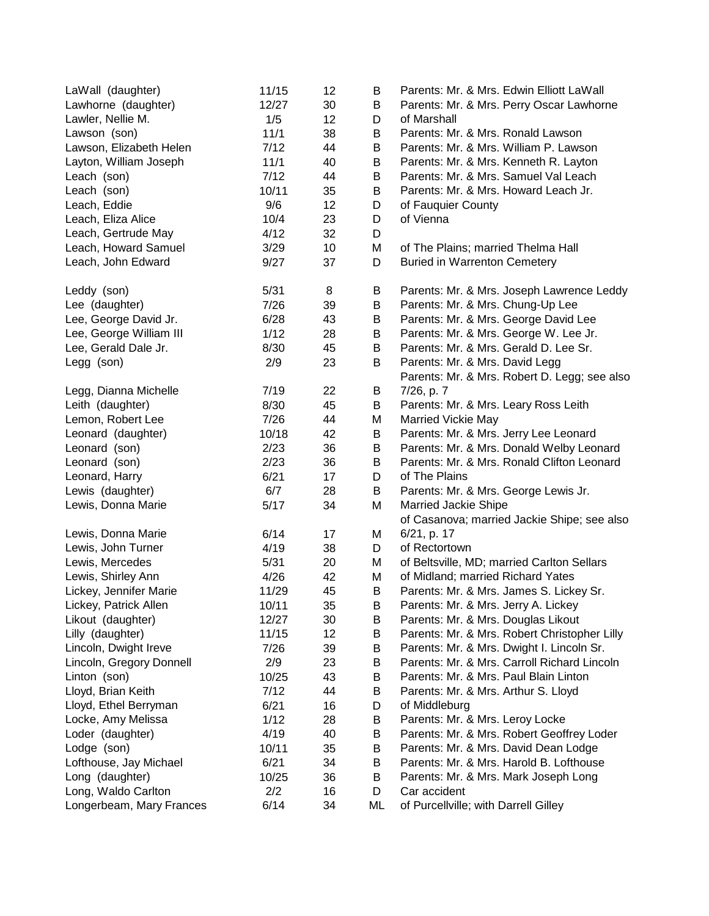| LaWall (daughter)        | 11/15 | 12 | B  | Parents: Mr. & Mrs. Edwin Elliott LaWall     |
|--------------------------|-------|----|----|----------------------------------------------|
| Lawhorne (daughter)      | 12/27 | 30 | B  | Parents: Mr. & Mrs. Perry Oscar Lawhorne     |
| Lawler, Nellie M.        | 1/5   | 12 | D  | of Marshall                                  |
| Lawson (son)             | 11/1  | 38 | В  | Parents: Mr. & Mrs. Ronald Lawson            |
| Lawson, Elizabeth Helen  | 7/12  | 44 | В  | Parents: Mr. & Mrs. William P. Lawson        |
| Layton, William Joseph   | 11/1  | 40 | B  | Parents: Mr. & Mrs. Kenneth R. Layton        |
| Leach (son)              | 7/12  | 44 | B  | Parents: Mr. & Mrs. Samuel Val Leach         |
| Leach (son)              | 10/11 | 35 | B  | Parents: Mr. & Mrs. Howard Leach Jr.         |
| Leach, Eddie             | 9/6   | 12 | D  | of Fauquier County                           |
| Leach, Eliza Alice       | 10/4  | 23 | D  | of Vienna                                    |
| Leach, Gertrude May      | 4/12  | 32 | D  |                                              |
| Leach, Howard Samuel     | 3/29  | 10 | Μ  | of The Plains; married Thelma Hall           |
| Leach, John Edward       | 9/27  | 37 | D  | <b>Buried in Warrenton Cemetery</b>          |
| Leddy (son)              | 5/31  | 8  | В  | Parents: Mr. & Mrs. Joseph Lawrence Leddy    |
| Lee (daughter)           | 7/26  | 39 | B  | Parents: Mr. & Mrs. Chung-Up Lee             |
| Lee, George David Jr.    | 6/28  | 43 | B  | Parents: Mr. & Mrs. George David Lee         |
| Lee, George William III  | 1/12  | 28 | B  | Parents: Mr. & Mrs. George W. Lee Jr.        |
| Lee, Gerald Dale Jr.     | 8/30  | 45 | B  | Parents: Mr. & Mrs. Gerald D. Lee Sr.        |
| Legg (son)               | 2/9   | 23 | B  | Parents: Mr. & Mrs. David Legg               |
|                          |       |    |    | Parents: Mr. & Mrs. Robert D. Legg; see also |
| Legg, Dianna Michelle    | 7/19  | 22 | B  | 7/26, p. 7                                   |
| Leith (daughter)         | 8/30  | 45 | В  | Parents: Mr. & Mrs. Leary Ross Leith         |
| Lemon, Robert Lee        | 7/26  | 44 | М  | Married Vickie May                           |
| Leonard (daughter)       | 10/18 | 42 | B  | Parents: Mr. & Mrs. Jerry Lee Leonard        |
| Leonard (son)            | 2/23  | 36 | B  | Parents: Mr. & Mrs. Donald Welby Leonard     |
| Leonard (son)            | 2/23  | 36 | B  | Parents: Mr. & Mrs. Ronald Clifton Leonard   |
| Leonard, Harry           | 6/21  | 17 | D  | of The Plains                                |
| Lewis (daughter)         | 6/7   | 28 | B  | Parents: Mr. & Mrs. George Lewis Jr.         |
| Lewis, Donna Marie       | 5/17  | 34 | Μ  | Married Jackie Shipe                         |
|                          |       |    |    | of Casanova; married Jackie Shipe; see also  |
| Lewis, Donna Marie       | 6/14  | 17 | Μ  | 6/21, p. 17                                  |
| Lewis, John Turner       | 4/19  | 38 | D  | of Rectortown                                |
| Lewis, Mercedes          | 5/31  | 20 | Μ  | of Beltsville, MD; married Carlton Sellars   |
| Lewis, Shirley Ann       | 4/26  | 42 | М  | of Midland; married Richard Yates            |
| Lickey, Jennifer Marie   | 11/29 | 45 | В  | Parents: Mr. & Mrs. James S. Lickey Sr.      |
| Lickey, Patrick Allen    | 10/11 | 35 | Β  | Parents: Mr. & Mrs. Jerry A. Lickey          |
| Likout (daughter)        | 12/27 | 30 | В  | Parents: Mr. & Mrs. Douglas Likout           |
| Lilly (daughter)         | 11/15 | 12 | B  | Parents: Mr. & Mrs. Robert Christopher Lilly |
| Lincoln, Dwight Ireve    | 7/26  | 39 | В  | Parents: Mr. & Mrs. Dwight I. Lincoln Sr.    |
| Lincoln, Gregory Donnell | 2/9   | 23 | В  | Parents: Mr. & Mrs. Carroll Richard Lincoln  |
| Linton (son)             | 10/25 | 43 | B  | Parents: Mr. & Mrs. Paul Blain Linton        |
| Lloyd, Brian Keith       | 7/12  | 44 | B  | Parents: Mr. & Mrs. Arthur S. Lloyd          |
| Lloyd, Ethel Berryman    | 6/21  | 16 | D  | of Middleburg                                |
| Locke, Amy Melissa       | 1/12  | 28 | B  | Parents: Mr. & Mrs. Leroy Locke              |
| Loder (daughter)         | 4/19  | 40 | B  | Parents: Mr. & Mrs. Robert Geoffrey Loder    |
| Lodge (son)              | 10/11 | 35 | В  | Parents: Mr. & Mrs. David Dean Lodge         |
| Lofthouse, Jay Michael   | 6/21  | 34 | В  | Parents: Mr. & Mrs. Harold B. Lofthouse      |
| Long (daughter)          | 10/25 | 36 | В  | Parents: Mr. & Mrs. Mark Joseph Long         |
| Long, Waldo Carlton      | 2/2   | 16 | D  | Car accident                                 |
| Longerbeam, Mary Frances | 6/14  | 34 | ML | of Purcellville; with Darrell Gilley         |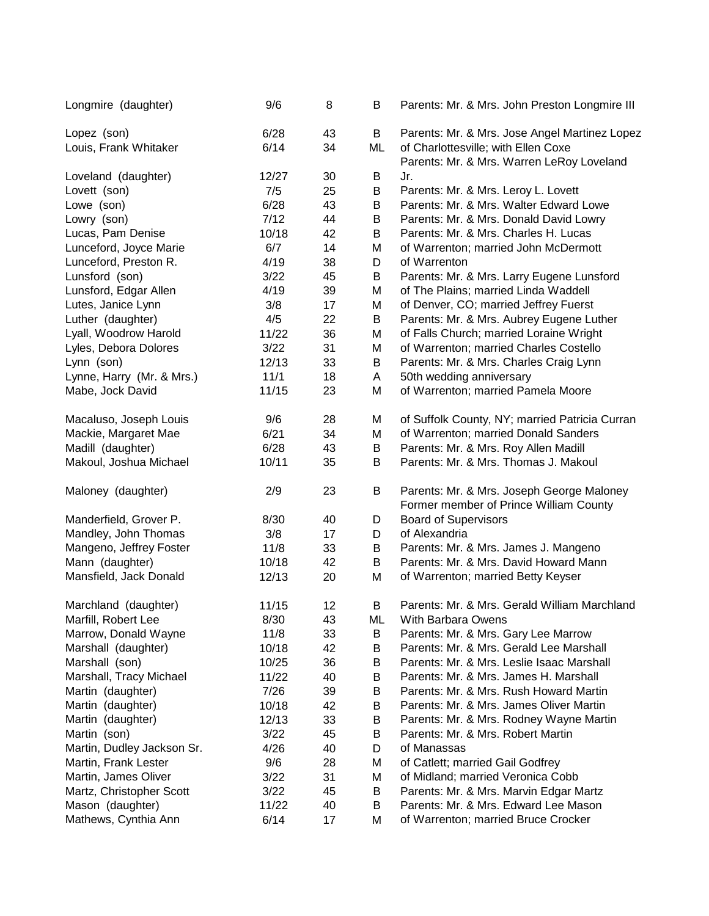| Longmire (daughter)        | 9/6   | 8  | В  | Parents: Mr. & Mrs. John Preston Longmire III  |
|----------------------------|-------|----|----|------------------------------------------------|
| Lopez (son)                | 6/28  | 43 | B  | Parents: Mr. & Mrs. Jose Angel Martinez Lopez  |
| Louis, Frank Whitaker      | 6/14  | 34 | ML | of Charlottesville; with Ellen Coxe            |
|                            |       |    |    | Parents: Mr. & Mrs. Warren LeRoy Loveland      |
| Loveland (daughter)        | 12/27 | 30 | B  | Jr.                                            |
| Lovett (son)               | 7/5   | 25 | B  | Parents: Mr. & Mrs. Leroy L. Lovett            |
| Lowe (son)                 | 6/28  | 43 | B  | Parents: Mr. & Mrs. Walter Edward Lowe         |
| Lowry (son)                | 7/12  | 44 | B  | Parents: Mr. & Mrs. Donald David Lowry         |
| Lucas, Pam Denise          | 10/18 | 42 | В  | Parents: Mr. & Mrs. Charles H. Lucas           |
| Lunceford, Joyce Marie     | 6/7   | 14 | M  | of Warrenton; married John McDermott           |
| Lunceford, Preston R.      | 4/19  | 38 | D  | of Warrenton                                   |
| Lunsford (son)             | 3/22  | 45 | В  | Parents: Mr. & Mrs. Larry Eugene Lunsford      |
| Lunsford, Edgar Allen      | 4/19  | 39 | M  | of The Plains; married Linda Waddell           |
| Lutes, Janice Lynn         | 3/8   | 17 | M  | of Denver, CO; married Jeffrey Fuerst          |
| Luther (daughter)          | 4/5   | 22 | B  | Parents: Mr. & Mrs. Aubrey Eugene Luther       |
| Lyall, Woodrow Harold      | 11/22 | 36 | M  | of Falls Church; married Loraine Wright        |
| Lyles, Debora Dolores      | 3/22  | 31 | М  | of Warrenton; married Charles Costello         |
| Lynn (son)                 | 12/13 | 33 | B  | Parents: Mr. & Mrs. Charles Craig Lynn         |
| Lynne, Harry (Mr. & Mrs.)  | 11/1  | 18 | A  | 50th wedding anniversary                       |
| Mabe, Jock David           | 11/15 | 23 | M  | of Warrenton; married Pamela Moore             |
| Macaluso, Joseph Louis     | 9/6   | 28 | M  | of Suffolk County, NY; married Patricia Curran |
| Mackie, Margaret Mae       | 6/21  | 34 | M  | of Warrenton; married Donald Sanders           |
| Madill (daughter)          | 6/28  | 43 | B  | Parents: Mr. & Mrs. Roy Allen Madill           |
| Makoul, Joshua Michael     | 10/11 | 35 | B  | Parents: Mr. & Mrs. Thomas J. Makoul           |
|                            |       |    |    |                                                |
| Maloney (daughter)         | 2/9   | 23 | B  | Parents: Mr. & Mrs. Joseph George Maloney      |
|                            |       |    |    | Former member of Prince William County         |
| Manderfield, Grover P.     | 8/30  | 40 | D  | <b>Board of Supervisors</b>                    |
| Mandley, John Thomas       | 3/8   | 17 | D  | of Alexandria                                  |
| Mangeno, Jeffrey Foster    | 11/8  | 33 | B  | Parents: Mr. & Mrs. James J. Mangeno           |
| Mann (daughter)            | 10/18 | 42 | B  | Parents: Mr. & Mrs. David Howard Mann          |
| Mansfield, Jack Donald     | 12/13 | 20 | М  | of Warrenton; married Betty Keyser             |
| Marchland (daughter)       | 11/15 | 12 | B  | Parents: Mr. & Mrs. Gerald William Marchland   |
| Marfill, Robert Lee        | 8/30  | 43 | ML | With Barbara Owens                             |
| Marrow, Donald Wayne       | 11/8  | 33 | В  | Parents: Mr. & Mrs. Gary Lee Marrow            |
| Marshall (daughter)        | 10/18 | 42 | B  | Parents: Mr. & Mrs. Gerald Lee Marshall        |
| Marshall (son)             | 10/25 | 36 | B  | Parents: Mr. & Mrs. Leslie Isaac Marshall      |
| Marshall, Tracy Michael    | 11/22 | 40 | B  | Parents: Mr. & Mrs. James H. Marshall          |
| Martin (daughter)          | 7/26  | 39 | B  | Parents: Mr. & Mrs. Rush Howard Martin         |
| Martin (daughter)          | 10/18 | 42 | B  | Parents: Mr. & Mrs. James Oliver Martin        |
| Martin (daughter)          | 12/13 | 33 | B  | Parents: Mr. & Mrs. Rodney Wayne Martin        |
| Martin (son)               | 3/22  | 45 | B  | Parents: Mr. & Mrs. Robert Martin              |
| Martin, Dudley Jackson Sr. | 4/26  | 40 | D  | of Manassas                                    |
| Martin, Frank Lester       | 9/6   | 28 | M  | of Catlett; married Gail Godfrey               |
| Martin, James Oliver       | 3/22  | 31 | М  | of Midland; married Veronica Cobb              |
| Martz, Christopher Scott   | 3/22  | 45 | В  | Parents: Mr. & Mrs. Marvin Edgar Martz         |
| Mason (daughter)           | 11/22 | 40 | B  | Parents: Mr. & Mrs. Edward Lee Mason           |
| Mathews, Cynthia Ann       | 6/14  | 17 | M  | of Warrenton; married Bruce Crocker            |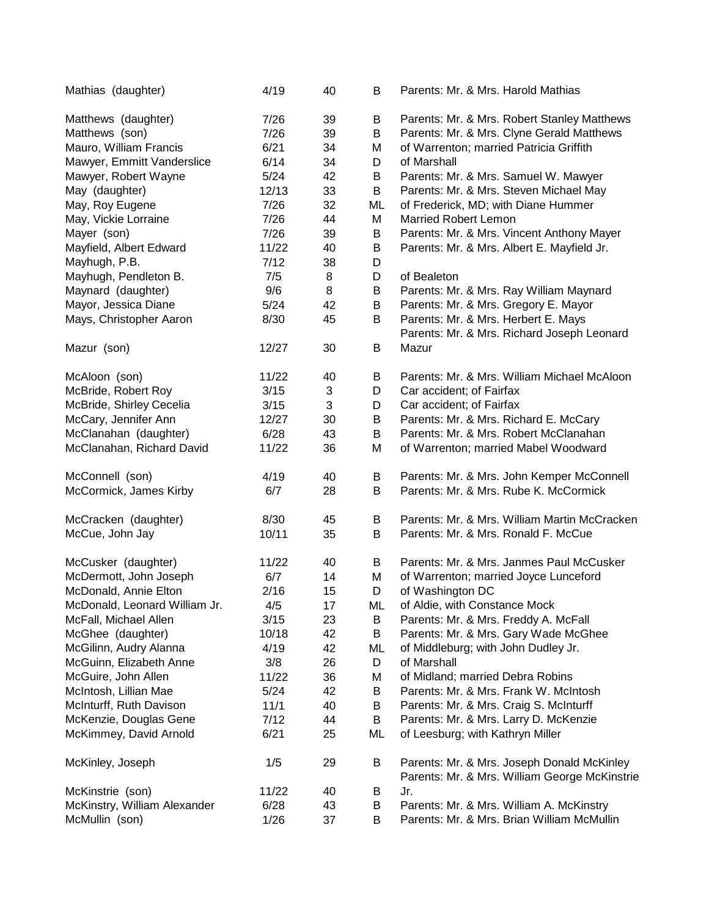| Mathias (daughter)            | 4/19   | 40 | B  | Parents: Mr. & Mrs. Harold Mathias                                                          |
|-------------------------------|--------|----|----|---------------------------------------------------------------------------------------------|
| Matthews (daughter)           | 7/26   | 39 | B  | Parents: Mr. & Mrs. Robert Stanley Matthews                                                 |
| Matthews (son)                | 7/26   | 39 | B  | Parents: Mr. & Mrs. Clyne Gerald Matthews                                                   |
| Mauro, William Francis        | 6/21   | 34 | M  | of Warrenton; married Patricia Griffith                                                     |
| Mawyer, Emmitt Vanderslice    | 6/14   | 34 | D  | of Marshall                                                                                 |
| Mawyer, Robert Wayne          | $5/24$ | 42 | B  | Parents: Mr. & Mrs. Samuel W. Mawyer                                                        |
| May (daughter)                | 12/13  | 33 | B  | Parents: Mr. & Mrs. Steven Michael May                                                      |
| May, Roy Eugene               | 7/26   | 32 | ML | of Frederick, MD; with Diane Hummer                                                         |
| May, Vickie Lorraine          | 7/26   | 44 | M  | <b>Married Robert Lemon</b>                                                                 |
| Mayer (son)                   | 7/26   | 39 | B  | Parents: Mr. & Mrs. Vincent Anthony Mayer                                                   |
| Mayfield, Albert Edward       | 11/22  | 40 | B  | Parents: Mr. & Mrs. Albert E. Mayfield Jr.                                                  |
| Mayhugh, P.B.                 | 7/12   | 38 | D  |                                                                                             |
| Mayhugh, Pendleton B.         | 7/5    | 8  | D  | of Bealeton                                                                                 |
| Maynard (daughter)            | 9/6    | 8  | B  | Parents: Mr. & Mrs. Ray William Maynard                                                     |
| Mayor, Jessica Diane          | 5/24   | 42 | B  | Parents: Mr. & Mrs. Gregory E. Mayor                                                        |
| Mays, Christopher Aaron       | 8/30   | 45 | В  | Parents: Mr. & Mrs. Herbert E. Mays                                                         |
|                               |        |    |    | Parents: Mr. & Mrs. Richard Joseph Leonard                                                  |
| Mazur (son)                   | 12/27  | 30 | B  | Mazur                                                                                       |
| McAloon (son)                 | 11/22  | 40 | В  | Parents: Mr. & Mrs. William Michael McAloon                                                 |
| McBride, Robert Roy           | 3/15   | 3  | D  | Car accident; of Fairfax                                                                    |
| McBride, Shirley Cecelia      | 3/15   | 3  | D  | Car accident; of Fairfax                                                                    |
| McCary, Jennifer Ann          | 12/27  | 30 | B  | Parents: Mr. & Mrs. Richard E. McCary                                                       |
| McClanahan (daughter)         | 6/28   | 43 | B  | Parents: Mr. & Mrs. Robert McClanahan                                                       |
| McClanahan, Richard David     | 11/22  | 36 | M  | of Warrenton; married Mabel Woodward                                                        |
|                               |        |    |    |                                                                                             |
| McConnell (son)               | 4/19   | 40 | B  | Parents: Mr. & Mrs. John Kemper McConnell                                                   |
| McCormick, James Kirby        | 6/7    | 28 | B  | Parents: Mr. & Mrs. Rube K. McCormick                                                       |
| McCracken (daughter)          | 8/30   | 45 | B  | Parents: Mr. & Mrs. William Martin McCracken                                                |
| McCue, John Jay               | 10/11  | 35 | B  | Parents: Mr. & Mrs. Ronald F. McCue                                                         |
| McCusker (daughter)           | 11/22  | 40 | B  | Parents: Mr. & Mrs. Janmes Paul McCusker                                                    |
| McDermott, John Joseph        | 6/7    | 14 | M  | of Warrenton; married Joyce Lunceford                                                       |
| McDonald, Annie Elton         | 2/16   | 15 | D  | of Washington DC                                                                            |
| McDonald, Leonard William Jr. | 4/5    | 17 | ML | of Aldie, with Constance Mock                                                               |
| McFall, Michael Allen         | 3/15   | 23 | B  | Parents: Mr. & Mrs. Freddy A. McFall                                                        |
| McGhee (daughter)             | 10/18  | 42 | B  | Parents: Mr. & Mrs. Gary Wade McGhee                                                        |
| McGilinn, Audry Alanna        | 4/19   | 42 | ML | of Middleburg; with John Dudley Jr.                                                         |
| McGuinn, Elizabeth Anne       | 3/8    | 26 | D  | of Marshall                                                                                 |
| McGuire, John Allen           | 11/22  | 36 | M  | of Midland; married Debra Robins                                                            |
| McIntosh, Lillian Mae         | 5/24   | 42 | B  | Parents: Mr. & Mrs. Frank W. McIntosh                                                       |
| McInturff, Ruth Davison       | 11/1   | 40 | B  | Parents: Mr. & Mrs. Craig S. McInturff                                                      |
| McKenzie, Douglas Gene        | 7/12   | 44 | B  | Parents: Mr. & Mrs. Larry D. McKenzie                                                       |
| McKimmey, David Arnold        | 6/21   | 25 | ML | of Leesburg; with Kathryn Miller                                                            |
| McKinley, Joseph              | 1/5    | 29 | В  | Parents: Mr. & Mrs. Joseph Donald McKinley<br>Parents: Mr. & Mrs. William George McKinstrie |
| McKinstrie (son)              | 11/22  | 40 | B  | Jr.                                                                                         |
| McKinstry, William Alexander  | 6/28   | 43 | В  | Parents: Mr. & Mrs. William A. McKinstry                                                    |
| McMullin (son)                | 1/26   | 37 | B  | Parents: Mr. & Mrs. Brian William McMullin                                                  |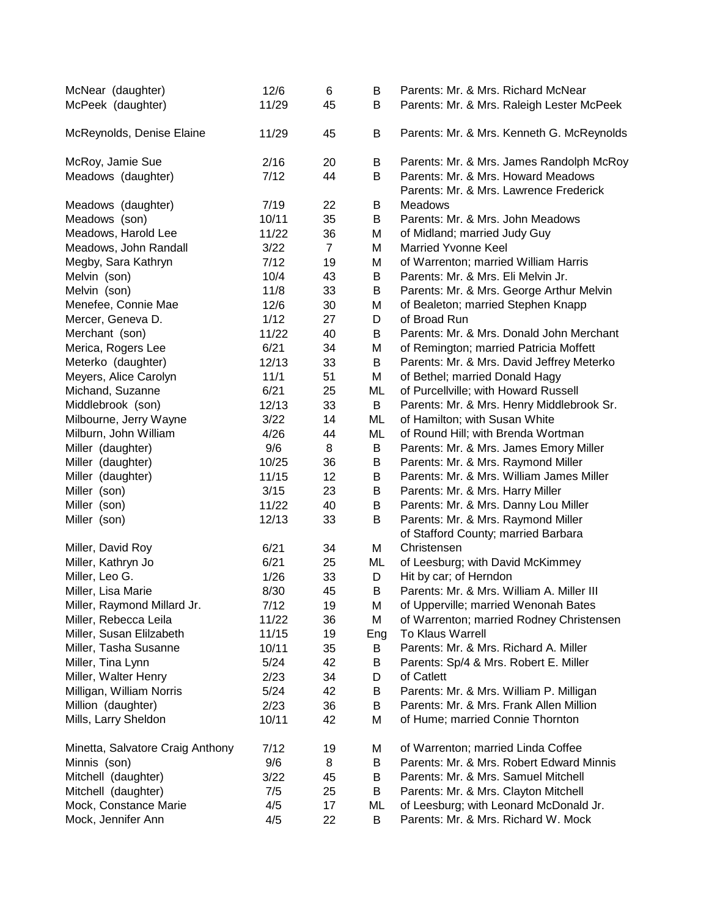| McNear (daughter)                | 12/6  | 6              | В   | Parents: Mr. & Mrs. Richard McNear        |
|----------------------------------|-------|----------------|-----|-------------------------------------------|
| McPeek (daughter)                | 11/29 | 45             | В   | Parents: Mr. & Mrs. Raleigh Lester McPeek |
|                                  |       |                |     |                                           |
| McReynolds, Denise Elaine        | 11/29 | 45             | B   | Parents: Mr. & Mrs. Kenneth G. McReynolds |
|                                  |       |                |     |                                           |
| McRoy, Jamie Sue                 | 2/16  | 20             | B   | Parents: Mr. & Mrs. James Randolph McRoy  |
| Meadows (daughter)               | 7/12  | 44             | B   | Parents: Mr. & Mrs. Howard Meadows        |
|                                  |       |                |     | Parents: Mr. & Mrs. Lawrence Frederick    |
| Meadows (daughter)               | 7/19  | 22             | B   | Meadows                                   |
| Meadows (son)                    | 10/11 | 35             | В   | Parents: Mr. & Mrs. John Meadows          |
| Meadows, Harold Lee              | 11/22 | 36             | M   | of Midland; married Judy Guy              |
| Meadows, John Randall            | 3/22  | $\overline{7}$ | М   | <b>Married Yvonne Keel</b>                |
| Megby, Sara Kathryn              | 7/12  | 19             | M   | of Warrenton; married William Harris      |
| Melvin (son)                     | 10/4  | 43             | B   | Parents: Mr. & Mrs. Eli Melvin Jr.        |
| Melvin (son)                     | 11/8  | 33             | B   | Parents: Mr. & Mrs. George Arthur Melvin  |
| Menefee, Connie Mae              | 12/6  | 30             | M   | of Bealeton; married Stephen Knapp        |
| Mercer, Geneva D.                | 1/12  | 27             | D   | of Broad Run                              |
| Merchant (son)                   | 11/22 | 40             | В   | Parents: Mr. & Mrs. Donald John Merchant  |
| Merica, Rogers Lee               | 6/21  | 34             | M   | of Remington; married Patricia Moffett    |
| Meterko (daughter)               | 12/13 | 33             | B   | Parents: Mr. & Mrs. David Jeffrey Meterko |
| Meyers, Alice Carolyn            | 11/1  | 51             | M   | of Bethel; married Donald Hagy            |
| Michand, Suzanne                 | 6/21  | 25             | ML  | of Purcellville; with Howard Russell      |
| Middlebrook (son)                | 12/13 | 33             | B   | Parents: Mr. & Mrs. Henry Middlebrook Sr. |
| Milbourne, Jerry Wayne           | 3/22  | 14             | ML  | of Hamilton; with Susan White             |
| Milburn, John William            | 4/26  | 44             | ML  | of Round Hill; with Brenda Wortman        |
| Miller (daughter)                | 9/6   | 8              | B   | Parents: Mr. & Mrs. James Emory Miller    |
| Miller (daughter)                | 10/25 | 36             | B   | Parents: Mr. & Mrs. Raymond Miller        |
| Miller (daughter)                | 11/15 | 12             | B   | Parents: Mr. & Mrs. William James Miller  |
| Miller (son)                     | 3/15  | 23             | B   | Parents: Mr. & Mrs. Harry Miller          |
| Miller (son)                     | 11/22 | 40             | B   | Parents: Mr. & Mrs. Danny Lou Miller      |
| Miller (son)                     | 12/13 | 33             | B   | Parents: Mr. & Mrs. Raymond Miller        |
|                                  |       |                |     | of Stafford County; married Barbara       |
| Miller, David Roy                | 6/21  | 34             | М   | Christensen                               |
| Miller, Kathryn Jo               | 6/21  | 25             | ML  | of Leesburg; with David McKimmey          |
| Miller, Leo G.                   | 1/26  | 33             | D   | Hit by car; of Herndon                    |
| Miller, Lisa Marie               | 8/30  | 45             | В   | Parents: Mr. & Mrs. William A. Miller III |
| Miller, Raymond Millard Jr.      | 7/12  | 19             | М   | of Upperville; married Wenonah Bates      |
| Miller, Rebecca Leila            | 11/22 | 36             | Μ   | of Warrenton; married Rodney Christensen  |
| Miller, Susan Elilzabeth         | 11/15 | 19             | Eng | <b>To Klaus Warrell</b>                   |
| Miller, Tasha Susanne            | 10/11 | 35             | В   | Parents: Mr. & Mrs. Richard A. Miller     |
| Miller, Tina Lynn                | 5/24  | 42             | В   | Parents: Sp/4 & Mrs. Robert E. Miller     |
| Miller, Walter Henry             | 2/23  | 34             | D   | of Catlett                                |
| Milligan, William Norris         | 5/24  | 42             | В   | Parents: Mr. & Mrs. William P. Milligan   |
| Million (daughter)               | 2/23  | 36             | В   | Parents: Mr. & Mrs. Frank Allen Million   |
| Mills, Larry Sheldon             | 10/11 | 42             | Μ   | of Hume; married Connie Thornton          |
|                                  |       |                |     |                                           |
| Minetta, Salvatore Craig Anthony | 7/12  | 19             | М   | of Warrenton; married Linda Coffee        |
| Minnis (son)                     | 9/6   | 8              | B   | Parents: Mr. & Mrs. Robert Edward Minnis  |
| Mitchell (daughter)              | 3/22  | 45             | В   | Parents: Mr. & Mrs. Samuel Mitchell       |
| Mitchell (daughter)              | 7/5   | 25             | В   | Parents: Mr. & Mrs. Clayton Mitchell      |
| Mock, Constance Marie            | 4/5   | 17             | ML  | of Leesburg; with Leonard McDonald Jr.    |
| Mock, Jennifer Ann               | 4/5   | 22             | B   | Parents: Mr. & Mrs. Richard W. Mock       |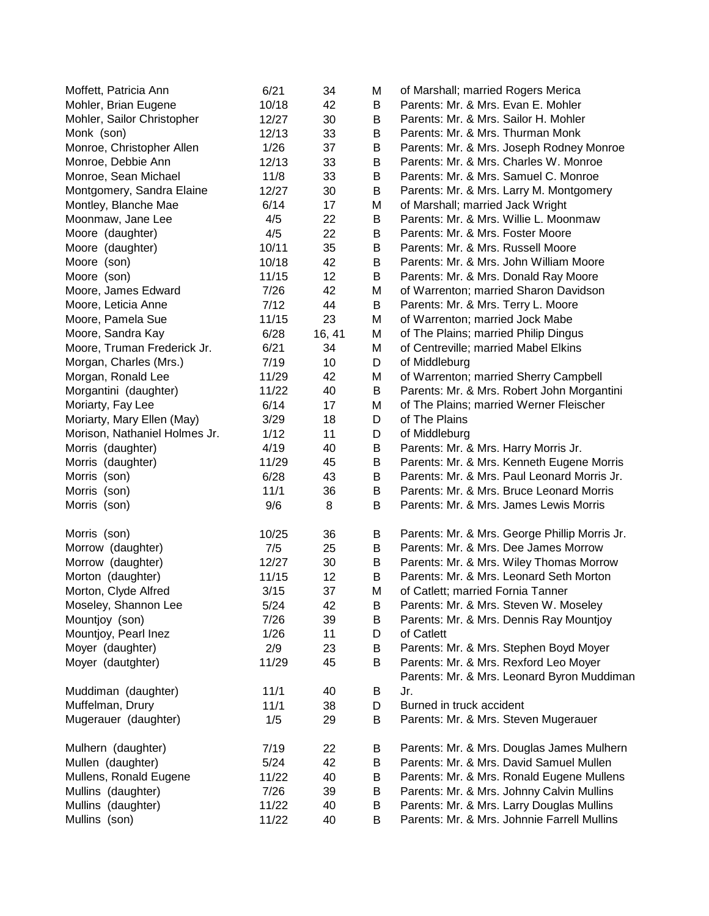| Moffett, Patricia Ann         | 6/21  | 34     | M | of Marshall; married Rogers Merica            |
|-------------------------------|-------|--------|---|-----------------------------------------------|
| Mohler, Brian Eugene          | 10/18 | 42     | В | Parents: Mr. & Mrs. Evan E. Mohler            |
| Mohler, Sailor Christopher    | 12/27 | 30     | В | Parents: Mr. & Mrs. Sailor H. Mohler          |
| Monk (son)                    | 12/13 | 33     | В | Parents: Mr. & Mrs. Thurman Monk              |
| Monroe, Christopher Allen     | 1/26  | 37     | В | Parents: Mr. & Mrs. Joseph Rodney Monroe      |
| Monroe, Debbie Ann            | 12/13 | 33     | В | Parents: Mr. & Mrs. Charles W. Monroe         |
| Monroe, Sean Michael          | 11/8  | 33     | В | Parents: Mr. & Mrs. Samuel C. Monroe          |
| Montgomery, Sandra Elaine     | 12/27 | 30     | Β | Parents: Mr. & Mrs. Larry M. Montgomery       |
| Montley, Blanche Mae          | 6/14  | 17     | M | of Marshall; married Jack Wright              |
| Moonmaw, Jane Lee             | 4/5   | 22     | B | Parents: Mr. & Mrs. Willie L. Moonmaw         |
| Moore (daughter)              | 4/5   | 22     | В | Parents: Mr. & Mrs. Foster Moore              |
| Moore (daughter)              | 10/11 | 35     | В | Parents: Mr. & Mrs. Russell Moore             |
| Moore (son)                   | 10/18 | 42     | В | Parents: Mr. & Mrs. John William Moore        |
| Moore (son)                   | 11/15 | 12     | Β | Parents: Mr. & Mrs. Donald Ray Moore          |
| Moore, James Edward           | 7/26  | 42     | M | of Warrenton; married Sharon Davidson         |
| Moore, Leticia Anne           | 7/12  | 44     | B | Parents: Mr. & Mrs. Terry L. Moore            |
| Moore, Pamela Sue             | 11/15 | 23     | M | of Warrenton; married Jock Mabe               |
| Moore, Sandra Kay             | 6/28  | 16, 41 | M | of The Plains; married Philip Dingus          |
| Moore, Truman Frederick Jr.   | 6/21  | 34     | M | of Centreville; married Mabel Elkins          |
| Morgan, Charles (Mrs.)        | 7/19  | 10     | D | of Middleburg                                 |
| Morgan, Ronald Lee            | 11/29 | 42     | M | of Warrenton; married Sherry Campbell         |
| Morgantini (daughter)         | 11/22 | 40     | B | Parents: Mr. & Mrs. Robert John Morgantini    |
| Moriarty, Fay Lee             | 6/14  | 17     | M | of The Plains; married Werner Fleischer       |
| Moriarty, Mary Ellen (May)    | 3/29  | 18     | D | of The Plains                                 |
| Morison, Nathaniel Holmes Jr. | 1/12  | 11     | D | of Middleburg                                 |
| Morris (daughter)             | 4/19  | 40     | B | Parents: Mr. & Mrs. Harry Morris Jr.          |
| Morris (daughter)             | 11/29 | 45     | B | Parents: Mr. & Mrs. Kenneth Eugene Morris     |
| Morris (son)                  | 6/28  | 43     | В | Parents: Mr. & Mrs. Paul Leonard Morris Jr.   |
| Morris (son)                  | 11/1  | 36     | B | Parents: Mr. & Mrs. Bruce Leonard Morris      |
| Morris (son)                  | 9/6   | 8      | B | Parents: Mr. & Mrs. James Lewis Morris        |
|                               |       |        |   |                                               |
| Morris (son)                  | 10/25 | 36     | Β | Parents: Mr. & Mrs. George Phillip Morris Jr. |
| Morrow (daughter)             | 7/5   | 25     | B | Parents: Mr. & Mrs. Dee James Morrow          |
| Morrow (daughter)             | 12/27 | 30     | B | Parents: Mr. & Mrs. Wiley Thomas Morrow       |
| Morton (daughter)             | 11/15 | 12     | B | Parents: Mr. & Mrs. Leonard Seth Morton       |
| Morton, Clyde Alfred          | 3/15  | 37     | М | of Catlett; married Fornia Tanner             |
| Moseley, Shannon Lee          | 5/24  | 42     | B | Parents: Mr. & Mrs. Steven W. Moseley         |
| Mountjoy (son)                | 7/26  | 39     | В | Parents: Mr. & Mrs. Dennis Ray Mountjoy       |
| Mountjoy, Pearl Inez          | 1/26  | 11     | D | of Catlett                                    |
| Moyer (daughter)              | 2/9   | 23     | Β | Parents: Mr. & Mrs. Stephen Boyd Moyer        |
| Moyer (dautghter)             | 11/29 | 45     | B | Parents: Mr. & Mrs. Rexford Leo Moyer         |
|                               |       |        |   | Parents: Mr. & Mrs. Leonard Byron Muddiman    |
| Muddiman (daughter)           | 11/1  | 40     | B | Jr.                                           |
| Muffelman, Drury              | 11/1  | 38     | D | Burned in truck accident                      |
| Mugerauer (daughter)          | 1/5   | 29     | В | Parents: Mr. & Mrs. Steven Mugerauer          |
|                               |       |        |   |                                               |
| Mulhern (daughter)            | 7/19  | 22     | В | Parents: Mr. & Mrs. Douglas James Mulhern     |
| Mullen (daughter)             | 5/24  | 42     | Β | Parents: Mr. & Mrs. David Samuel Mullen       |
| Mullens, Ronald Eugene        | 11/22 | 40     | Β | Parents: Mr. & Mrs. Ronald Eugene Mullens     |
| Mullins (daughter)            | 7/26  | 39     | В | Parents: Mr. & Mrs. Johnny Calvin Mullins     |
| Mullins (daughter)            | 11/22 | 40     | В | Parents: Mr. & Mrs. Larry Douglas Mullins     |
| Mullins (son)                 | 11/22 | 40     | В | Parents: Mr. & Mrs. Johnnie Farrell Mullins   |
|                               |       |        |   |                                               |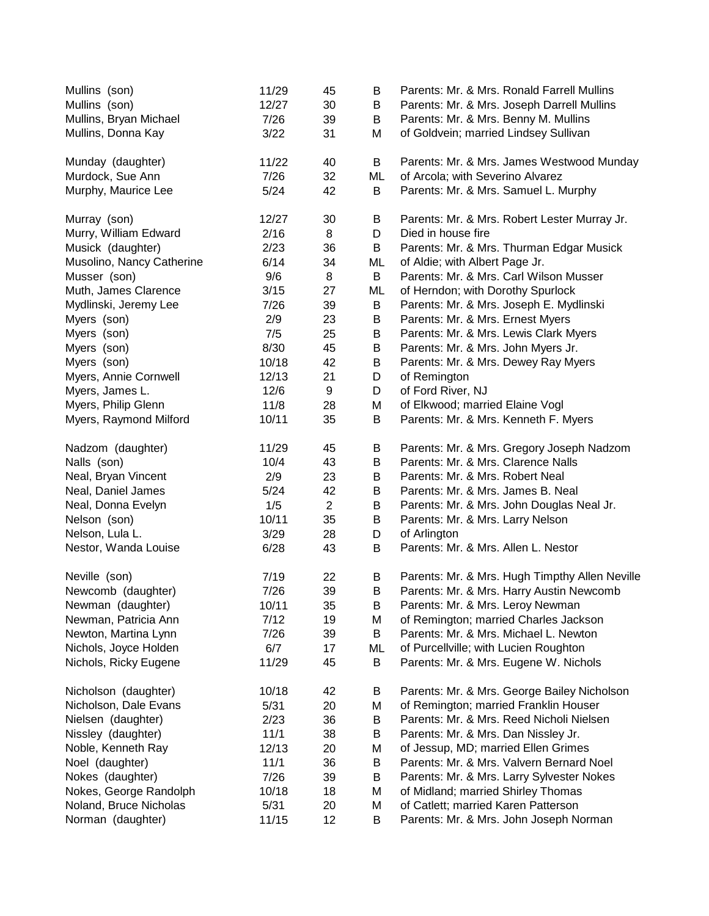| Mullins (son)             | 11/29  | 45             | B  | Parents: Mr. & Mrs. Ronald Farrell Mullins     |
|---------------------------|--------|----------------|----|------------------------------------------------|
| Mullins (son)             | 12/27  | 30             | B  | Parents: Mr. & Mrs. Joseph Darrell Mullins     |
| Mullins, Bryan Michael    | 7/26   | 39             | B  | Parents: Mr. & Mrs. Benny M. Mullins           |
| Mullins, Donna Kay        | 3/22   | 31             | M  | of Goldvein; married Lindsey Sullivan          |
| Munday (daughter)         | 11/22  | 40             | B  | Parents: Mr. & Mrs. James Westwood Munday      |
| Murdock, Sue Ann          | 7/26   | 32             | ML | of Arcola; with Severino Alvarez               |
| Murphy, Maurice Lee       | 5/24   | 42             | B  | Parents: Mr. & Mrs. Samuel L. Murphy           |
| Murray (son)              | 12/27  | 30             | B  | Parents: Mr. & Mrs. Robert Lester Murray Jr.   |
| Murry, William Edward     | 2/16   | 8              | D  | Died in house fire                             |
| Musick (daughter)         | 2/23   | 36             | B  | Parents: Mr. & Mrs. Thurman Edgar Musick       |
| Musolino, Nancy Catherine | 6/14   | 34             | ML | of Aldie; with Albert Page Jr.                 |
| Musser (son)              | 9/6    | 8              | B  | Parents: Mr. & Mrs. Carl Wilson Musser         |
| Muth, James Clarence      | 3/15   | 27             | ML | of Herndon; with Dorothy Spurlock              |
| Mydlinski, Jeremy Lee     | 7/26   | 39             | B  | Parents: Mr. & Mrs. Joseph E. Mydlinski        |
| Myers (son)               | 2/9    | 23             | B  | Parents: Mr. & Mrs. Ernest Myers               |
| Myers (son)               | 7/5    | 25             | B  | Parents: Mr. & Mrs. Lewis Clark Myers          |
| Myers (son)               | 8/30   | 45             | B  | Parents: Mr. & Mrs. John Myers Jr.             |
| Myers (son)               | 10/18  | 42             | B  | Parents: Mr. & Mrs. Dewey Ray Myers            |
| Myers, Annie Cornwell     | 12/13  | 21             | D  | of Remington                                   |
| Myers, James L.           | 12/6   | 9              | D  | of Ford River, NJ                              |
| Myers, Philip Glenn       | 11/8   | 28             | M  | of Elkwood; married Elaine Vogl                |
| Myers, Raymond Milford    | 10/11  | 35             | B  | Parents: Mr. & Mrs. Kenneth F. Myers           |
| Nadzom (daughter)         | 11/29  | 45             | B  | Parents: Mr. & Mrs. Gregory Joseph Nadzom      |
| Nalls (son)               | 10/4   | 43             | B  | Parents: Mr. & Mrs. Clarence Nalls             |
| Neal, Bryan Vincent       | 2/9    | 23             | B  | Parents: Mr. & Mrs. Robert Neal                |
| Neal, Daniel James        | $5/24$ | 42             | B  | Parents: Mr. & Mrs. James B. Neal              |
| Neal, Donna Evelyn        | 1/5    | $\overline{2}$ | B  | Parents: Mr. & Mrs. John Douglas Neal Jr.      |
| Nelson (son)              | 10/11  | 35             | B  | Parents: Mr. & Mrs. Larry Nelson               |
| Nelson, Lula L.           | 3/29   | 28             | D  | of Arlington                                   |
| Nestor, Wanda Louise      | 6/28   | 43             | B  | Parents: Mr. & Mrs. Allen L. Nestor            |
| Neville (son)             | 7/19   | 22             | B  | Parents: Mr. & Mrs. Hugh Timpthy Allen Neville |
| Newcomb (daughter)        | 7/26   | 39             | B  | Parents: Mr. & Mrs. Harry Austin Newcomb       |
| Newman (daughter)         | 10/11  | 35             | B  | Parents: Mr. & Mrs. Leroy Newman               |
| Newman, Patricia Ann      | 7/12   | 19             | M  | of Remington; married Charles Jackson          |
| Newton, Martina Lynn      | 7/26   | 39             | B  | Parents: Mr. & Mrs. Michael L. Newton          |
| Nichols, Joyce Holden     | 6/7    | 17             | ML | of Purcellville; with Lucien Roughton          |
| Nichols, Ricky Eugene     | 11/29  | 45             | B  | Parents: Mr. & Mrs. Eugene W. Nichols          |
| Nicholson (daughter)      | 10/18  | 42             | B  | Parents: Mr. & Mrs. George Bailey Nicholson    |
| Nicholson, Dale Evans     | 5/31   | 20             | M  | of Remington; married Franklin Houser          |
| Nielsen (daughter)        | 2/23   | 36             | B  | Parents: Mr. & Mrs. Reed Nicholi Nielsen       |
| Nissley (daughter)        | 11/1   | 38             | B  | Parents: Mr. & Mrs. Dan Nissley Jr.            |
| Noble, Kenneth Ray        | 12/13  | 20             | M  | of Jessup, MD; married Ellen Grimes            |
| Noel (daughter)           | 11/1   | 36             | B  | Parents: Mr. & Mrs. Valvern Bernard Noel       |
| Nokes (daughter)          | 7/26   | 39             | B  | Parents: Mr. & Mrs. Larry Sylvester Nokes      |
| Nokes, George Randolph    | 10/18  | 18             | M  | of Midland; married Shirley Thomas             |
| Noland, Bruce Nicholas    | 5/31   | 20             | M  | of Catlett; married Karen Patterson            |
| Norman (daughter)         | 11/15  | 12             | B  | Parents: Mr. & Mrs. John Joseph Norman         |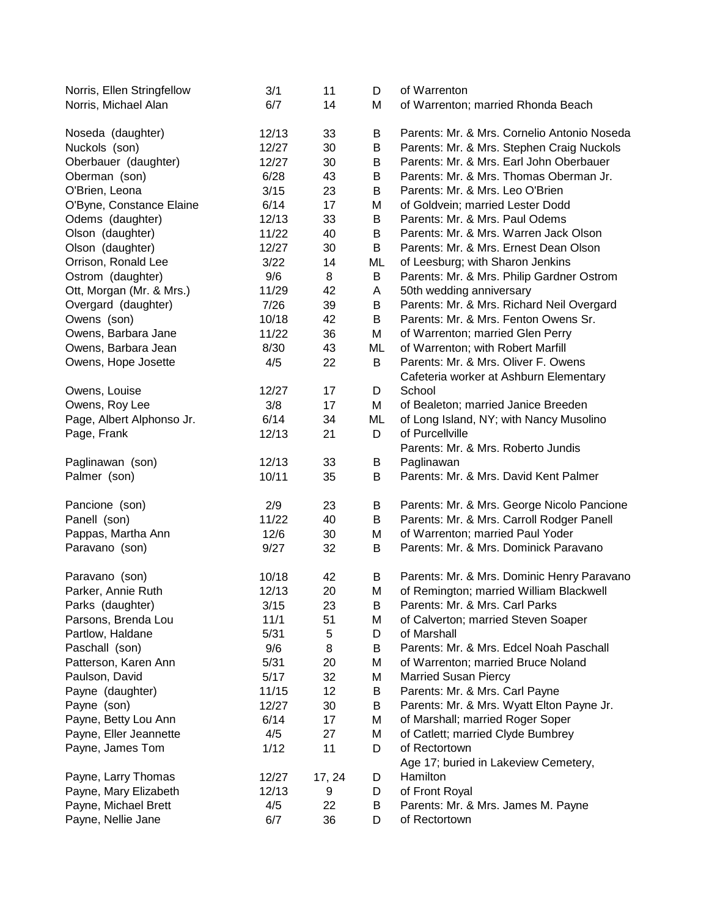| Norris, Ellen Stringfellow | 3/1   | 11     | D  | of Warrenton                                |
|----------------------------|-------|--------|----|---------------------------------------------|
| Norris, Michael Alan       | 6/7   | 14     | М  | of Warrenton; married Rhonda Beach          |
|                            |       |        |    |                                             |
| Noseda (daughter)          | 12/13 | 33     | B  | Parents: Mr. & Mrs. Cornelio Antonio Noseda |
| Nuckols (son)              | 12/27 | 30     | В  | Parents: Mr. & Mrs. Stephen Craig Nuckols   |
| Oberbauer (daughter)       | 12/27 | 30     | B  | Parents: Mr. & Mrs. Earl John Oberbauer     |
| Oberman (son)              | 6/28  | 43     | B  | Parents: Mr. & Mrs. Thomas Oberman Jr.      |
| O'Brien, Leona             | 3/15  | 23     | B  | Parents: Mr. & Mrs. Leo O'Brien             |
| O'Byne, Constance Elaine   | 6/14  | 17     | M  | of Goldvein; married Lester Dodd            |
| Odems (daughter)           | 12/13 | 33     | B  | Parents: Mr. & Mrs. Paul Odems              |
| Olson (daughter)           | 11/22 | 40     | B  | Parents: Mr. & Mrs. Warren Jack Olson       |
| Olson (daughter)           | 12/27 | 30     | B  | Parents: Mr. & Mrs. Ernest Dean Olson       |
| Orrison, Ronald Lee        | 3/22  | 14     | ML | of Leesburg; with Sharon Jenkins            |
| Ostrom (daughter)          | 9/6   | 8      | B  | Parents: Mr. & Mrs. Philip Gardner Ostrom   |
| Ott, Morgan (Mr. & Mrs.)   | 11/29 | 42     | A  | 50th wedding anniversary                    |
| Overgard (daughter)        | 7/26  | 39     | B  | Parents: Mr. & Mrs. Richard Neil Overgard   |
| Owens (son)                | 10/18 | 42     | B  | Parents: Mr. & Mrs. Fenton Owens Sr.        |
|                            | 11/22 | 36     |    |                                             |
| Owens, Barbara Jane        |       |        | M  | of Warrenton; married Glen Perry            |
| Owens, Barbara Jean        | 8/30  | 43     | ML | of Warrenton; with Robert Marfill           |
| Owens, Hope Josette        | 4/5   | 22     | B  | Parents: Mr. & Mrs. Oliver F. Owens         |
|                            |       |        |    | Cafeteria worker at Ashburn Elementary      |
| Owens, Louise              | 12/27 | 17     | D  | School                                      |
| Owens, Roy Lee             | 3/8   | 17     | М  | of Bealeton; married Janice Breeden         |
| Page, Albert Alphonso Jr.  | 6/14  | 34     | ML | of Long Island, NY; with Nancy Musolino     |
| Page, Frank                | 12/13 | 21     | D  | of Purcellville                             |
|                            |       |        |    | Parents: Mr. & Mrs. Roberto Jundis          |
| Paglinawan (son)           | 12/13 | 33     | B  | Paglinawan                                  |
| Palmer (son)               | 10/11 | 35     | B  | Parents: Mr. & Mrs. David Kent Palmer       |
| Pancione (son)             | 2/9   | 23     | B  | Parents: Mr. & Mrs. George Nicolo Pancione  |
|                            | 11/22 | 40     |    | Parents: Mr. & Mrs. Carroll Rodger Panell   |
| Panell (son)               |       |        | B  |                                             |
| Pappas, Martha Ann         | 12/6  | 30     | M  | of Warrenton; married Paul Yoder            |
| Paravano (son)             | 9/27  | 32     | B  | Parents: Mr. & Mrs. Dominick Paravano       |
| Paravano (son)             | 10/18 | 42     | B  | Parents: Mr. & Mrs. Dominic Henry Paravano  |
| Parker, Annie Ruth         | 12/13 | 20     | M  | of Remington; married William Blackwell     |
| Parks (daughter)           | 3/15  | 23     | B  | Parents: Mr. & Mrs. Carl Parks              |
| Parsons, Brenda Lou        | 11/1  | 51     | Μ  | of Calverton; married Steven Soaper         |
| Partlow, Haldane           | 5/31  | 5      | D  | of Marshall                                 |
| Paschall (son)             | 9/6   | 8      | В  | Parents: Mr. & Mrs. Edcel Noah Paschall     |
| Patterson, Karen Ann       | 5/31  | 20     | М  | of Warrenton; married Bruce Noland          |
| Paulson, David             | 5/17  | 32     | М  | <b>Married Susan Piercy</b>                 |
| Payne (daughter)           | 11/15 | 12     | B  | Parents: Mr. & Mrs. Carl Payne              |
| Payne (son)                | 12/27 | 30     | B  | Parents: Mr. & Mrs. Wyatt Elton Payne Jr.   |
| Payne, Betty Lou Ann       | 6/14  | 17     | м  | of Marshall; married Roger Soper            |
| Payne, Eller Jeannette     | 4/5   | 27     | м  | of Catlett; married Clyde Bumbrey           |
| Payne, James Tom           | 1/12  | 11     | D  | of Rectortown                               |
|                            |       |        |    | Age 17; buried in Lakeview Cemetery,        |
| Payne, Larry Thomas        | 12/27 | 17, 24 | D  | Hamilton                                    |
| Payne, Mary Elizabeth      | 12/13 | 9      | D  | of Front Royal                              |
| Payne, Michael Brett       | 4/5   | 22     | B  | Parents: Mr. & Mrs. James M. Payne          |
| Payne, Nellie Jane         | 6/7   | 36     | D  | of Rectortown                               |
|                            |       |        |    |                                             |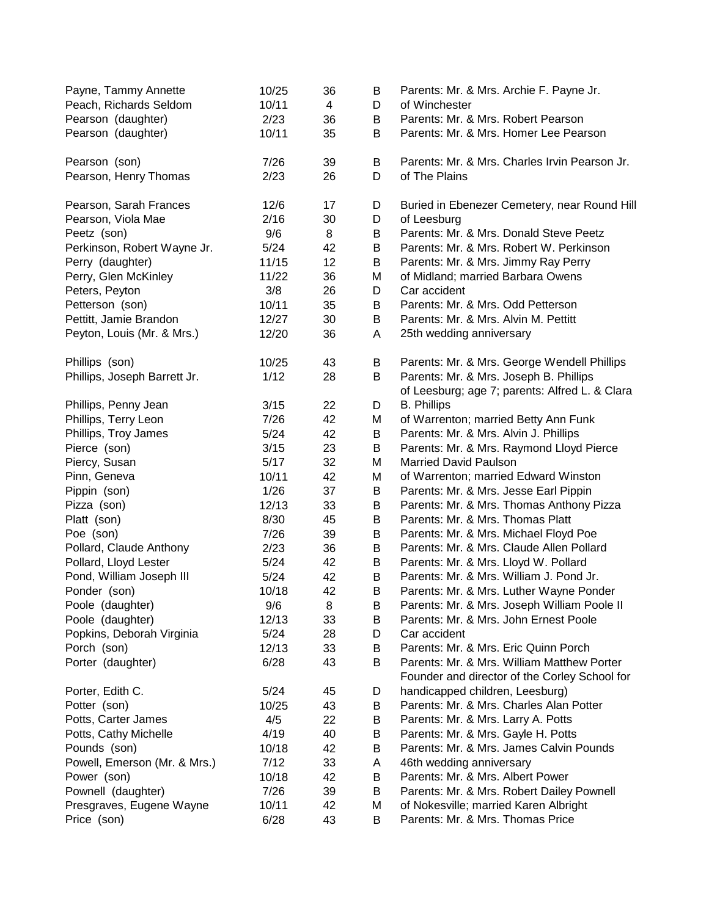| Payne, Tammy Annette<br>Peach, Richards Seldom | 10/25<br>10/11 | 36<br>4 | В<br>D | Parents: Mr. & Mrs. Archie F. Payne Jr.<br>of Winchester                                    |
|------------------------------------------------|----------------|---------|--------|---------------------------------------------------------------------------------------------|
| Pearson (daughter)                             | 2/23           | 36      | В      | Parents: Mr. & Mrs. Robert Pearson                                                          |
| Pearson (daughter)                             | 10/11          | 35      | B      | Parents: Mr. & Mrs. Homer Lee Pearson                                                       |
| Pearson (son)                                  | 7/26           | 39      | В      | Parents: Mr. & Mrs. Charles Irvin Pearson Jr.                                               |
| Pearson, Henry Thomas                          | 2/23           | 26      | D      | of The Plains                                                                               |
| Pearson, Sarah Frances                         | 12/6           | 17      | D      | Buried in Ebenezer Cemetery, near Round Hill                                                |
| Pearson, Viola Mae                             | 2/16           | 30      | D      | of Leesburg                                                                                 |
| Peetz (son)                                    | 9/6            | 8       | B      | Parents: Mr. & Mrs. Donald Steve Peetz                                                      |
| Perkinson, Robert Wayne Jr.                    | 5/24           | 42      | В      | Parents: Mr. & Mrs. Robert W. Perkinson                                                     |
| Perry (daughter)                               | 11/15          | 12      | В      | Parents: Mr. & Mrs. Jimmy Ray Perry                                                         |
| Perry, Glen McKinley                           | 11/22          | 36      | Μ      | of Midland; married Barbara Owens                                                           |
| Peters, Peyton                                 | 3/8            | 26      | D      | Car accident                                                                                |
| Petterson (son)                                | 10/11          | 35      | В      | Parents: Mr. & Mrs. Odd Petterson                                                           |
| Pettitt, Jamie Brandon                         | 12/27          | 30      | В      | Parents: Mr. & Mrs. Alvin M. Pettitt                                                        |
| Peyton, Louis (Mr. & Mrs.)                     | 12/20          | 36      | A      | 25th wedding anniversary                                                                    |
| Phillips (son)                                 | 10/25          | 43      | В      | Parents: Mr. & Mrs. George Wendell Phillips                                                 |
| Phillips, Joseph Barrett Jr.                   | 1/12           | 28      | B      | Parents: Mr. & Mrs. Joseph B. Phillips                                                      |
|                                                |                |         |        | of Leesburg; age 7; parents: Alfred L. & Clara                                              |
| Phillips, Penny Jean                           | 3/15           | 22      | D      | <b>B.</b> Phillips                                                                          |
| Phillips, Terry Leon                           | 7/26           | 42      | M      | of Warrenton; married Betty Ann Funk                                                        |
| Phillips, Troy James                           | $5/24$         | 42      | B      | Parents: Mr. & Mrs. Alvin J. Phillips                                                       |
| Pierce (son)                                   | 3/15           | 23      | B      | Parents: Mr. & Mrs. Raymond Lloyd Pierce                                                    |
| Piercy, Susan                                  | 5/17           | 32      | Μ      | <b>Married David Paulson</b>                                                                |
| Pinn, Geneva                                   | 10/11          | 42      | Μ      | of Warrenton; married Edward Winston                                                        |
| Pippin (son)                                   | 1/26           | 37      | В      | Parents: Mr. & Mrs. Jesse Earl Pippin                                                       |
| Pizza (son)                                    | 12/13          | 33      | B      | Parents: Mr. & Mrs. Thomas Anthony Pizza                                                    |
| Platt (son)                                    | 8/30           | 45      | B      | Parents: Mr. & Mrs. Thomas Platt                                                            |
| Poe (son)                                      | 7/26           | 39      | B      | Parents: Mr. & Mrs. Michael Floyd Poe                                                       |
| Pollard, Claude Anthony                        | 2/23           | 36      | В      | Parents: Mr. & Mrs. Claude Allen Pollard                                                    |
| Pollard, Lloyd Lester                          | $5/24$         | 42      | В      | Parents: Mr. & Mrs. Lloyd W. Pollard                                                        |
| Pond, William Joseph III                       | 5/24           | 42      | В      | Parents: Mr. & Mrs. William J. Pond Jr.                                                     |
| Ponder (son)                                   | 10/18          | 42      | В      | Parents: Mr. & Mrs. Luther Wayne Ponder                                                     |
| Poole (daughter)                               | 9/6            | 8       | B      | Parents: Mr. & Mrs. Joseph William Poole II                                                 |
| Poole (daughter)                               | 12/13          | 33      | В      | Parents: Mr. & Mrs. John Ernest Poole                                                       |
| Popkins, Deborah Virginia                      | 5/24           | 28      | D      | Car accident                                                                                |
| Porch (son)                                    | 12/13          | 33      | B      | Parents: Mr. & Mrs. Eric Quinn Porch                                                        |
| Porter (daughter)                              | 6/28           | 43      | B      | Parents: Mr. & Mrs. William Matthew Porter<br>Founder and director of the Corley School for |
| Porter, Edith C.                               | 5/24           | 45      | D      | handicapped children, Leesburg)                                                             |
| Potter (son)                                   | 10/25          | 43      | B      | Parents: Mr. & Mrs. Charles Alan Potter                                                     |
| Potts, Carter James                            | 4/5            | 22      | B      | Parents: Mr. & Mrs. Larry A. Potts                                                          |
| Potts, Cathy Michelle                          | 4/19           | 40      | B      | Parents: Mr. & Mrs. Gayle H. Potts                                                          |
| Pounds (son)                                   | 10/18          | 42      | В      | Parents: Mr. & Mrs. James Calvin Pounds                                                     |
| Powell, Emerson (Mr. & Mrs.)                   | 7/12           | 33      | Α      | 46th wedding anniversary                                                                    |
| Power (son)                                    | 10/18          | 42      | В      | Parents: Mr. & Mrs. Albert Power                                                            |
| Pownell (daughter)                             | 7/26           | 39      | В      | Parents: Mr. & Mrs. Robert Dailey Pownell                                                   |
| Presgraves, Eugene Wayne                       | 10/11          | 42      | Μ      | of Nokesville; married Karen Albright                                                       |
| Price (son)                                    | 6/28           | 43      | В      | Parents: Mr. & Mrs. Thomas Price                                                            |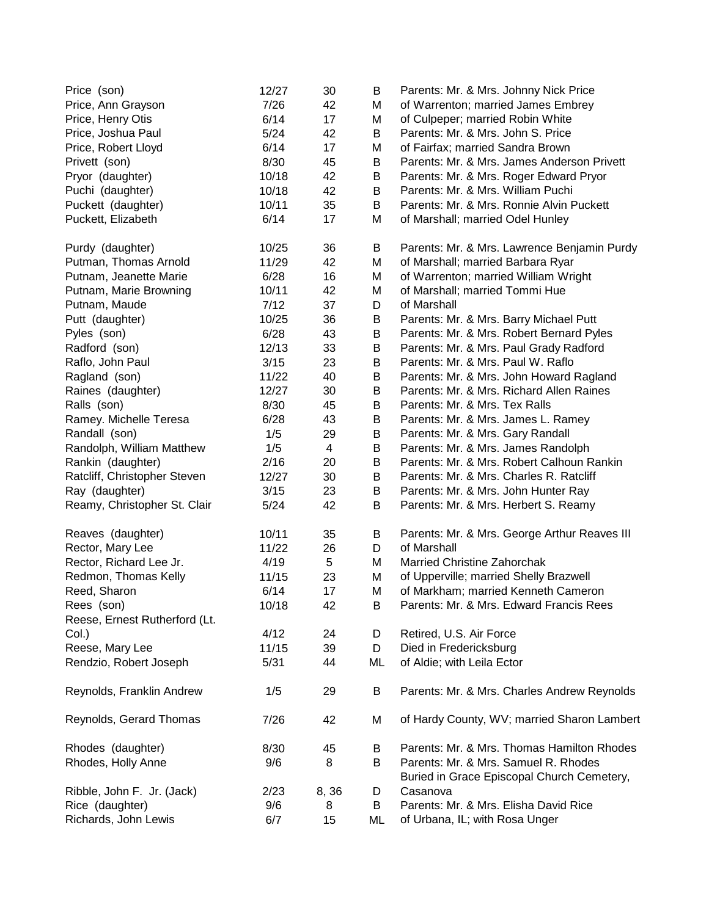| Price (son)                   | 12/27 | 30             | B       | Parents: Mr. & Mrs. Johnny Nick Price                                              |
|-------------------------------|-------|----------------|---------|------------------------------------------------------------------------------------|
| Price, Ann Grayson            | 7/26  | 42             | M       | of Warrenton; married James Embrey                                                 |
| Price, Henry Otis             | 6/14  | 17             | M       | of Culpeper; married Robin White                                                   |
| Price, Joshua Paul            | 5/24  | 42             | В       | Parents: Mr. & Mrs. John S. Price                                                  |
| Price, Robert Lloyd           | 6/14  | 17             | Μ       | of Fairfax; married Sandra Brown                                                   |
| Privett (son)                 | 8/30  | 45             | B       | Parents: Mr. & Mrs. James Anderson Privett                                         |
| Pryor (daughter)              | 10/18 | 42             | B       | Parents: Mr. & Mrs. Roger Edward Pryor                                             |
| Puchi (daughter)              | 10/18 | 42             | В       | Parents: Mr. & Mrs. William Puchi                                                  |
| Puckett (daughter)            | 10/11 | 35             | В       | Parents: Mr. & Mrs. Ronnie Alvin Puckett                                           |
| Puckett, Elizabeth            | 6/14  | 17             | М       | of Marshall; married Odel Hunley                                                   |
| Purdy (daughter)              | 10/25 | 36             | В       | Parents: Mr. & Mrs. Lawrence Benjamin Purdy                                        |
| Putman, Thomas Arnold         | 11/29 | 42             | M       | of Marshall; married Barbara Ryar                                                  |
| Putnam, Jeanette Marie        | 6/28  | 16             | M       | of Warrenton; married William Wright                                               |
| Putnam, Marie Browning        | 10/11 | 42             | Μ       | of Marshall; married Tommi Hue                                                     |
| Putnam, Maude                 | 7/12  | 37             | D       | of Marshall                                                                        |
| Putt (daughter)               | 10/25 | 36             | В       | Parents: Mr. & Mrs. Barry Michael Putt                                             |
| Pyles (son)                   | 6/28  | 43             | В       | Parents: Mr. & Mrs. Robert Bernard Pyles                                           |
| Radford (son)                 | 12/13 | 33             | B       | Parents: Mr. & Mrs. Paul Grady Radford                                             |
| Raflo, John Paul              | 3/15  | 23             | B       | Parents: Mr. & Mrs. Paul W. Raflo                                                  |
| Ragland (son)                 | 11/22 | 40             | B       | Parents: Mr. & Mrs. John Howard Ragland                                            |
| Raines (daughter)             | 12/27 | 30             | B       | Parents: Mr. & Mrs. Richard Allen Raines                                           |
| Ralls (son)                   | 8/30  | 45             | В       | Parents: Mr. & Mrs. Tex Ralls                                                      |
| Ramey. Michelle Teresa        | 6/28  | 43             | B       | Parents: Mr. & Mrs. James L. Ramey                                                 |
| Randall (son)                 | 1/5   | 29             | B       | Parents: Mr. & Mrs. Gary Randall                                                   |
| Randolph, William Matthew     | 1/5   | $\overline{4}$ | B       | Parents: Mr. & Mrs. James Randolph                                                 |
| Rankin (daughter)             | 2/16  | 20             | B       | Parents: Mr. & Mrs. Robert Calhoun Rankin                                          |
| Ratcliff, Christopher Steven  | 12/27 | 30             | B       | Parents: Mr. & Mrs. Charles R. Ratcliff                                            |
| Ray (daughter)                | 3/15  | 23             | B       | Parents: Mr. & Mrs. John Hunter Ray                                                |
| Reamy, Christopher St. Clair  | 5/24  | 42             | В       | Parents: Mr. & Mrs. Herbert S. Reamy                                               |
| Reaves (daughter)             | 10/11 | 35             | В       | Parents: Mr. & Mrs. George Arthur Reaves III                                       |
| Rector, Mary Lee              | 11/22 | 26             | D       | of Marshall                                                                        |
| Rector, Richard Lee Jr.       | 4/19  | 5              | Μ       | <b>Married Christine Zahorchak</b>                                                 |
| Redmon, Thomas Kelly          | 11/15 | 23             | Μ       | of Upperville; married Shelly Brazwell                                             |
| Reed, Sharon                  | 6/14  | 17             | M       | of Markham; married Kenneth Cameron                                                |
| Rees (son)                    | 10/18 | 42             | $\sf B$ | Parents: Mr. & Mrs. Edward Francis Rees                                            |
| Reese, Ernest Rutherford (Lt. |       |                |         |                                                                                    |
| Col.                          | 4/12  | 24             | D       | Retired, U.S. Air Force                                                            |
| Reese, Mary Lee               | 11/15 | 39             | D       | Died in Fredericksburg                                                             |
| Rendzio, Robert Joseph        | 5/31  | 44             | ML      | of Aldie; with Leila Ector                                                         |
| Reynolds, Franklin Andrew     | 1/5   | 29             | B       | Parents: Mr. & Mrs. Charles Andrew Reynolds                                        |
| Reynolds, Gerard Thomas       | 7/26  | 42             | M       | of Hardy County, WV; married Sharon Lambert                                        |
| Rhodes (daughter)             | 8/30  | 45             | B       | Parents: Mr. & Mrs. Thomas Hamilton Rhodes                                         |
| Rhodes, Holly Anne            | 9/6   | 8              | В       | Parents: Mr. & Mrs. Samuel R. Rhodes<br>Buried in Grace Episcopal Church Cemetery, |
| Ribble, John F. Jr. (Jack)    | 2/23  | 8,36           | D       | Casanova                                                                           |
| Rice (daughter)               | 9/6   | 8              | B       | Parents: Mr. & Mrs. Elisha David Rice                                              |
| Richards, John Lewis          | 6/7   | 15             | ML      | of Urbana, IL; with Rosa Unger                                                     |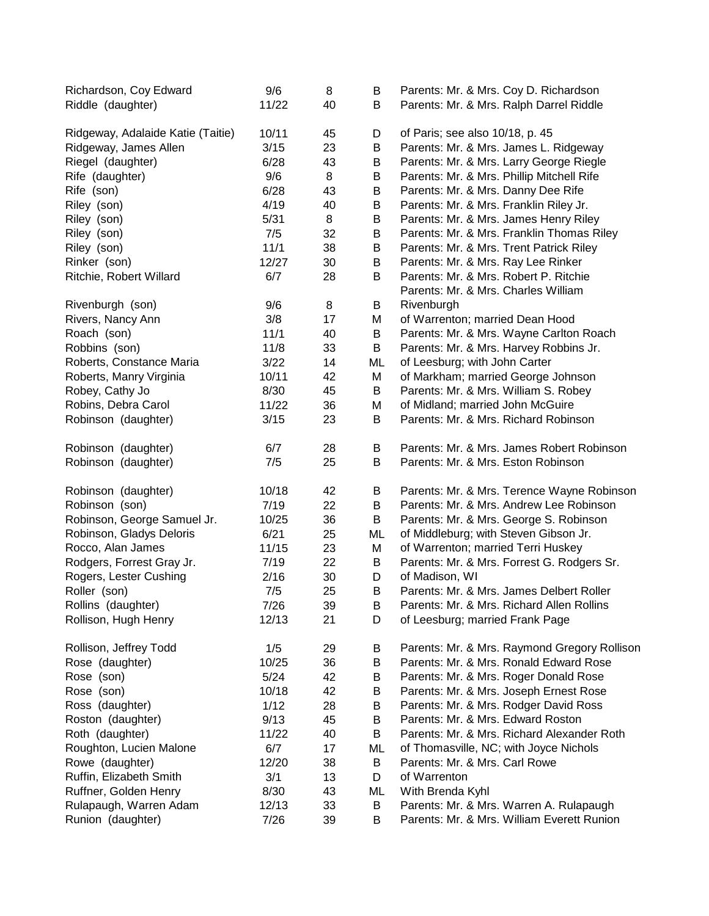| Richardson, Coy Edward            | 9/6   | 8  | B  | Parents: Mr. & Mrs. Coy D. Richardson        |
|-----------------------------------|-------|----|----|----------------------------------------------|
| Riddle (daughter)                 | 11/22 | 40 | B  | Parents: Mr. & Mrs. Ralph Darrel Riddle      |
| Ridgeway, Adalaide Katie (Taitie) | 10/11 | 45 | D  | of Paris; see also 10/18, p. 45              |
| Ridgeway, James Allen             | 3/15  | 23 | B  | Parents: Mr. & Mrs. James L. Ridgeway        |
| Riegel (daughter)                 | 6/28  | 43 | B  | Parents: Mr. & Mrs. Larry George Riegle      |
| Rife (daughter)                   | 9/6   | 8  | B  | Parents: Mr. & Mrs. Phillip Mitchell Rife    |
| Rife (son)                        | 6/28  | 43 | B  | Parents: Mr. & Mrs. Danny Dee Rife           |
| Riley (son)                       | 4/19  | 40 | B  | Parents: Mr. & Mrs. Franklin Riley Jr.       |
| Riley (son)                       | 5/31  | 8  | Β  | Parents: Mr. & Mrs. James Henry Riley        |
| Riley (son)                       | 7/5   | 32 | B  | Parents: Mr. & Mrs. Franklin Thomas Riley    |
| Riley (son)                       | 11/1  | 38 | B  | Parents: Mr. & Mrs. Trent Patrick Riley      |
| Rinker (son)                      | 12/27 | 30 | B  | Parents: Mr. & Mrs. Ray Lee Rinker           |
| Ritchie, Robert Willard           | 6/7   | 28 | В  | Parents: Mr. & Mrs. Robert P. Ritchie        |
|                                   |       |    |    | Parents: Mr. & Mrs. Charles William          |
| Rivenburgh (son)                  | 9/6   | 8  | B  | Rivenburgh                                   |
| Rivers, Nancy Ann                 | 3/8   | 17 | M  | of Warrenton; married Dean Hood              |
| Roach (son)                       | 11/1  | 40 | B  | Parents: Mr. & Mrs. Wayne Carlton Roach      |
| Robbins (son)                     | 11/8  | 33 | B  | Parents: Mr. & Mrs. Harvey Robbins Jr.       |
| Roberts, Constance Maria          | 3/22  | 14 | ML | of Leesburg; with John Carter                |
| Roberts, Manry Virginia           | 10/11 | 42 | M  | of Markham; married George Johnson           |
| Robey, Cathy Jo                   | 8/30  | 45 | B  | Parents: Mr. & Mrs. William S. Robey         |
| Robins, Debra Carol               | 11/22 | 36 | M  | of Midland; married John McGuire             |
| Robinson (daughter)               | 3/15  | 23 | B  | Parents: Mr. & Mrs. Richard Robinson         |
| Robinson (daughter)               | 6/7   | 28 | B  | Parents: Mr. & Mrs. James Robert Robinson    |
| Robinson (daughter)               | 7/5   | 25 | B  | Parents: Mr. & Mrs. Eston Robinson           |
| Robinson (daughter)               | 10/18 | 42 | B  | Parents: Mr. & Mrs. Terence Wayne Robinson   |
| Robinson (son)                    | 7/19  | 22 | B  | Parents: Mr. & Mrs. Andrew Lee Robinson      |
| Robinson, George Samuel Jr.       | 10/25 | 36 | B  | Parents: Mr. & Mrs. George S. Robinson       |
| Robinson, Gladys Deloris          | 6/21  | 25 | ML | of Middleburg; with Steven Gibson Jr.        |
| Rocco, Alan James                 | 11/15 | 23 | M  | of Warrenton; married Terri Huskey           |
| Rodgers, Forrest Gray Jr.         | 7/19  | 22 | B  | Parents: Mr. & Mrs. Forrest G. Rodgers Sr.   |
| Rogers, Lester Cushing            | 2/16  | 30 | D  | of Madison, WI                               |
| Roller (son)                      | 7/5   | 25 | B  | Parents: Mr. & Mrs. James Delbert Roller     |
| Rollins (daughter)                | 7/26  | 39 | B  | Parents: Mr. & Mrs. Richard Allen Rollins    |
| Rollison, Hugh Henry              | 12/13 | 21 | D  | of Leesburg; married Frank Page              |
| Rollison, Jeffrey Todd            | 1/5   | 29 | В  | Parents: Mr. & Mrs. Raymond Gregory Rollison |
| Rose (daughter)                   | 10/25 | 36 | B  | Parents: Mr. & Mrs. Ronald Edward Rose       |
| Rose (son)                        | 5/24  | 42 | Β  | Parents: Mr. & Mrs. Roger Donald Rose        |
| Rose (son)                        | 10/18 | 42 | Β  | Parents: Mr. & Mrs. Joseph Ernest Rose       |
| Ross (daughter)                   | 1/12  | 28 | В  | Parents: Mr. & Mrs. Rodger David Ross        |
| Roston (daughter)                 | 9/13  | 45 | B  | Parents: Mr. & Mrs. Edward Roston            |
| Roth (daughter)                   | 11/22 | 40 | B  | Parents: Mr. & Mrs. Richard Alexander Roth   |
| Roughton, Lucien Malone           | 6/7   | 17 | ML | of Thomasville, NC; with Joyce Nichols       |
| Rowe (daughter)                   | 12/20 | 38 | B  | Parents: Mr. & Mrs. Carl Rowe                |
| Ruffin, Elizabeth Smith           | 3/1   | 13 | D  | of Warrenton                                 |
| Ruffner, Golden Henry             | 8/30  | 43 | ML | With Brenda Kyhl                             |
| Rulapaugh, Warren Adam            | 12/13 | 33 | B  | Parents: Mr. & Mrs. Warren A. Rulapaugh      |
| Runion (daughter)                 | 7/26  | 39 | B  | Parents: Mr. & Mrs. William Everett Runion   |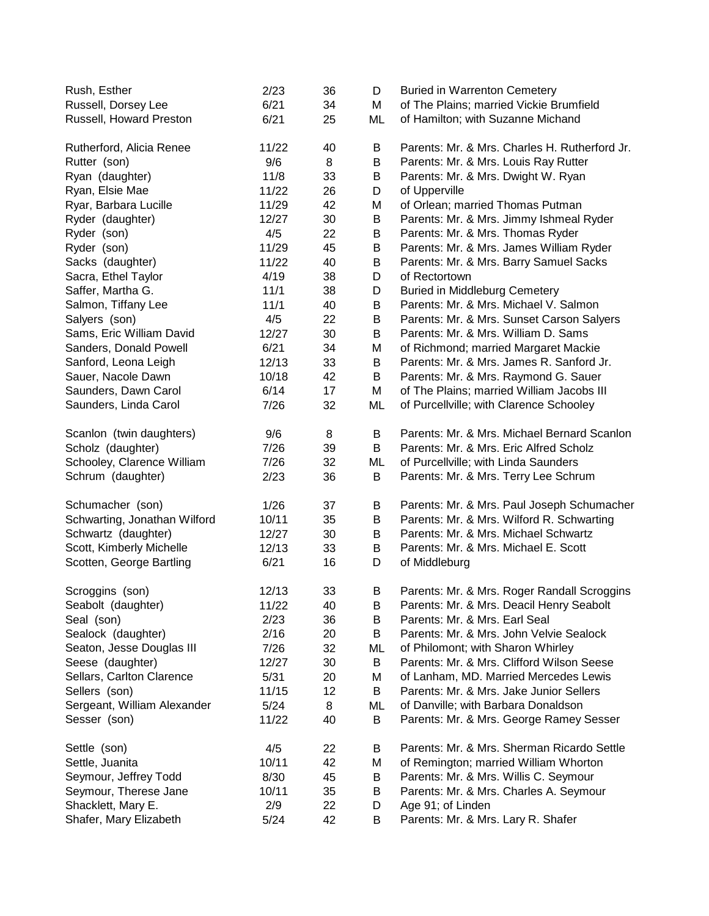| Rush, Esther                 | 2/23   | 36 | D  | <b>Buried in Warrenton Cemetery</b>           |
|------------------------------|--------|----|----|-----------------------------------------------|
| Russell, Dorsey Lee          | 6/21   | 34 | M  | of The Plains; married Vickie Brumfield       |
| Russell, Howard Preston      | 6/21   | 25 | ML | of Hamilton; with Suzanne Michand             |
| Rutherford, Alicia Renee     | 11/22  | 40 | В  | Parents: Mr. & Mrs. Charles H. Rutherford Jr. |
| Rutter (son)                 | 9/6    | 8  | B  | Parents: Mr. & Mrs. Louis Ray Rutter          |
| Ryan (daughter)              | 11/8   | 33 | B  | Parents: Mr. & Mrs. Dwight W. Ryan            |
| Ryan, Elsie Mae              | 11/22  | 26 | D  | of Upperville                                 |
| Ryar, Barbara Lucille        | 11/29  | 42 | M  | of Orlean; married Thomas Putman              |
| Ryder (daughter)             | 12/27  | 30 | B  | Parents: Mr. & Mrs. Jimmy Ishmeal Ryder       |
| Ryder (son)                  | 4/5    | 22 | B  | Parents: Mr. & Mrs. Thomas Ryder              |
| Ryder (son)                  | 11/29  | 45 | B  | Parents: Mr. & Mrs. James William Ryder       |
| Sacks (daughter)             | 11/22  | 40 | B  | Parents: Mr. & Mrs. Barry Samuel Sacks        |
| Sacra, Ethel Taylor          | 4/19   | 38 | D  | of Rectortown                                 |
| Saffer, Martha G.            | 11/1   | 38 | D  | <b>Buried in Middleburg Cemetery</b>          |
| Salmon, Tiffany Lee          | 11/1   | 40 | B  | Parents: Mr. & Mrs. Michael V. Salmon         |
| Salyers (son)                | 4/5    | 22 | В  | Parents: Mr. & Mrs. Sunset Carson Salyers     |
| Sams, Eric William David     | 12/27  | 30 | B  | Parents: Mr. & Mrs. William D. Sams           |
| Sanders, Donald Powell       | 6/21   | 34 | М  | of Richmond; married Margaret Mackie          |
| Sanford, Leona Leigh         | 12/13  | 33 | B  | Parents: Mr. & Mrs. James R. Sanford Jr.      |
| Sauer, Nacole Dawn           | 10/18  | 42 | B  | Parents: Mr. & Mrs. Raymond G. Sauer          |
| Saunders, Dawn Carol         | 6/14   | 17 | M  | of The Plains; married William Jacobs III     |
| Saunders, Linda Carol        | 7/26   | 32 | ML | of Purcellville; with Clarence Schooley       |
|                              |        |    |    |                                               |
| Scanlon (twin daughters)     | 9/6    | 8  | B  | Parents: Mr. & Mrs. Michael Bernard Scanlon   |
| Scholz (daughter)            | 7/26   | 39 | В  | Parents: Mr. & Mrs. Eric Alfred Scholz        |
| Schooley, Clarence William   | 7/26   | 32 | ML | of Purcellville; with Linda Saunders          |
| Schrum (daughter)            | 2/23   | 36 | B  | Parents: Mr. & Mrs. Terry Lee Schrum          |
| Schumacher (son)             | 1/26   | 37 | B  | Parents: Mr. & Mrs. Paul Joseph Schumacher    |
| Schwarting, Jonathan Wilford | 10/11  | 35 | B  | Parents: Mr. & Mrs. Wilford R. Schwarting     |
| Schwartz (daughter)          | 12/27  | 30 | B  | Parents: Mr. & Mrs. Michael Schwartz          |
| Scott, Kimberly Michelle     | 12/13  | 33 | B  | Parents: Mr. & Mrs. Michael E. Scott          |
| Scotten, George Bartling     | 6/21   | 16 | D  | of Middleburg                                 |
| Scroggins (son)              | 12/13  | 33 | В  | Parents: Mr. & Mrs. Roger Randall Scroggins   |
| Seabolt (daughter)           | 11/22  | 40 | Β  | Parents: Mr. & Mrs. Deacil Henry Seabolt      |
| Seal (son)                   | 2/23   | 36 | B  | Parents: Mr. & Mrs. Earl Seal                 |
| Sealock (daughter)           | 2/16   | 20 | В  | Parents: Mr. & Mrs. John Velvie Sealock       |
| Seaton, Jesse Douglas III    | 7/26   | 32 | ML | of Philomont; with Sharon Whirley             |
| Seese (daughter)             | 12/27  | 30 | B  | Parents: Mr. & Mrs. Clifford Wilson Seese     |
| Sellars, Carlton Clarence    | 5/31   | 20 | M  | of Lanham, MD. Married Mercedes Lewis         |
| Sellers (son)                | 11/15  | 12 | B  | Parents: Mr. & Mrs. Jake Junior Sellers       |
| Sergeant, William Alexander  | $5/24$ | 8  | ML | of Danville; with Barbara Donaldson           |
| Sesser (son)                 | 11/22  | 40 | B  | Parents: Mr. & Mrs. George Ramey Sesser       |
|                              |        |    |    |                                               |
| Settle (son)                 | 4/5    | 22 | B  | Parents: Mr. & Mrs. Sherman Ricardo Settle    |
| Settle, Juanita              | 10/11  | 42 | Μ  | of Remington; married William Whorton         |
| Seymour, Jeffrey Todd        | 8/30   | 45 | В  | Parents: Mr. & Mrs. Willis C. Seymour         |
| Seymour, Therese Jane        | 10/11  | 35 | В  | Parents: Mr. & Mrs. Charles A. Seymour        |
| Shacklett, Mary E.           | 2/9    | 22 | D  | Age 91; of Linden                             |
| Shafer, Mary Elizabeth       | 5/24   | 42 | B  | Parents: Mr. & Mrs. Lary R. Shafer            |
|                              |        |    |    |                                               |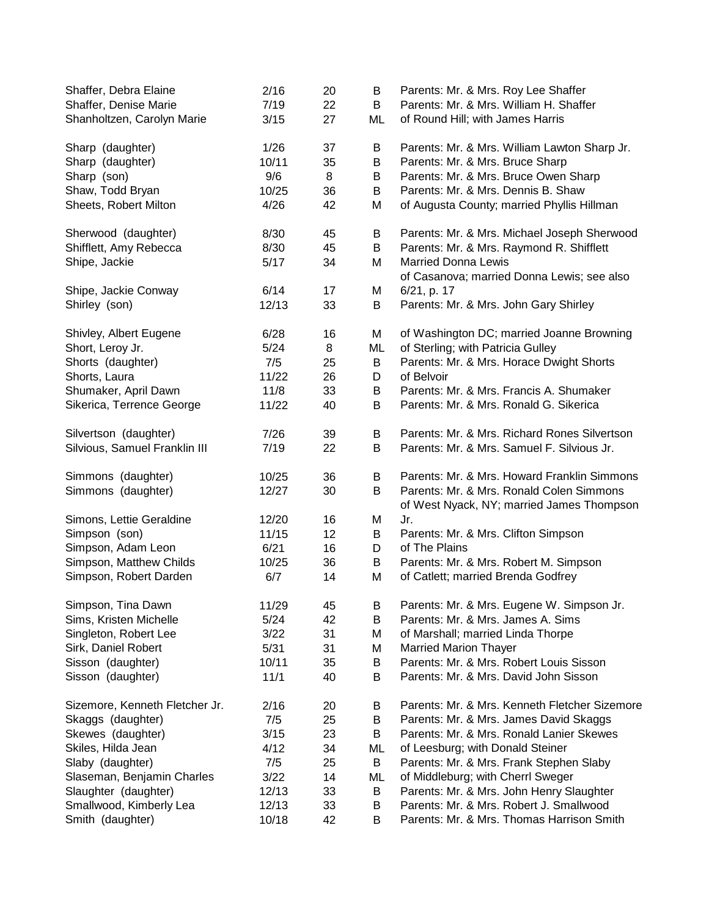| Shaffer, Debra Elaine          | 2/16   | 20 | B  | Parents: Mr. & Mrs. Roy Lee Shaffer           |
|--------------------------------|--------|----|----|-----------------------------------------------|
| Shaffer, Denise Marie          | 7/19   | 22 | B  | Parents: Mr. & Mrs. William H. Shaffer        |
| Shanholtzen, Carolyn Marie     | 3/15   | 27 | ML | of Round Hill; with James Harris              |
| Sharp (daughter)               | 1/26   | 37 | B  | Parents: Mr. & Mrs. William Lawton Sharp Jr.  |
| Sharp (daughter)               | 10/11  | 35 | B  | Parents: Mr. & Mrs. Bruce Sharp               |
| Sharp (son)                    | 9/6    | 8  | B  | Parents: Mr. & Mrs. Bruce Owen Sharp          |
| Shaw, Todd Bryan               | 10/25  | 36 | B  | Parents: Mr. & Mrs. Dennis B. Shaw            |
| Sheets, Robert Milton          | 4/26   | 42 |    |                                               |
|                                |        |    | M  | of Augusta County; married Phyllis Hillman    |
| Sherwood (daughter)            | 8/30   | 45 | B  | Parents: Mr. & Mrs. Michael Joseph Sherwood   |
| Shifflett, Amy Rebecca         | 8/30   | 45 | B  | Parents: Mr. & Mrs. Raymond R. Shifflett      |
| Shipe, Jackie                  | 5/17   | 34 | M  | <b>Married Donna Lewis</b>                    |
|                                |        |    |    | of Casanova; married Donna Lewis; see also    |
| Shipe, Jackie Conway           | 6/14   | 17 | M  | 6/21, p. 17                                   |
| Shirley (son)                  | 12/13  | 33 | B  | Parents: Mr. & Mrs. John Gary Shirley         |
| Shivley, Albert Eugene         | 6/28   | 16 | M  | of Washington DC; married Joanne Browning     |
| Short, Leroy Jr.               | $5/24$ | 8  | ML | of Sterling; with Patricia Gulley             |
| Shorts (daughter)              | 7/5    | 25 | B  | Parents: Mr. & Mrs. Horace Dwight Shorts      |
| Shorts, Laura                  | 11/22  | 26 | D  | of Belvoir                                    |
| Shumaker, April Dawn           | 11/8   | 33 | B  | Parents: Mr. & Mrs. Francis A. Shumaker       |
|                                |        |    |    |                                               |
| Sikerica, Terrence George      | 11/22  | 40 | B  | Parents: Mr. & Mrs. Ronald G. Sikerica        |
| Silvertson (daughter)          | 7/26   | 39 | B  | Parents: Mr. & Mrs. Richard Rones Silvertson  |
| Silvious, Samuel Franklin III  | 7/19   | 22 | B  | Parents: Mr. & Mrs. Samuel F. Silvious Jr.    |
| Simmons (daughter)             | 10/25  | 36 | B  | Parents: Mr. & Mrs. Howard Franklin Simmons   |
| Simmons (daughter)             | 12/27  | 30 | B  | Parents: Mr. & Mrs. Ronald Colen Simmons      |
|                                |        |    |    | of West Nyack, NY; married James Thompson     |
| Simons, Lettie Geraldine       | 12/20  | 16 | M  | Jr.                                           |
| Simpson (son)                  | 11/15  | 12 | B  | Parents: Mr. & Mrs. Clifton Simpson           |
| Simpson, Adam Leon             | 6/21   | 16 | D  | of The Plains                                 |
| Simpson, Matthew Childs        | 10/25  | 36 | B  | Parents: Mr. & Mrs. Robert M. Simpson         |
| Simpson, Robert Darden         | 6/7    | 14 | M  | of Catlett; married Brenda Godfrey            |
|                                |        |    |    |                                               |
| Simpson, Tina Dawn             | 11/29  | 45 | B  | Parents: Mr. & Mrs. Eugene W. Simpson Jr.     |
| Sims, Kristen Michelle         | 5/24   | 42 | В  | Parents: Mr. & Mrs. James A. Sims             |
| Singleton, Robert Lee          | 3/22   | 31 | M  | of Marshall; married Linda Thorpe             |
| Sirk, Daniel Robert            | 5/31   | 31 | M  | <b>Married Marion Thayer</b>                  |
| Sisson (daughter)              | 10/11  | 35 | B  | Parents: Mr. & Mrs. Robert Louis Sisson       |
| Sisson (daughter)              | 11/1   | 40 | B  | Parents: Mr. & Mrs. David John Sisson         |
| Sizemore, Kenneth Fletcher Jr. | 2/16   | 20 | Β  | Parents: Mr. & Mrs. Kenneth Fletcher Sizemore |
| Skaggs (daughter)              | 7/5    | 25 | B  | Parents: Mr. & Mrs. James David Skaggs        |
| Skewes (daughter)              | 3/15   | 23 | B  | Parents: Mr. & Mrs. Ronald Lanier Skewes      |
| Skiles, Hilda Jean             | 4/12   | 34 | ML | of Leesburg; with Donald Steiner              |
| Slaby (daughter)               | 7/5    | 25 | B  | Parents: Mr. & Mrs. Frank Stephen Slaby       |
| Slaseman, Benjamin Charles     | 3/22   | 14 | ML | of Middleburg; with Cherrl Sweger             |
| Slaughter (daughter)           | 12/13  | 33 | B  | Parents: Mr. & Mrs. John Henry Slaughter      |
| Smallwood, Kimberly Lea        | 12/13  | 33 | B  | Parents: Mr. & Mrs. Robert J. Smallwood       |
|                                |        |    | B  | Parents: Mr. & Mrs. Thomas Harrison Smith     |
| Smith (daughter)               | 10/18  | 42 |    |                                               |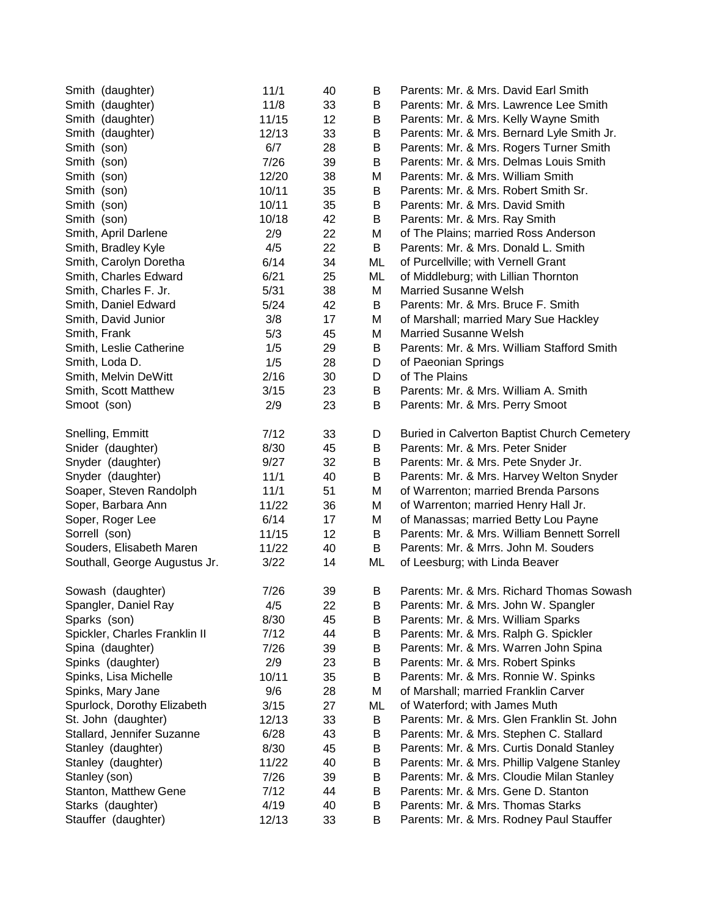| Smith (daughter)              | 11/1  | 40 | B              | Parents: Mr. & Mrs. David Earl Smith        |
|-------------------------------|-------|----|----------------|---------------------------------------------|
| Smith (daughter)              | 11/8  | 33 | B              | Parents: Mr. & Mrs. Lawrence Lee Smith      |
| Smith (daughter)              | 11/15 | 12 | B              | Parents: Mr. & Mrs. Kelly Wayne Smith       |
| Smith (daughter)              | 12/13 | 33 | B              | Parents: Mr. & Mrs. Bernard Lyle Smith Jr.  |
| Smith (son)                   | 6/7   | 28 | B              | Parents: Mr. & Mrs. Rogers Turner Smith     |
| Smith (son)                   | 7/26  | 39 | B              | Parents: Mr. & Mrs. Delmas Louis Smith      |
| Smith (son)                   | 12/20 | 38 | М              | Parents: Mr. & Mrs. William Smith           |
| Smith (son)                   | 10/11 | 35 | B              | Parents: Mr. & Mrs. Robert Smith Sr.        |
| Smith (son)                   | 10/11 | 35 | B              | Parents: Mr. & Mrs. David Smith             |
| Smith (son)                   | 10/18 | 42 | B              | Parents: Mr. & Mrs. Ray Smith               |
| Smith, April Darlene          | 2/9   | 22 | М              | of The Plains; married Ross Anderson        |
| Smith, Bradley Kyle           | 4/5   | 22 | B              | Parents: Mr. & Mrs. Donald L. Smith         |
| Smith, Carolyn Doretha        | 6/14  | 34 | ML             | of Purcellville; with Vernell Grant         |
| Smith, Charles Edward         | 6/21  | 25 | ML             | of Middleburg; with Lillian Thornton        |
| Smith, Charles F. Jr.         | 5/31  | 38 | М              | <b>Married Susanne Welsh</b>                |
| Smith, Daniel Edward          | 5/24  | 42 | B              | Parents: Mr. & Mrs. Bruce F. Smith          |
| Smith, David Junior           | 3/8   | 17 | М              | of Marshall; married Mary Sue Hackley       |
| Smith, Frank                  | 5/3   | 45 | М              | <b>Married Susanne Welsh</b>                |
| Smith, Leslie Catherine       | 1/5   | 29 | B              | Parents: Mr. & Mrs. William Stafford Smith  |
| Smith, Loda D.                | 1/5   | 28 | D              | of Paeonian Springs                         |
| Smith, Melvin DeWitt          | 2/16  | 30 | D              | of The Plains                               |
| Smith, Scott Matthew          | 3/15  | 23 | B              | Parents: Mr. & Mrs. William A. Smith        |
| Smoot (son)                   | 2/9   | 23 | B              | Parents: Mr. & Mrs. Perry Smoot             |
|                               |       |    |                |                                             |
| Snelling, Emmitt              | 7/12  | 33 | D              | Buried in Calverton Baptist Church Cemetery |
| Snider (daughter)             | 8/30  | 45 | B              | Parents: Mr. & Mrs. Peter Snider            |
| Snyder (daughter)             | 9/27  | 32 | B              | Parents: Mr. & Mrs. Pete Snyder Jr.         |
| Snyder (daughter)             | 11/1  | 40 | B              | Parents: Mr. & Mrs. Harvey Welton Snyder    |
| Soaper, Steven Randolph       | 11/1  | 51 | М              | of Warrenton; married Brenda Parsons        |
| Soper, Barbara Ann            | 11/22 | 36 | М              | of Warrenton; married Henry Hall Jr.        |
| Soper, Roger Lee              | 6/14  | 17 | м              | of Manassas; married Betty Lou Payne        |
| Sorrell (son)                 | 11/15 | 12 | B              | Parents: Mr. & Mrs. William Bennett Sorrell |
| Souders, Elisabeth Maren      | 11/22 | 40 | B              | Parents: Mr. & Mrrs. John M. Souders        |
| Southall, George Augustus Jr. | 3/22  | 14 | ML             | of Leesburg; with Linda Beaver              |
|                               |       |    |                |                                             |
| Sowash (daughter)             | 7/26  | 39 | в              | Parents: Mr. & Mrs. Richard Thomas Sowash   |
| Spangler, Daniel Ray          | 4/5   | 22 | B <sub>a</sub> | Parents: Mr. & Mrs. John W. Spangler        |
| Sparks (son)                  | 8/30  | 45 | B              | Parents: Mr. & Mrs. William Sparks          |
| Spickler, Charles Franklin II | 7/12  | 44 | B              | Parents: Mr. & Mrs. Ralph G. Spickler       |
| Spina (daughter)              | 7/26  | 39 | B              | Parents: Mr. & Mrs. Warren John Spina       |
| Spinks (daughter)             | 2/9   | 23 | В              | Parents: Mr. & Mrs. Robert Spinks           |
| Spinks, Lisa Michelle         | 10/11 | 35 | B              | Parents: Mr. & Mrs. Ronnie W. Spinks        |
| Spinks, Mary Jane             | 9/6   | 28 | М              | of Marshall; married Franklin Carver        |
| Spurlock, Dorothy Elizabeth   | 3/15  | 27 | ML             | of Waterford; with James Muth               |
| St. John (daughter)           | 12/13 | 33 | B              | Parents: Mr. & Mrs. Glen Franklin St. John  |
| Stallard, Jennifer Suzanne    | 6/28  | 43 | B              | Parents: Mr. & Mrs. Stephen C. Stallard     |
| Stanley (daughter)            | 8/30  | 45 | B              | Parents: Mr. & Mrs. Curtis Donald Stanley   |
| Stanley (daughter)            | 11/22 | 40 | B              | Parents: Mr. & Mrs. Phillip Valgene Stanley |
| Stanley (son)                 | 7/26  | 39 | B              | Parents: Mr. & Mrs. Cloudie Milan Stanley   |
| Stanton, Matthew Gene         | 7/12  | 44 | B              | Parents: Mr. & Mrs. Gene D. Stanton         |
| Starks (daughter)             | 4/19  | 40 | B              | Parents: Mr. & Mrs. Thomas Starks           |
| Stauffer (daughter)           | 12/13 | 33 | B              | Parents: Mr. & Mrs. Rodney Paul Stauffer    |
|                               |       |    |                |                                             |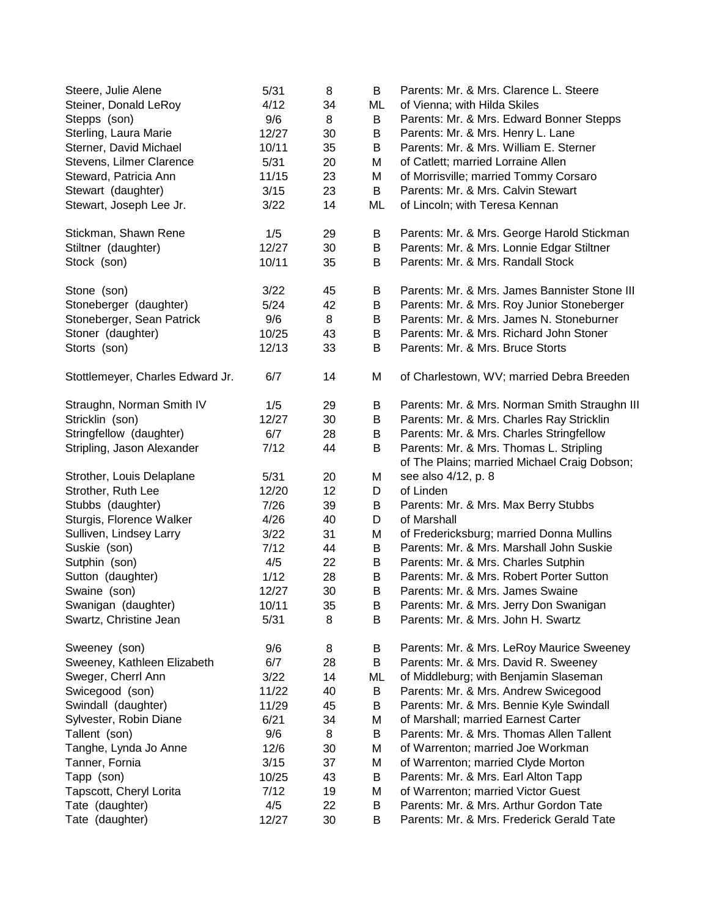| Steere, Julie Alene              | 5/31  | 8  | B  | Parents: Mr. & Mrs. Clarence L. Steere                                                  |
|----------------------------------|-------|----|----|-----------------------------------------------------------------------------------------|
| Steiner, Donald LeRoy            | 4/12  | 34 | ML | of Vienna; with Hilda Skiles                                                            |
| Stepps (son)                     | 9/6   | 8  | B  | Parents: Mr. & Mrs. Edward Bonner Stepps                                                |
| Sterling, Laura Marie            | 12/27 | 30 | B  | Parents: Mr. & Mrs. Henry L. Lane                                                       |
| Sterner, David Michael           | 10/11 | 35 | B  | Parents: Mr. & Mrs. William E. Sterner                                                  |
| Stevens, Lilmer Clarence         | 5/31  | 20 | M  | of Catlett; married Lorraine Allen                                                      |
| Steward, Patricia Ann            | 11/15 | 23 | M  | of Morrisville; married Tommy Corsaro                                                   |
| Stewart (daughter)               | 3/15  | 23 | B  | Parents: Mr. & Mrs. Calvin Stewart                                                      |
| Stewart, Joseph Lee Jr.          | 3/22  | 14 | ML | of Lincoln; with Teresa Kennan                                                          |
| Stickman, Shawn Rene             | 1/5   | 29 | В  | Parents: Mr. & Mrs. George Harold Stickman                                              |
| Stiltner (daughter)              | 12/27 | 30 | Β  | Parents: Mr. & Mrs. Lonnie Edgar Stiltner                                               |
| Stock (son)                      | 10/11 | 35 | B  | Parents: Mr. & Mrs. Randall Stock                                                       |
| Stone (son)                      | 3/22  | 45 | B  | Parents: Mr. & Mrs. James Bannister Stone III                                           |
| Stoneberger (daughter)           | 5/24  | 42 | B  | Parents: Mr. & Mrs. Roy Junior Stoneberger                                              |
| Stoneberger, Sean Patrick        | 9/6   | 8  | B  | Parents: Mr. & Mrs. James N. Stoneburner                                                |
| Stoner (daughter)                | 10/25 | 43 | B  | Parents: Mr. & Mrs. Richard John Stoner                                                 |
| Storts (son)                     | 12/13 | 33 | B  | Parents: Mr. & Mrs. Bruce Storts                                                        |
| Stottlemeyer, Charles Edward Jr. | 6/7   | 14 | M  | of Charlestown, WV; married Debra Breeden                                               |
| Straughn, Norman Smith IV        | 1/5   | 29 | В  | Parents: Mr. & Mrs. Norman Smith Straughn III                                           |
| Stricklin (son)                  | 12/27 | 30 | B  | Parents: Mr. & Mrs. Charles Ray Stricklin                                               |
| Stringfellow (daughter)          | 6/7   | 28 | B  | Parents: Mr. & Mrs. Charles Stringfellow                                                |
| Stripling, Jason Alexander       | 7/12  | 44 | B  | Parents: Mr. & Mrs. Thomas L. Stripling<br>of The Plains; married Michael Craig Dobson; |
| Strother, Louis Delaplane        | 5/31  | 20 | M  | see also 4/12, p. 8                                                                     |
| Strother, Ruth Lee               | 12/20 | 12 | D  | of Linden                                                                               |
| Stubbs (daughter)                | 7/26  | 39 | B  | Parents: Mr. & Mrs. Max Berry Stubbs                                                    |
| Sturgis, Florence Walker         | 4/26  | 40 | D  | of Marshall                                                                             |
| Sulliven, Lindsey Larry          | 3/22  | 31 | M  | of Fredericksburg; married Donna Mullins                                                |
| Suskie (son)                     | 7/12  | 44 | B  | Parents: Mr. & Mrs. Marshall John Suskie                                                |
| Sutphin (son)                    | 4/5   | 22 | B  | Parents: Mr. & Mrs. Charles Sutphin                                                     |
| Sutton (daughter)                | 1/12  | 28 | B  | Parents: Mr. & Mrs. Robert Porter Sutton                                                |
| Swaine (son)                     | 12/27 | 30 | B  | Parents: Mr. & Mrs. James Swaine                                                        |
| Swanigan (daughter)              | 10/11 | 35 | Β  | Parents: Mr. & Mrs. Jerry Don Swanigan                                                  |
| Swartz, Christine Jean           | 5/31  | 8  | B  | Parents: Mr. & Mrs. John H. Swartz                                                      |
| Sweeney (son)                    | 9/6   | 8  | В  | Parents: Mr. & Mrs. LeRoy Maurice Sweeney                                               |
| Sweeney, Kathleen Elizabeth      | 6/7   | 28 | В  | Parents: Mr. & Mrs. David R. Sweeney                                                    |
| Sweger, Cherrl Ann               | 3/22  | 14 | ML | of Middleburg; with Benjamin Slaseman                                                   |
| Swicegood (son)                  | 11/22 | 40 | B  | Parents: Mr. & Mrs. Andrew Swicegood                                                    |
| Swindall (daughter)              | 11/29 | 45 | B  | Parents: Mr. & Mrs. Bennie Kyle Swindall                                                |
| Sylvester, Robin Diane           | 6/21  | 34 | M  | of Marshall; married Earnest Carter                                                     |
| Tallent (son)                    | 9/6   | 8  | B  | Parents: Mr. & Mrs. Thomas Allen Tallent                                                |
| Tanghe, Lynda Jo Anne            | 12/6  | 30 | M  | of Warrenton; married Joe Workman                                                       |
| Tanner, Fornia                   | 3/15  | 37 | M  | of Warrenton; married Clyde Morton                                                      |
| Tapp (son)                       | 10/25 | 43 | В  | Parents: Mr. & Mrs. Earl Alton Tapp                                                     |
| Tapscott, Cheryl Lorita          | 7/12  | 19 | M  | of Warrenton; married Victor Guest                                                      |
| Tate (daughter)                  | 4/5   | 22 | B  | Parents: Mr. & Mrs. Arthur Gordon Tate                                                  |
| Tate (daughter)                  | 12/27 | 30 | B  | Parents: Mr. & Mrs. Frederick Gerald Tate                                               |
|                                  |       |    |    |                                                                                         |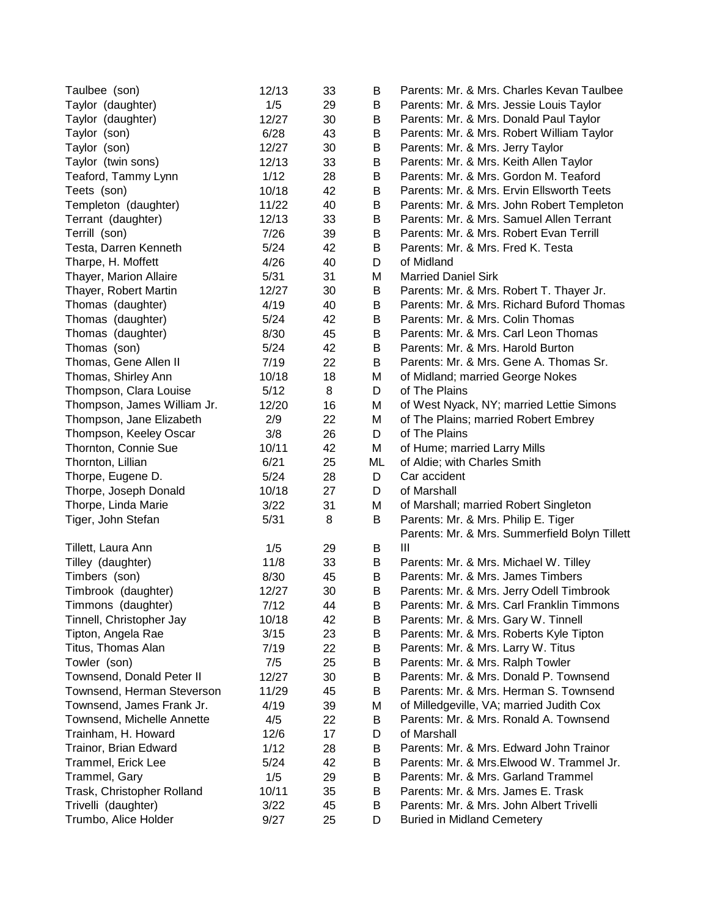| Taylor (daughter)<br>1/5<br>Parents: Mr. & Mrs. Jessie Louis Taylor<br>29<br>В<br>12/27<br>Taylor (daughter)<br>30<br>B<br>Parents: Mr. & Mrs. Donald Paul Taylor<br>6/28<br>Taylor (son)<br>43<br>B<br>Parents: Mr. & Mrs. Robert William Taylor<br>Taylor (son)<br>12/27<br>30<br>B<br>Parents: Mr. & Mrs. Jerry Taylor<br>Taylor (twin sons)<br>12/13<br>33<br>B<br>Parents: Mr. & Mrs. Keith Allen Taylor<br>1/12<br>Teaford, Tammy Lynn<br>28<br>В<br>Parents: Mr. & Mrs. Gordon M. Teaford<br>42<br>Parents: Mr. & Mrs. Ervin Ellsworth Teets<br>Teets (son)<br>10/18<br>B<br>Templeton (daughter)<br>11/22<br>40<br>Parents: Mr. & Mrs. John Robert Templeton<br>В<br>Parents: Mr. & Mrs. Samuel Allen Terrant<br>Terrant (daughter)<br>12/13<br>33<br>B<br>39<br>Parents: Mr. & Mrs. Robert Evan Terrill<br>Terrill (son)<br>7/26<br>В<br>5/24<br>Parents: Mr. & Mrs. Fred K. Testa<br>Testa, Darren Kenneth<br>42<br>В<br>4/26<br>of Midland<br>Tharpe, H. Moffett<br>40<br>D<br>31<br>Thayer, Marion Allaire<br>5/31<br><b>Married Daniel Sirk</b><br>м<br>Parents: Mr. & Mrs. Robert T. Thayer Jr.<br>Thayer, Robert Martin<br>12/27<br>30<br>В<br>4/19<br>Parents: Mr. & Mrs. Richard Buford Thomas<br>Thomas (daughter)<br>40<br>B<br>Thomas (daughter)<br>5/24<br>42<br>Parents: Mr. & Mrs. Colin Thomas<br>B<br>Thomas (daughter)<br>8/30<br>45<br>Parents: Mr. & Mrs. Carl Leon Thomas<br>В<br>5/24<br>42<br>Parents: Mr. & Mrs. Harold Burton<br>Thomas (son)<br>В<br>Thomas, Gene Allen II<br>7/19<br>22<br>Parents: Mr. & Mrs. Gene A. Thomas Sr.<br>В<br>Thomas, Shirley Ann<br>10/18<br>18<br>of Midland; married George Nokes<br>Μ<br>Thompson, Clara Louise<br>of The Plains<br>5/12<br>8<br>D<br>Thompson, James William Jr.<br>of West Nyack, NY; married Lettie Simons<br>12/20<br>16<br>Μ<br>Thompson, Jane Elizabeth<br>22<br>2/9<br>of The Plains; married Robert Embrey<br>M<br>of The Plains<br>Thompson, Keeley Oscar<br>3/8<br>26<br>D<br>Thornton, Connie Sue<br>42<br>of Hume; married Larry Mills<br>10/11<br>м<br>Thornton, Lillian<br>6/21<br>25<br>of Aldie; with Charles Smith<br>ML<br>Car accident<br>5/24<br>28<br>Thorpe, Eugene D.<br>D<br>of Marshall<br>Thorpe, Joseph Donald<br>10/18<br>27<br>D<br>3/22<br>31<br>Thorpe, Linda Marie<br>M<br>of Marshall; married Robert Singleton<br>5/31<br>Tiger, John Stefan<br>8<br>Parents: Mr. & Mrs. Philip E. Tiger<br>B<br>Parents: Mr. & Mrs. Summerfield Bolyn Tillett<br>1/5<br>29<br>Ш<br>Tillett, Laura Ann<br>B<br>11/8<br>33<br>Tilley (daughter)<br>Parents: Mr. & Mrs. Michael W. Tilley<br>B<br>Timbers (son)<br>8/30<br>45<br>В<br>Parents: Mr. & Mrs. James Timbers<br>30<br>Timbrook (daughter)<br>12/27<br>В<br>Parents: Mr. & Mrs. Jerry Odell Timbrook<br>7/12<br>Timmons (daughter)<br>44<br>B<br>Parents: Mr. & Mrs. Carl Franklin Timmons<br>Tinnell, Christopher Jay<br>10/18<br>42<br>В<br>Parents: Mr. & Mrs. Gary W. Tinnell<br>Tipton, Angela Rae<br>3/15<br>23<br>B<br>Parents: Mr. & Mrs. Roberts Kyle Tipton<br>Titus, Thomas Alan<br>7/19<br>22<br>В<br>Parents: Mr. & Mrs. Larry W. Titus<br>Towler (son)<br>7/5<br>25<br>Parents: Mr. & Mrs. Ralph Towler<br>B<br>Townsend, Donald Peter II<br>Parents: Mr. & Mrs. Donald P. Townsend<br>12/27<br>30<br>B<br>Parents: Mr. & Mrs. Herman S. Townsend<br>Townsend, Herman Steverson<br>11/29<br>45<br>В<br>Townsend, James Frank Jr.<br>of Milledgeville, VA; married Judith Cox<br>4/19<br>39<br>М<br>Townsend, Michelle Annette<br>Parents: Mr. & Mrs. Ronald A. Townsend<br>4/5<br>22<br>В |
|----------------------------------------------------------------------------------------------------------------------------------------------------------------------------------------------------------------------------------------------------------------------------------------------------------------------------------------------------------------------------------------------------------------------------------------------------------------------------------------------------------------------------------------------------------------------------------------------------------------------------------------------------------------------------------------------------------------------------------------------------------------------------------------------------------------------------------------------------------------------------------------------------------------------------------------------------------------------------------------------------------------------------------------------------------------------------------------------------------------------------------------------------------------------------------------------------------------------------------------------------------------------------------------------------------------------------------------------------------------------------------------------------------------------------------------------------------------------------------------------------------------------------------------------------------------------------------------------------------------------------------------------------------------------------------------------------------------------------------------------------------------------------------------------------------------------------------------------------------------------------------------------------------------------------------------------------------------------------------------------------------------------------------------------------------------------------------------------------------------------------------------------------------------------------------------------------------------------------------------------------------------------------------------------------------------------------------------------------------------------------------------------------------------------------------------------------------------------------------------------------------------------------------------------------------------------------------------------------------------------------------------------------------------------------------------------------------------------------------------------------------------------------------------------------------------------------------------------------------------------------------------------------------------------------------------------------------------------------------------------------------------------------------------------------------------------------------------------------------------------------------------------------------------------------------------------------------------------------------------------------------------------------------------------------------------------------------------------------------------------------------------------------------------------------------------------------------------------------------------------------------------------------------------------------------------------|
|                                                                                                                                                                                                                                                                                                                                                                                                                                                                                                                                                                                                                                                                                                                                                                                                                                                                                                                                                                                                                                                                                                                                                                                                                                                                                                                                                                                                                                                                                                                                                                                                                                                                                                                                                                                                                                                                                                                                                                                                                                                                                                                                                                                                                                                                                                                                                                                                                                                                                                                                                                                                                                                                                                                                                                                                                                                                                                                                                                                                                                                                                                                                                                                                                                                                                                                                                                                                                                                                                                                                                                      |
|                                                                                                                                                                                                                                                                                                                                                                                                                                                                                                                                                                                                                                                                                                                                                                                                                                                                                                                                                                                                                                                                                                                                                                                                                                                                                                                                                                                                                                                                                                                                                                                                                                                                                                                                                                                                                                                                                                                                                                                                                                                                                                                                                                                                                                                                                                                                                                                                                                                                                                                                                                                                                                                                                                                                                                                                                                                                                                                                                                                                                                                                                                                                                                                                                                                                                                                                                                                                                                                                                                                                                                      |
|                                                                                                                                                                                                                                                                                                                                                                                                                                                                                                                                                                                                                                                                                                                                                                                                                                                                                                                                                                                                                                                                                                                                                                                                                                                                                                                                                                                                                                                                                                                                                                                                                                                                                                                                                                                                                                                                                                                                                                                                                                                                                                                                                                                                                                                                                                                                                                                                                                                                                                                                                                                                                                                                                                                                                                                                                                                                                                                                                                                                                                                                                                                                                                                                                                                                                                                                                                                                                                                                                                                                                                      |
|                                                                                                                                                                                                                                                                                                                                                                                                                                                                                                                                                                                                                                                                                                                                                                                                                                                                                                                                                                                                                                                                                                                                                                                                                                                                                                                                                                                                                                                                                                                                                                                                                                                                                                                                                                                                                                                                                                                                                                                                                                                                                                                                                                                                                                                                                                                                                                                                                                                                                                                                                                                                                                                                                                                                                                                                                                                                                                                                                                                                                                                                                                                                                                                                                                                                                                                                                                                                                                                                                                                                                                      |
|                                                                                                                                                                                                                                                                                                                                                                                                                                                                                                                                                                                                                                                                                                                                                                                                                                                                                                                                                                                                                                                                                                                                                                                                                                                                                                                                                                                                                                                                                                                                                                                                                                                                                                                                                                                                                                                                                                                                                                                                                                                                                                                                                                                                                                                                                                                                                                                                                                                                                                                                                                                                                                                                                                                                                                                                                                                                                                                                                                                                                                                                                                                                                                                                                                                                                                                                                                                                                                                                                                                                                                      |
|                                                                                                                                                                                                                                                                                                                                                                                                                                                                                                                                                                                                                                                                                                                                                                                                                                                                                                                                                                                                                                                                                                                                                                                                                                                                                                                                                                                                                                                                                                                                                                                                                                                                                                                                                                                                                                                                                                                                                                                                                                                                                                                                                                                                                                                                                                                                                                                                                                                                                                                                                                                                                                                                                                                                                                                                                                                                                                                                                                                                                                                                                                                                                                                                                                                                                                                                                                                                                                                                                                                                                                      |
|                                                                                                                                                                                                                                                                                                                                                                                                                                                                                                                                                                                                                                                                                                                                                                                                                                                                                                                                                                                                                                                                                                                                                                                                                                                                                                                                                                                                                                                                                                                                                                                                                                                                                                                                                                                                                                                                                                                                                                                                                                                                                                                                                                                                                                                                                                                                                                                                                                                                                                                                                                                                                                                                                                                                                                                                                                                                                                                                                                                                                                                                                                                                                                                                                                                                                                                                                                                                                                                                                                                                                                      |
|                                                                                                                                                                                                                                                                                                                                                                                                                                                                                                                                                                                                                                                                                                                                                                                                                                                                                                                                                                                                                                                                                                                                                                                                                                                                                                                                                                                                                                                                                                                                                                                                                                                                                                                                                                                                                                                                                                                                                                                                                                                                                                                                                                                                                                                                                                                                                                                                                                                                                                                                                                                                                                                                                                                                                                                                                                                                                                                                                                                                                                                                                                                                                                                                                                                                                                                                                                                                                                                                                                                                                                      |
|                                                                                                                                                                                                                                                                                                                                                                                                                                                                                                                                                                                                                                                                                                                                                                                                                                                                                                                                                                                                                                                                                                                                                                                                                                                                                                                                                                                                                                                                                                                                                                                                                                                                                                                                                                                                                                                                                                                                                                                                                                                                                                                                                                                                                                                                                                                                                                                                                                                                                                                                                                                                                                                                                                                                                                                                                                                                                                                                                                                                                                                                                                                                                                                                                                                                                                                                                                                                                                                                                                                                                                      |
|                                                                                                                                                                                                                                                                                                                                                                                                                                                                                                                                                                                                                                                                                                                                                                                                                                                                                                                                                                                                                                                                                                                                                                                                                                                                                                                                                                                                                                                                                                                                                                                                                                                                                                                                                                                                                                                                                                                                                                                                                                                                                                                                                                                                                                                                                                                                                                                                                                                                                                                                                                                                                                                                                                                                                                                                                                                                                                                                                                                                                                                                                                                                                                                                                                                                                                                                                                                                                                                                                                                                                                      |
|                                                                                                                                                                                                                                                                                                                                                                                                                                                                                                                                                                                                                                                                                                                                                                                                                                                                                                                                                                                                                                                                                                                                                                                                                                                                                                                                                                                                                                                                                                                                                                                                                                                                                                                                                                                                                                                                                                                                                                                                                                                                                                                                                                                                                                                                                                                                                                                                                                                                                                                                                                                                                                                                                                                                                                                                                                                                                                                                                                                                                                                                                                                                                                                                                                                                                                                                                                                                                                                                                                                                                                      |
|                                                                                                                                                                                                                                                                                                                                                                                                                                                                                                                                                                                                                                                                                                                                                                                                                                                                                                                                                                                                                                                                                                                                                                                                                                                                                                                                                                                                                                                                                                                                                                                                                                                                                                                                                                                                                                                                                                                                                                                                                                                                                                                                                                                                                                                                                                                                                                                                                                                                                                                                                                                                                                                                                                                                                                                                                                                                                                                                                                                                                                                                                                                                                                                                                                                                                                                                                                                                                                                                                                                                                                      |
|                                                                                                                                                                                                                                                                                                                                                                                                                                                                                                                                                                                                                                                                                                                                                                                                                                                                                                                                                                                                                                                                                                                                                                                                                                                                                                                                                                                                                                                                                                                                                                                                                                                                                                                                                                                                                                                                                                                                                                                                                                                                                                                                                                                                                                                                                                                                                                                                                                                                                                                                                                                                                                                                                                                                                                                                                                                                                                                                                                                                                                                                                                                                                                                                                                                                                                                                                                                                                                                                                                                                                                      |
|                                                                                                                                                                                                                                                                                                                                                                                                                                                                                                                                                                                                                                                                                                                                                                                                                                                                                                                                                                                                                                                                                                                                                                                                                                                                                                                                                                                                                                                                                                                                                                                                                                                                                                                                                                                                                                                                                                                                                                                                                                                                                                                                                                                                                                                                                                                                                                                                                                                                                                                                                                                                                                                                                                                                                                                                                                                                                                                                                                                                                                                                                                                                                                                                                                                                                                                                                                                                                                                                                                                                                                      |
|                                                                                                                                                                                                                                                                                                                                                                                                                                                                                                                                                                                                                                                                                                                                                                                                                                                                                                                                                                                                                                                                                                                                                                                                                                                                                                                                                                                                                                                                                                                                                                                                                                                                                                                                                                                                                                                                                                                                                                                                                                                                                                                                                                                                                                                                                                                                                                                                                                                                                                                                                                                                                                                                                                                                                                                                                                                                                                                                                                                                                                                                                                                                                                                                                                                                                                                                                                                                                                                                                                                                                                      |
|                                                                                                                                                                                                                                                                                                                                                                                                                                                                                                                                                                                                                                                                                                                                                                                                                                                                                                                                                                                                                                                                                                                                                                                                                                                                                                                                                                                                                                                                                                                                                                                                                                                                                                                                                                                                                                                                                                                                                                                                                                                                                                                                                                                                                                                                                                                                                                                                                                                                                                                                                                                                                                                                                                                                                                                                                                                                                                                                                                                                                                                                                                                                                                                                                                                                                                                                                                                                                                                                                                                                                                      |
|                                                                                                                                                                                                                                                                                                                                                                                                                                                                                                                                                                                                                                                                                                                                                                                                                                                                                                                                                                                                                                                                                                                                                                                                                                                                                                                                                                                                                                                                                                                                                                                                                                                                                                                                                                                                                                                                                                                                                                                                                                                                                                                                                                                                                                                                                                                                                                                                                                                                                                                                                                                                                                                                                                                                                                                                                                                                                                                                                                                                                                                                                                                                                                                                                                                                                                                                                                                                                                                                                                                                                                      |
|                                                                                                                                                                                                                                                                                                                                                                                                                                                                                                                                                                                                                                                                                                                                                                                                                                                                                                                                                                                                                                                                                                                                                                                                                                                                                                                                                                                                                                                                                                                                                                                                                                                                                                                                                                                                                                                                                                                                                                                                                                                                                                                                                                                                                                                                                                                                                                                                                                                                                                                                                                                                                                                                                                                                                                                                                                                                                                                                                                                                                                                                                                                                                                                                                                                                                                                                                                                                                                                                                                                                                                      |
|                                                                                                                                                                                                                                                                                                                                                                                                                                                                                                                                                                                                                                                                                                                                                                                                                                                                                                                                                                                                                                                                                                                                                                                                                                                                                                                                                                                                                                                                                                                                                                                                                                                                                                                                                                                                                                                                                                                                                                                                                                                                                                                                                                                                                                                                                                                                                                                                                                                                                                                                                                                                                                                                                                                                                                                                                                                                                                                                                                                                                                                                                                                                                                                                                                                                                                                                                                                                                                                                                                                                                                      |
|                                                                                                                                                                                                                                                                                                                                                                                                                                                                                                                                                                                                                                                                                                                                                                                                                                                                                                                                                                                                                                                                                                                                                                                                                                                                                                                                                                                                                                                                                                                                                                                                                                                                                                                                                                                                                                                                                                                                                                                                                                                                                                                                                                                                                                                                                                                                                                                                                                                                                                                                                                                                                                                                                                                                                                                                                                                                                                                                                                                                                                                                                                                                                                                                                                                                                                                                                                                                                                                                                                                                                                      |
|                                                                                                                                                                                                                                                                                                                                                                                                                                                                                                                                                                                                                                                                                                                                                                                                                                                                                                                                                                                                                                                                                                                                                                                                                                                                                                                                                                                                                                                                                                                                                                                                                                                                                                                                                                                                                                                                                                                                                                                                                                                                                                                                                                                                                                                                                                                                                                                                                                                                                                                                                                                                                                                                                                                                                                                                                                                                                                                                                                                                                                                                                                                                                                                                                                                                                                                                                                                                                                                                                                                                                                      |
|                                                                                                                                                                                                                                                                                                                                                                                                                                                                                                                                                                                                                                                                                                                                                                                                                                                                                                                                                                                                                                                                                                                                                                                                                                                                                                                                                                                                                                                                                                                                                                                                                                                                                                                                                                                                                                                                                                                                                                                                                                                                                                                                                                                                                                                                                                                                                                                                                                                                                                                                                                                                                                                                                                                                                                                                                                                                                                                                                                                                                                                                                                                                                                                                                                                                                                                                                                                                                                                                                                                                                                      |
|                                                                                                                                                                                                                                                                                                                                                                                                                                                                                                                                                                                                                                                                                                                                                                                                                                                                                                                                                                                                                                                                                                                                                                                                                                                                                                                                                                                                                                                                                                                                                                                                                                                                                                                                                                                                                                                                                                                                                                                                                                                                                                                                                                                                                                                                                                                                                                                                                                                                                                                                                                                                                                                                                                                                                                                                                                                                                                                                                                                                                                                                                                                                                                                                                                                                                                                                                                                                                                                                                                                                                                      |
|                                                                                                                                                                                                                                                                                                                                                                                                                                                                                                                                                                                                                                                                                                                                                                                                                                                                                                                                                                                                                                                                                                                                                                                                                                                                                                                                                                                                                                                                                                                                                                                                                                                                                                                                                                                                                                                                                                                                                                                                                                                                                                                                                                                                                                                                                                                                                                                                                                                                                                                                                                                                                                                                                                                                                                                                                                                                                                                                                                                                                                                                                                                                                                                                                                                                                                                                                                                                                                                                                                                                                                      |
|                                                                                                                                                                                                                                                                                                                                                                                                                                                                                                                                                                                                                                                                                                                                                                                                                                                                                                                                                                                                                                                                                                                                                                                                                                                                                                                                                                                                                                                                                                                                                                                                                                                                                                                                                                                                                                                                                                                                                                                                                                                                                                                                                                                                                                                                                                                                                                                                                                                                                                                                                                                                                                                                                                                                                                                                                                                                                                                                                                                                                                                                                                                                                                                                                                                                                                                                                                                                                                                                                                                                                                      |
|                                                                                                                                                                                                                                                                                                                                                                                                                                                                                                                                                                                                                                                                                                                                                                                                                                                                                                                                                                                                                                                                                                                                                                                                                                                                                                                                                                                                                                                                                                                                                                                                                                                                                                                                                                                                                                                                                                                                                                                                                                                                                                                                                                                                                                                                                                                                                                                                                                                                                                                                                                                                                                                                                                                                                                                                                                                                                                                                                                                                                                                                                                                                                                                                                                                                                                                                                                                                                                                                                                                                                                      |
|                                                                                                                                                                                                                                                                                                                                                                                                                                                                                                                                                                                                                                                                                                                                                                                                                                                                                                                                                                                                                                                                                                                                                                                                                                                                                                                                                                                                                                                                                                                                                                                                                                                                                                                                                                                                                                                                                                                                                                                                                                                                                                                                                                                                                                                                                                                                                                                                                                                                                                                                                                                                                                                                                                                                                                                                                                                                                                                                                                                                                                                                                                                                                                                                                                                                                                                                                                                                                                                                                                                                                                      |
|                                                                                                                                                                                                                                                                                                                                                                                                                                                                                                                                                                                                                                                                                                                                                                                                                                                                                                                                                                                                                                                                                                                                                                                                                                                                                                                                                                                                                                                                                                                                                                                                                                                                                                                                                                                                                                                                                                                                                                                                                                                                                                                                                                                                                                                                                                                                                                                                                                                                                                                                                                                                                                                                                                                                                                                                                                                                                                                                                                                                                                                                                                                                                                                                                                                                                                                                                                                                                                                                                                                                                                      |
|                                                                                                                                                                                                                                                                                                                                                                                                                                                                                                                                                                                                                                                                                                                                                                                                                                                                                                                                                                                                                                                                                                                                                                                                                                                                                                                                                                                                                                                                                                                                                                                                                                                                                                                                                                                                                                                                                                                                                                                                                                                                                                                                                                                                                                                                                                                                                                                                                                                                                                                                                                                                                                                                                                                                                                                                                                                                                                                                                                                                                                                                                                                                                                                                                                                                                                                                                                                                                                                                                                                                                                      |
|                                                                                                                                                                                                                                                                                                                                                                                                                                                                                                                                                                                                                                                                                                                                                                                                                                                                                                                                                                                                                                                                                                                                                                                                                                                                                                                                                                                                                                                                                                                                                                                                                                                                                                                                                                                                                                                                                                                                                                                                                                                                                                                                                                                                                                                                                                                                                                                                                                                                                                                                                                                                                                                                                                                                                                                                                                                                                                                                                                                                                                                                                                                                                                                                                                                                                                                                                                                                                                                                                                                                                                      |
|                                                                                                                                                                                                                                                                                                                                                                                                                                                                                                                                                                                                                                                                                                                                                                                                                                                                                                                                                                                                                                                                                                                                                                                                                                                                                                                                                                                                                                                                                                                                                                                                                                                                                                                                                                                                                                                                                                                                                                                                                                                                                                                                                                                                                                                                                                                                                                                                                                                                                                                                                                                                                                                                                                                                                                                                                                                                                                                                                                                                                                                                                                                                                                                                                                                                                                                                                                                                                                                                                                                                                                      |
|                                                                                                                                                                                                                                                                                                                                                                                                                                                                                                                                                                                                                                                                                                                                                                                                                                                                                                                                                                                                                                                                                                                                                                                                                                                                                                                                                                                                                                                                                                                                                                                                                                                                                                                                                                                                                                                                                                                                                                                                                                                                                                                                                                                                                                                                                                                                                                                                                                                                                                                                                                                                                                                                                                                                                                                                                                                                                                                                                                                                                                                                                                                                                                                                                                                                                                                                                                                                                                                                                                                                                                      |
|                                                                                                                                                                                                                                                                                                                                                                                                                                                                                                                                                                                                                                                                                                                                                                                                                                                                                                                                                                                                                                                                                                                                                                                                                                                                                                                                                                                                                                                                                                                                                                                                                                                                                                                                                                                                                                                                                                                                                                                                                                                                                                                                                                                                                                                                                                                                                                                                                                                                                                                                                                                                                                                                                                                                                                                                                                                                                                                                                                                                                                                                                                                                                                                                                                                                                                                                                                                                                                                                                                                                                                      |
|                                                                                                                                                                                                                                                                                                                                                                                                                                                                                                                                                                                                                                                                                                                                                                                                                                                                                                                                                                                                                                                                                                                                                                                                                                                                                                                                                                                                                                                                                                                                                                                                                                                                                                                                                                                                                                                                                                                                                                                                                                                                                                                                                                                                                                                                                                                                                                                                                                                                                                                                                                                                                                                                                                                                                                                                                                                                                                                                                                                                                                                                                                                                                                                                                                                                                                                                                                                                                                                                                                                                                                      |
|                                                                                                                                                                                                                                                                                                                                                                                                                                                                                                                                                                                                                                                                                                                                                                                                                                                                                                                                                                                                                                                                                                                                                                                                                                                                                                                                                                                                                                                                                                                                                                                                                                                                                                                                                                                                                                                                                                                                                                                                                                                                                                                                                                                                                                                                                                                                                                                                                                                                                                                                                                                                                                                                                                                                                                                                                                                                                                                                                                                                                                                                                                                                                                                                                                                                                                                                                                                                                                                                                                                                                                      |
|                                                                                                                                                                                                                                                                                                                                                                                                                                                                                                                                                                                                                                                                                                                                                                                                                                                                                                                                                                                                                                                                                                                                                                                                                                                                                                                                                                                                                                                                                                                                                                                                                                                                                                                                                                                                                                                                                                                                                                                                                                                                                                                                                                                                                                                                                                                                                                                                                                                                                                                                                                                                                                                                                                                                                                                                                                                                                                                                                                                                                                                                                                                                                                                                                                                                                                                                                                                                                                                                                                                                                                      |
|                                                                                                                                                                                                                                                                                                                                                                                                                                                                                                                                                                                                                                                                                                                                                                                                                                                                                                                                                                                                                                                                                                                                                                                                                                                                                                                                                                                                                                                                                                                                                                                                                                                                                                                                                                                                                                                                                                                                                                                                                                                                                                                                                                                                                                                                                                                                                                                                                                                                                                                                                                                                                                                                                                                                                                                                                                                                                                                                                                                                                                                                                                                                                                                                                                                                                                                                                                                                                                                                                                                                                                      |
|                                                                                                                                                                                                                                                                                                                                                                                                                                                                                                                                                                                                                                                                                                                                                                                                                                                                                                                                                                                                                                                                                                                                                                                                                                                                                                                                                                                                                                                                                                                                                                                                                                                                                                                                                                                                                                                                                                                                                                                                                                                                                                                                                                                                                                                                                                                                                                                                                                                                                                                                                                                                                                                                                                                                                                                                                                                                                                                                                                                                                                                                                                                                                                                                                                                                                                                                                                                                                                                                                                                                                                      |
|                                                                                                                                                                                                                                                                                                                                                                                                                                                                                                                                                                                                                                                                                                                                                                                                                                                                                                                                                                                                                                                                                                                                                                                                                                                                                                                                                                                                                                                                                                                                                                                                                                                                                                                                                                                                                                                                                                                                                                                                                                                                                                                                                                                                                                                                                                                                                                                                                                                                                                                                                                                                                                                                                                                                                                                                                                                                                                                                                                                                                                                                                                                                                                                                                                                                                                                                                                                                                                                                                                                                                                      |
|                                                                                                                                                                                                                                                                                                                                                                                                                                                                                                                                                                                                                                                                                                                                                                                                                                                                                                                                                                                                                                                                                                                                                                                                                                                                                                                                                                                                                                                                                                                                                                                                                                                                                                                                                                                                                                                                                                                                                                                                                                                                                                                                                                                                                                                                                                                                                                                                                                                                                                                                                                                                                                                                                                                                                                                                                                                                                                                                                                                                                                                                                                                                                                                                                                                                                                                                                                                                                                                                                                                                                                      |
|                                                                                                                                                                                                                                                                                                                                                                                                                                                                                                                                                                                                                                                                                                                                                                                                                                                                                                                                                                                                                                                                                                                                                                                                                                                                                                                                                                                                                                                                                                                                                                                                                                                                                                                                                                                                                                                                                                                                                                                                                                                                                                                                                                                                                                                                                                                                                                                                                                                                                                                                                                                                                                                                                                                                                                                                                                                                                                                                                                                                                                                                                                                                                                                                                                                                                                                                                                                                                                                                                                                                                                      |
|                                                                                                                                                                                                                                                                                                                                                                                                                                                                                                                                                                                                                                                                                                                                                                                                                                                                                                                                                                                                                                                                                                                                                                                                                                                                                                                                                                                                                                                                                                                                                                                                                                                                                                                                                                                                                                                                                                                                                                                                                                                                                                                                                                                                                                                                                                                                                                                                                                                                                                                                                                                                                                                                                                                                                                                                                                                                                                                                                                                                                                                                                                                                                                                                                                                                                                                                                                                                                                                                                                                                                                      |
|                                                                                                                                                                                                                                                                                                                                                                                                                                                                                                                                                                                                                                                                                                                                                                                                                                                                                                                                                                                                                                                                                                                                                                                                                                                                                                                                                                                                                                                                                                                                                                                                                                                                                                                                                                                                                                                                                                                                                                                                                                                                                                                                                                                                                                                                                                                                                                                                                                                                                                                                                                                                                                                                                                                                                                                                                                                                                                                                                                                                                                                                                                                                                                                                                                                                                                                                                                                                                                                                                                                                                                      |
|                                                                                                                                                                                                                                                                                                                                                                                                                                                                                                                                                                                                                                                                                                                                                                                                                                                                                                                                                                                                                                                                                                                                                                                                                                                                                                                                                                                                                                                                                                                                                                                                                                                                                                                                                                                                                                                                                                                                                                                                                                                                                                                                                                                                                                                                                                                                                                                                                                                                                                                                                                                                                                                                                                                                                                                                                                                                                                                                                                                                                                                                                                                                                                                                                                                                                                                                                                                                                                                                                                                                                                      |
| Trainham, H. Howard<br>of Marshall<br>12/6<br>17<br>D                                                                                                                                                                                                                                                                                                                                                                                                                                                                                                                                                                                                                                                                                                                                                                                                                                                                                                                                                                                                                                                                                                                                                                                                                                                                                                                                                                                                                                                                                                                                                                                                                                                                                                                                                                                                                                                                                                                                                                                                                                                                                                                                                                                                                                                                                                                                                                                                                                                                                                                                                                                                                                                                                                                                                                                                                                                                                                                                                                                                                                                                                                                                                                                                                                                                                                                                                                                                                                                                                                                |
| Trainor, Brian Edward<br>Parents: Mr. & Mrs. Edward John Trainor<br>1/12<br>28<br>В                                                                                                                                                                                                                                                                                                                                                                                                                                                                                                                                                                                                                                                                                                                                                                                                                                                                                                                                                                                                                                                                                                                                                                                                                                                                                                                                                                                                                                                                                                                                                                                                                                                                                                                                                                                                                                                                                                                                                                                                                                                                                                                                                                                                                                                                                                                                                                                                                                                                                                                                                                                                                                                                                                                                                                                                                                                                                                                                                                                                                                                                                                                                                                                                                                                                                                                                                                                                                                                                                  |
| Trammel, Erick Lee<br>Parents: Mr. & Mrs. Elwood W. Trammel Jr.<br>5/24<br>42<br>В                                                                                                                                                                                                                                                                                                                                                                                                                                                                                                                                                                                                                                                                                                                                                                                                                                                                                                                                                                                                                                                                                                                                                                                                                                                                                                                                                                                                                                                                                                                                                                                                                                                                                                                                                                                                                                                                                                                                                                                                                                                                                                                                                                                                                                                                                                                                                                                                                                                                                                                                                                                                                                                                                                                                                                                                                                                                                                                                                                                                                                                                                                                                                                                                                                                                                                                                                                                                                                                                                   |
| Trammel, Gary<br>1/5<br>Parents: Mr. & Mrs. Garland Trammel<br>29<br>B                                                                                                                                                                                                                                                                                                                                                                                                                                                                                                                                                                                                                                                                                                                                                                                                                                                                                                                                                                                                                                                                                                                                                                                                                                                                                                                                                                                                                                                                                                                                                                                                                                                                                                                                                                                                                                                                                                                                                                                                                                                                                                                                                                                                                                                                                                                                                                                                                                                                                                                                                                                                                                                                                                                                                                                                                                                                                                                                                                                                                                                                                                                                                                                                                                                                                                                                                                                                                                                                                               |
| Trask, Christopher Rolland<br>10/11<br>Parents: Mr. & Mrs. James E. Trask<br>35<br>B                                                                                                                                                                                                                                                                                                                                                                                                                                                                                                                                                                                                                                                                                                                                                                                                                                                                                                                                                                                                                                                                                                                                                                                                                                                                                                                                                                                                                                                                                                                                                                                                                                                                                                                                                                                                                                                                                                                                                                                                                                                                                                                                                                                                                                                                                                                                                                                                                                                                                                                                                                                                                                                                                                                                                                                                                                                                                                                                                                                                                                                                                                                                                                                                                                                                                                                                                                                                                                                                                 |
| Trivelli (daughter)<br>Parents: Mr. & Mrs. John Albert Trivelli<br>3/22<br>45<br>B                                                                                                                                                                                                                                                                                                                                                                                                                                                                                                                                                                                                                                                                                                                                                                                                                                                                                                                                                                                                                                                                                                                                                                                                                                                                                                                                                                                                                                                                                                                                                                                                                                                                                                                                                                                                                                                                                                                                                                                                                                                                                                                                                                                                                                                                                                                                                                                                                                                                                                                                                                                                                                                                                                                                                                                                                                                                                                                                                                                                                                                                                                                                                                                                                                                                                                                                                                                                                                                                                   |
| Trumbo, Alice Holder<br><b>Buried in Midland Cemetery</b><br>9/27<br>25<br>D                                                                                                                                                                                                                                                                                                                                                                                                                                                                                                                                                                                                                                                                                                                                                                                                                                                                                                                                                                                                                                                                                                                                                                                                                                                                                                                                                                                                                                                                                                                                                                                                                                                                                                                                                                                                                                                                                                                                                                                                                                                                                                                                                                                                                                                                                                                                                                                                                                                                                                                                                                                                                                                                                                                                                                                                                                                                                                                                                                                                                                                                                                                                                                                                                                                                                                                                                                                                                                                                                         |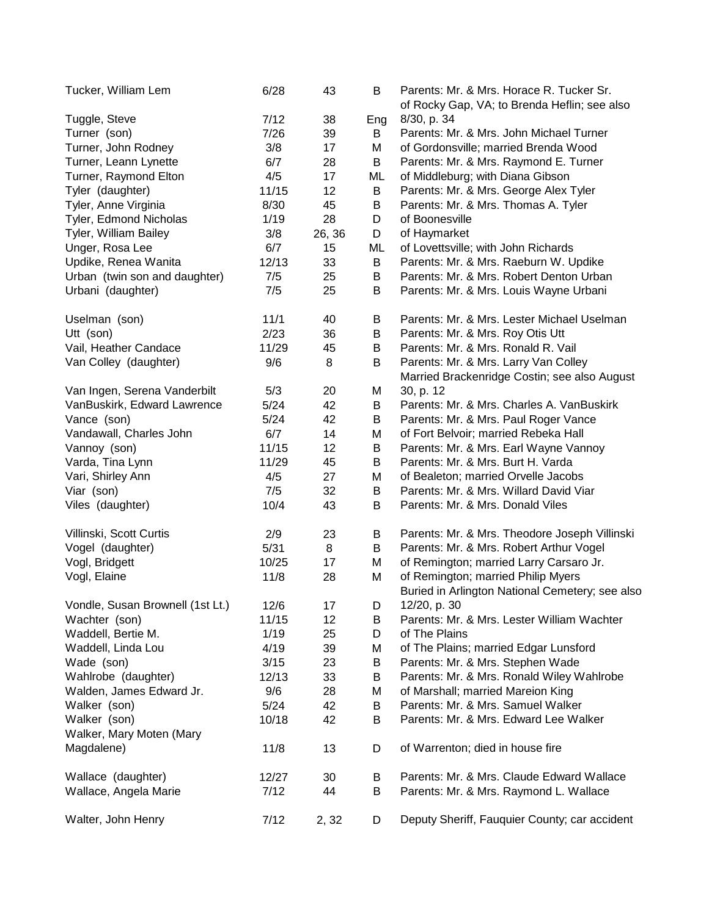| Tucker, William Lem              | 6/28   | 43     | B   | Parents: Mr. & Mrs. Horace R. Tucker Sr.<br>of Rocky Gap, VA; to Brenda Heflin; see also |
|----------------------------------|--------|--------|-----|------------------------------------------------------------------------------------------|
| Tuggle, Steve                    | 7/12   | 38     | Eng | 8/30, p. 34                                                                              |
| Turner (son)                     | 7/26   | 39     | B   | Parents: Mr. & Mrs. John Michael Turner                                                  |
| Turner, John Rodney              | 3/8    | 17     | M   | of Gordonsville; married Brenda Wood                                                     |
| Turner, Leann Lynette            | 6/7    | 28     | B   | Parents: Mr. & Mrs. Raymond E. Turner                                                    |
| Turner, Raymond Elton            | 4/5    | 17     | ML  | of Middleburg; with Diana Gibson                                                         |
| Tyler (daughter)                 | 11/15  | 12     | B   | Parents: Mr. & Mrs. George Alex Tyler                                                    |
| Tyler, Anne Virginia             | 8/30   | 45     | B   | Parents: Mr. & Mrs. Thomas A. Tyler                                                      |
| Tyler, Edmond Nicholas           | 1/19   | 28     | D   | of Boonesville                                                                           |
| Tyler, William Bailey            | 3/8    | 26, 36 | D   | of Haymarket                                                                             |
| Unger, Rosa Lee                  | 6/7    | 15     | ML  | of Lovettsville; with John Richards                                                      |
| Updike, Renea Wanita             | 12/13  | 33     | B   | Parents: Mr. & Mrs. Raeburn W. Updike                                                    |
| Urban (twin son and daughter)    | 7/5    | 25     | B   | Parents: Mr. & Mrs. Robert Denton Urban                                                  |
| Urbani (daughter)                | 7/5    | 25     | B   | Parents: Mr. & Mrs. Louis Wayne Urbani                                                   |
|                                  |        |        |     |                                                                                          |
| Uselman (son)                    | 11/1   | 40     | В   | Parents: Mr. & Mrs. Lester Michael Uselman                                               |
| Utt (son)                        | 2/23   | 36     | B   | Parents: Mr. & Mrs. Roy Otis Utt                                                         |
| Vail, Heather Candace            | 11/29  | 45     | Β   | Parents: Mr. & Mrs. Ronald R. Vail                                                       |
| Van Colley (daughter)            | 9/6    | 8      | B   | Parents: Mr. & Mrs. Larry Van Colley                                                     |
|                                  |        |        |     | Married Brackenridge Costin; see also August                                             |
| Van Ingen, Serena Vanderbilt     | 5/3    | 20     | M   | 30, p. 12                                                                                |
| VanBuskirk, Edward Lawrence      | $5/24$ | 42     | B   | Parents: Mr. & Mrs. Charles A. VanBuskirk                                                |
| Vance (son)                      | $5/24$ | 42     | B   | Parents: Mr. & Mrs. Paul Roger Vance                                                     |
| Vandawall, Charles John          | 6/7    | 14     | M   | of Fort Belvoir; married Rebeka Hall                                                     |
| Vannoy (son)                     | 11/15  | 12     | B   | Parents: Mr. & Mrs. Earl Wayne Vannoy                                                    |
| Varda, Tina Lynn                 | 11/29  | 45     | B   | Parents: Mr. & Mrs. Burt H. Varda                                                        |
| Vari, Shirley Ann                | 4/5    | 27     | M   | of Bealeton; married Orvelle Jacobs                                                      |
| Viar (son)                       | 7/5    | 32     | B   | Parents: Mr. & Mrs. Willard David Viar                                                   |
| Viles (daughter)                 | 10/4   | 43     | B   | Parents: Mr. & Mrs. Donald Viles                                                         |
| Villinski, Scott Curtis          | 2/9    | 23     | B   | Parents: Mr. & Mrs. Theodore Joseph Villinski                                            |
| Vogel (daughter)                 | 5/31   | 8      | B   | Parents: Mr. & Mrs. Robert Arthur Vogel                                                  |
| Vogl, Bridgett                   | 10/25  | 17     | M   | of Remington; married Larry Carsaro Jr.                                                  |
| Vogl, Elaine                     | 11/8   | 28     | M   | of Remington; married Philip Myers                                                       |
|                                  |        |        |     | Buried in Arlington National Cemetery; see also                                          |
| Vondle, Susan Brownell (1st Lt.) | 12/6   | 17     | D   | 12/20, p. 30                                                                             |
| Wachter (son)                    | 11/15  | 12     | В   | Parents: Mr. & Mrs. Lester William Wachter                                               |
| Waddell, Bertie M.               | 1/19   | 25     | D   | of The Plains                                                                            |
| Waddell, Linda Lou               | 4/19   | 39     | M   | of The Plains; married Edgar Lunsford                                                    |
| Wade (son)                       | 3/15   | 23     | B   | Parents: Mr. & Mrs. Stephen Wade                                                         |
| Wahlrobe (daughter)              | 12/13  | 33     | B   | Parents: Mr. & Mrs. Ronald Wiley Wahlrobe                                                |
| Walden, James Edward Jr.         | 9/6    | 28     | M   | of Marshall; married Mareion King                                                        |
| Walker (son)                     | 5/24   | 42     | В   | Parents: Mr. & Mrs. Samuel Walker                                                        |
| Walker (son)                     | 10/18  | 42     | В   | Parents: Mr. & Mrs. Edward Lee Walker                                                    |
| Walker, Mary Moten (Mary         |        |        |     |                                                                                          |
| Magdalene)                       | 11/8   | 13     | D   | of Warrenton; died in house fire                                                         |
| Wallace (daughter)               | 12/27  | 30     | B   | Parents: Mr. & Mrs. Claude Edward Wallace                                                |
| Wallace, Angela Marie            | 7/12   | 44     | B   | Parents: Mr. & Mrs. Raymond L. Wallace                                                   |
| Walter, John Henry               | 7/12   | 2, 32  | D   | Deputy Sheriff, Fauquier County; car accident                                            |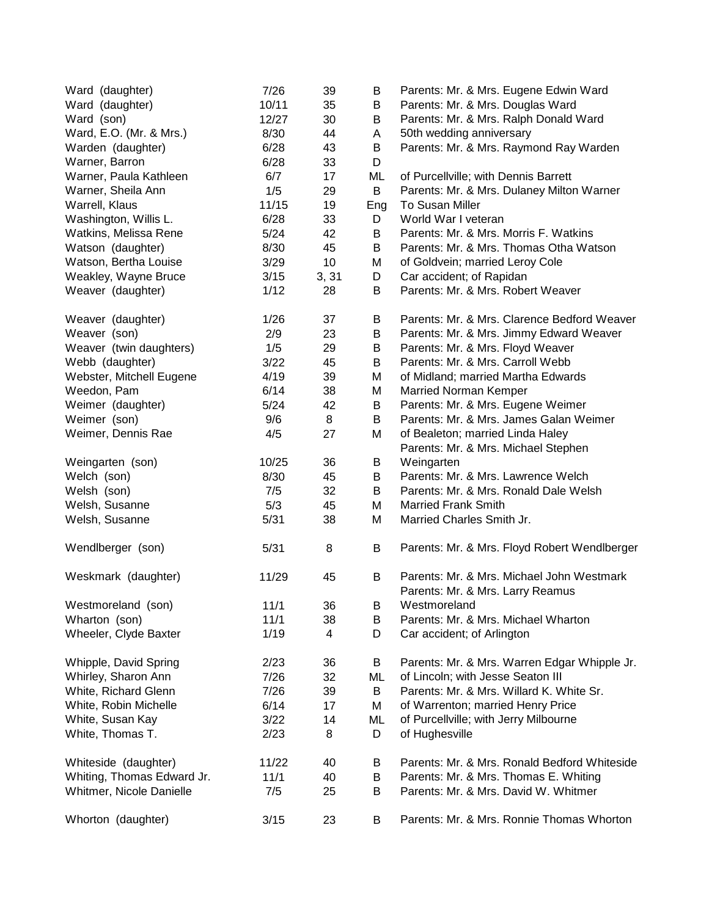| Ward (daughter)            | 7/26   | 39    | B   | Parents: Mr. & Mrs. Eugene Edwin Ward        |
|----------------------------|--------|-------|-----|----------------------------------------------|
| Ward (daughter)            | 10/11  | 35    | B   | Parents: Mr. & Mrs. Douglas Ward             |
| Ward (son)                 | 12/27  | 30    | B   | Parents: Mr. & Mrs. Ralph Donald Ward        |
| Ward, E.O. (Mr. & Mrs.)    | 8/30   | 44    | A   | 50th wedding anniversary                     |
| Warden (daughter)          | 6/28   | 43    | В   | Parents: Mr. & Mrs. Raymond Ray Warden       |
| Warner, Barron             | 6/28   | 33    | D   |                                              |
| Warner, Paula Kathleen     | 6/7    | 17    | ML  | of Purcellville; with Dennis Barrett         |
| Warner, Sheila Ann         | 1/5    | 29    | B   | Parents: Mr. & Mrs. Dulaney Milton Warner    |
| Warrell, Klaus             | 11/15  | 19    | Eng | To Susan Miller                              |
| Washington, Willis L.      | 6/28   | 33    | D   | World War I veteran                          |
| Watkins, Melissa Rene      | $5/24$ | 42    | B   | Parents: Mr. & Mrs. Morris F. Watkins        |
| Watson (daughter)          | 8/30   | 45    | B   | Parents: Mr. & Mrs. Thomas Otha Watson       |
| Watson, Bertha Louise      | 3/29   | 10    | М   | of Goldvein; married Leroy Cole              |
| Weakley, Wayne Bruce       | 3/15   | 3, 31 | D   | Car accident; of Rapidan                     |
| Weaver (daughter)          | 1/12   | 28    | B   | Parents: Mr. & Mrs. Robert Weaver            |
|                            |        |       |     |                                              |
| Weaver (daughter)          | 1/26   | 37    | B   | Parents: Mr. & Mrs. Clarence Bedford Weaver  |
| Weaver (son)               | 2/9    | 23    | B   | Parents: Mr. & Mrs. Jimmy Edward Weaver      |
| Weaver (twin daughters)    | 1/5    | 29    | B   | Parents: Mr. & Mrs. Floyd Weaver             |
| Webb (daughter)            | 3/22   | 45    | B   | Parents: Mr. & Mrs. Carroll Webb             |
| Webster, Mitchell Eugene   | 4/19   | 39    | M   | of Midland; married Martha Edwards           |
| Weedon, Pam                | 6/14   | 38    | M   | <b>Married Norman Kemper</b>                 |
| Weimer (daughter)          | 5/24   | 42    | B   | Parents: Mr. & Mrs. Eugene Weimer            |
| Weimer (son)               | 9/6    | 8     | B   | Parents: Mr. & Mrs. James Galan Weimer       |
| Weimer, Dennis Rae         | 4/5    | 27    | M   | of Bealeton; married Linda Haley             |
|                            |        |       |     | Parents: Mr. & Mrs. Michael Stephen          |
| Weingarten (son)           | 10/25  | 36    | B   | Weingarten                                   |
| Welch (son)                | 8/30   | 45    | B   | Parents: Mr. & Mrs. Lawrence Welch           |
| Welsh (son)                | 7/5    | 32    | B   | Parents: Mr. & Mrs. Ronald Dale Welsh        |
| Welsh, Susanne             | 5/3    | 45    | M   | <b>Married Frank Smith</b>                   |
| Welsh, Susanne             | 5/31   | 38    | M   | Married Charles Smith Jr.                    |
|                            |        |       |     |                                              |
| Wendlberger (son)          | 5/31   | 8     | B   | Parents: Mr. & Mrs. Floyd Robert Wendlberger |
| Weskmark (daughter)        | 11/29  | 45    | B   | Parents: Mr. & Mrs. Michael John Westmark    |
|                            |        |       |     | Parents: Mr. & Mrs. Larry Reamus             |
| Westmoreland (son)         | 11/1   | 36    | В   | Westmoreland                                 |
| Wharton (son)              | 11/1   | 38    | В   | Parents: Mr. & Mrs. Michael Wharton          |
| Wheeler, Clyde Baxter      | 1/19   | 4     | D   | Car accident; of Arlington                   |
| Whipple, David Spring      | 2/23   | 36    | B   | Parents: Mr. & Mrs. Warren Edgar Whipple Jr. |
| Whirley, Sharon Ann        | 7/26   | 32    | ML  | of Lincoln; with Jesse Seaton III            |
| White, Richard Glenn       | 7/26   | 39    | B   | Parents: Mr. & Mrs. Willard K. White Sr.     |
| White, Robin Michelle      | 6/14   | 17    | M   | of Warrenton; married Henry Price            |
| White, Susan Kay           | 3/22   | 14    | ML  | of Purcellville; with Jerry Milbourne        |
| White, Thomas T.           | 2/23   | 8     | D   | of Hughesville                               |
| Whiteside (daughter)       | 11/22  | 40    | B   | Parents: Mr. & Mrs. Ronald Bedford Whiteside |
| Whiting, Thomas Edward Jr. | 11/1   | 40    | В   | Parents: Mr. & Mrs. Thomas E. Whiting        |
| Whitmer, Nicole Danielle   | 7/5    | 25    | B   | Parents: Mr. & Mrs. David W. Whitmer         |
|                            |        |       |     |                                              |
| Whorton (daughter)         | 3/15   | 23    | B   | Parents: Mr. & Mrs. Ronnie Thomas Whorton    |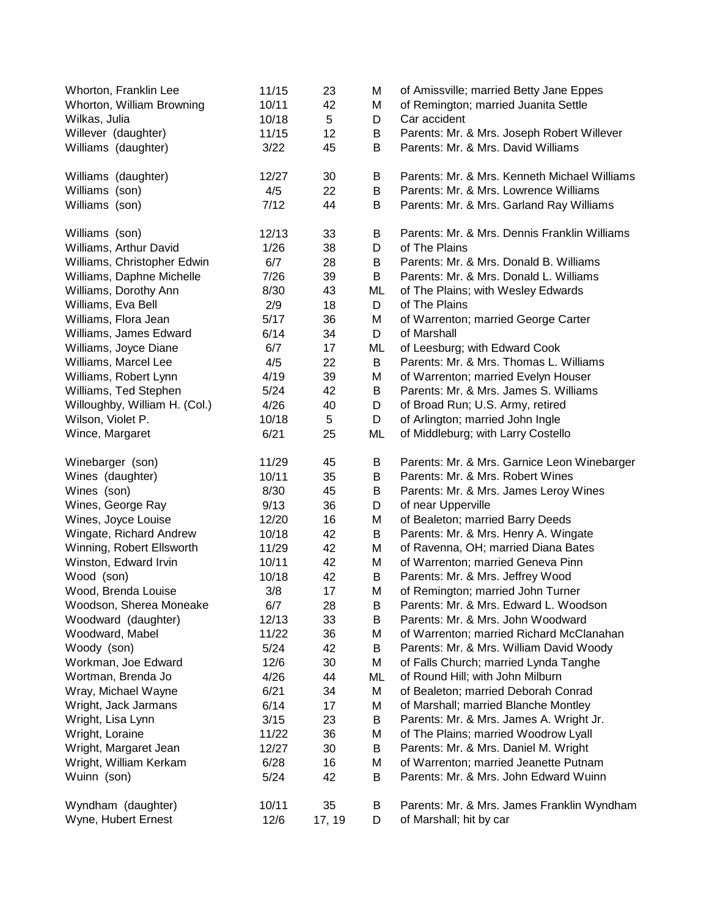| Whorton, Franklin Lee<br>Whorton, William Browning | 11/15<br>10/11 | 23<br>42     | M<br>М | of Amissville; married Betty Jane Eppes<br>of Remington; married Juanita Settle |
|----------------------------------------------------|----------------|--------------|--------|---------------------------------------------------------------------------------|
| Wilkas, Julia                                      | 10/18          | 5            | D      | Car accident                                                                    |
| Willever (daughter)                                | 11/15          | 12           | B      | Parents: Mr. & Mrs. Joseph Robert Willever                                      |
| Williams (daughter)                                | 3/22           | 45           | B      | Parents: Mr. & Mrs. David Williams                                              |
| Williams (daughter)                                | 12/27          | 30           | B      | Parents: Mr. & Mrs. Kenneth Michael Williams                                    |
| Williams (son)                                     | 4/5            | 22           | B      | Parents: Mr. & Mrs. Lowrence Williams                                           |
| Williams (son)                                     | 7/12           | 44           | B      | Parents: Mr. & Mrs. Garland Ray Williams                                        |
| Williams (son)                                     | 12/13          | 33           | B      | Parents: Mr. & Mrs. Dennis Franklin Williams                                    |
| Williams, Arthur David                             | 1/26           | 38           | D      | of The Plains                                                                   |
| Williams, Christopher Edwin                        | 6/7            | 28           | B      | Parents: Mr. & Mrs. Donald B. Williams                                          |
| Williams, Daphne Michelle                          | 7/26           | 39           | B      | Parents: Mr. & Mrs. Donald L. Williams                                          |
| Williams, Dorothy Ann                              | 8/30           | 43           | ML     | of The Plains; with Wesley Edwards                                              |
| Williams, Eva Bell                                 | 2/9            | 18           | D      | of The Plains                                                                   |
| Williams, Flora Jean                               | 5/17           | 36           | M      | of Warrenton; married George Carter                                             |
| Williams, James Edward                             | 6/14           | 34           | D      | of Marshall                                                                     |
| Williams, Joyce Diane                              | 6/7            | 17           | ML     | of Leesburg; with Edward Cook                                                   |
| Williams, Marcel Lee                               | 4/5            | 22           | B      | Parents: Mr. & Mrs. Thomas L. Williams                                          |
| Williams, Robert Lynn                              | 4/19           | 39           | M      | of Warrenton; married Evelyn Houser                                             |
| Williams, Ted Stephen                              | 5/24           | 42           | B      | Parents: Mr. & Mrs. James S. Williams                                           |
| Willoughby, William H. (Col.)                      | 4/26           | 40           | D      | of Broad Run; U.S. Army, retired                                                |
| Wilson, Violet P.                                  | 10/18          | 5            | D      | of Arlington; married John Ingle                                                |
| Wince, Margaret                                    | 6/21           | 25           | ML     | of Middleburg; with Larry Costello                                              |
| Winebarger (son)                                   | 11/29          | 45           | B      | Parents: Mr. & Mrs. Garnice Leon Winebarger                                     |
| Wines (daughter)                                   | 10/11          | 35           | B      | Parents: Mr. & Mrs. Robert Wines                                                |
| Wines (son)                                        | 8/30           | 45           | B      | Parents: Mr. & Mrs. James Leroy Wines                                           |
| Wines, George Ray                                  | 9/13           | 36           | D      | of near Upperville                                                              |
| Wines, Joyce Louise                                | 12/20          | 16           | Μ      | of Bealeton; married Barry Deeds                                                |
| Wingate, Richard Andrew                            | 10/18          | 42           | B      | Parents: Mr. & Mrs. Henry A. Wingate                                            |
| Winning, Robert Ellsworth                          | 11/29          | 42           | M      | of Ravenna, OH; married Diana Bates                                             |
| Winston, Edward Irvin                              | 10/11          | 42           | M      | of Warrenton; married Geneva Pinn                                               |
| Wood (son)                                         | 10/18          | 42           | B      | Parents: Mr. & Mrs. Jeffrey Wood                                                |
| Wood, Brenda Louise                                | 3/8            | 17           | M      | of Remington; married John Turner                                               |
| Woodson, Sherea Moneake                            | 6/7            | 28           | B      | Parents: Mr. & Mrs. Edward L. Woodson                                           |
| Woodward (daughter)                                | 12/13          | 33           | B      | Parents: Mr. & Mrs. John Woodward                                               |
| Woodward, Mabel                                    | 11/22          | 36           | M      | of Warrenton; married Richard McClanahan                                        |
| Woody (son)                                        | 5/24           | 42           | B      | Parents: Mr. & Mrs. William David Woody                                         |
| Workman, Joe Edward                                | 12/6           | 30           | Μ      | of Falls Church; married Lynda Tanghe                                           |
| Wortman, Brenda Jo                                 | 4/26           | 44           | ML     | of Round Hill; with John Milburn                                                |
| Wray, Michael Wayne                                | 6/21           | 34           | М      | of Bealeton; married Deborah Conrad                                             |
| Wright, Jack Jarmans                               | 6/14           | 17           | Μ      | of Marshall; married Blanche Montley                                            |
| Wright, Lisa Lynn                                  | 3/15           | 23           | B      | Parents: Mr. & Mrs. James A. Wright Jr.                                         |
| Wright, Loraine                                    | 11/22          | 36           | М      | of The Plains; married Woodrow Lyall                                            |
| Wright, Margaret Jean                              | 12/27          | 30           | B      | Parents: Mr. & Mrs. Daniel M. Wright                                            |
| Wright, William Kerkam                             | 6/28           | 16           | Μ      | of Warrenton; married Jeanette Putnam                                           |
| Wuinn (son)                                        | 5/24           | 42           | B      | Parents: Mr. & Mrs. John Edward Wuinn                                           |
| Wyndham (daughter)<br>Wyne, Hubert Ernest          | 10/11<br>12/6  | 35<br>17, 19 | B<br>D | Parents: Mr. & Mrs. James Franklin Wyndham<br>of Marshall; hit by car           |
|                                                    |                |              |        |                                                                                 |